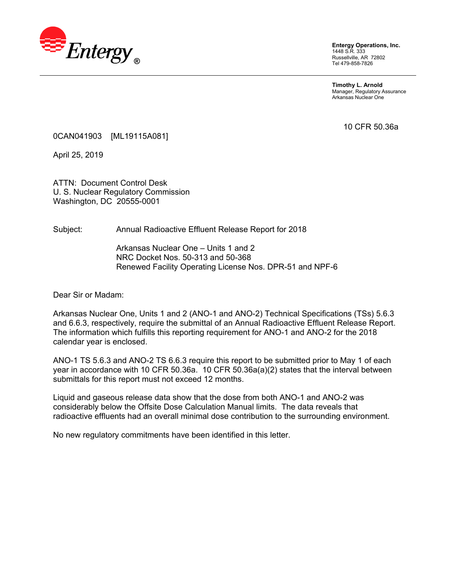

**Entergy Operations, Inc.**  1448 S.R. 333 Russellville, AR 72802 Tel 479-858-7826

**Timothy L. Arnold**  Manager, Regulatory Assurance Arkansas Nuclear One

10 CFR 50.36a

0CAN041903 [ML19115A081]

April 25, 2019

ATTN: Document Control Desk U. S. Nuclear Regulatory Commission Washington, DC 20555-0001

Subject: Annual Radioactive Effluent Release Report for 2018

Arkansas Nuclear One – Units 1 and 2 NRC Docket Nos. 50-313 and 50-368 Renewed Facility Operating License Nos. DPR-51 and NPF-6

Dear Sir or Madam:

Arkansas Nuclear One, Units 1 and 2 (ANO-1 and ANO-2) Technical Specifications (TSs) 5.6.3 and 6.6.3, respectively, require the submittal of an Annual Radioactive Effluent Release Report. The information which fulfills this reporting requirement for ANO-1 and ANO-2 for the 2018 calendar year is enclosed.

ANO-1 TS 5.6.3 and ANO-2 TS 6.6.3 require this report to be submitted prior to May 1 of each year in accordance with 10 CFR 50.36a. 10 CFR 50.36a(a)(2) states that the interval between submittals for this report must not exceed 12 months.

Liquid and gaseous release data show that the dose from both ANO-1 and ANO-2 was considerably below the Offsite Dose Calculation Manual limits. The data reveals that radioactive effluents had an overall minimal dose contribution to the surrounding environment.

No new regulatory commitments have been identified in this letter.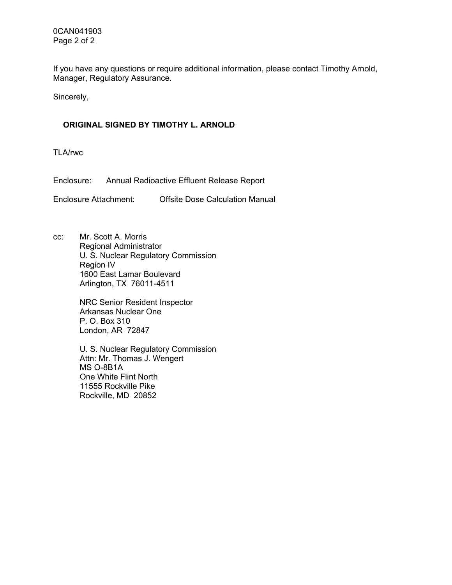0CAN041903 Page 2 of 2

If you have any questions or require additional information, please contact Timothy Arnold, Manager, Regulatory Assurance.

Sincerely,

#### **ORIGINAL SIGNED BY TIMOTHY L. ARNOLD**

TLA/rwc

Enclosure: Annual Radioactive Effluent Release Report

Enclosure Attachment: Offsite Dose Calculation Manual

cc: Mr. Scott A. Morris Regional Administrator U. S. Nuclear Regulatory Commission Region IV 1600 East Lamar Boulevard Arlington, TX 76011-4511

> NRC Senior Resident Inspector Arkansas Nuclear One P. O. Box 310 London, AR 72847

U. S. Nuclear Regulatory Commission Attn: Mr. Thomas J. Wengert MS O-8B1A One White Flint North 11555 Rockville Pike Rockville, MD 20852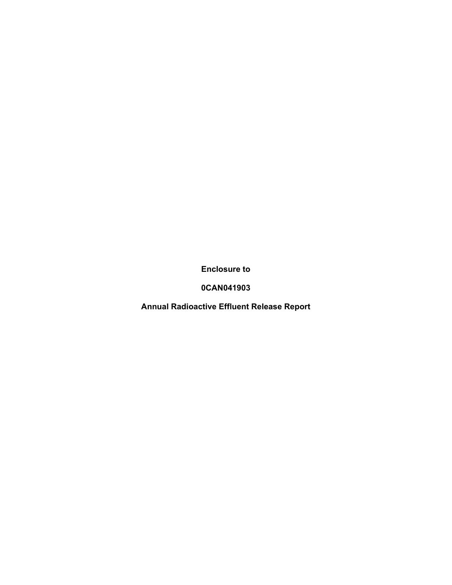**Enclosure to** 

**0CAN041903** 

**Annual Radioactive Effluent Release Report**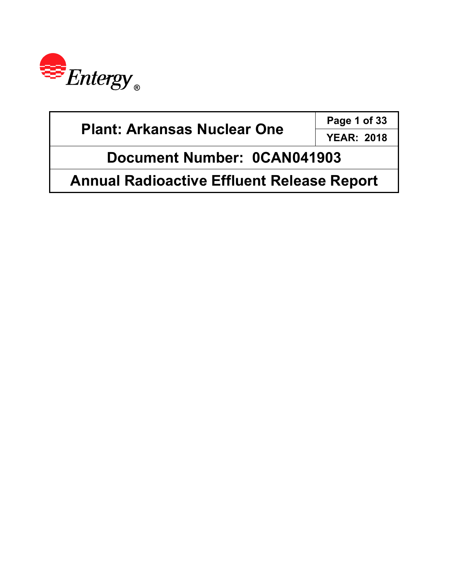

| <b>Plant: Arkansas Nuclear One</b>                | Page 1 of 33      |  |
|---------------------------------------------------|-------------------|--|
|                                                   | <b>YEAR: 2018</b> |  |
| Document Number: 0CAN041903                       |                   |  |
| <b>Annual Radioactive Effluent Release Report</b> |                   |  |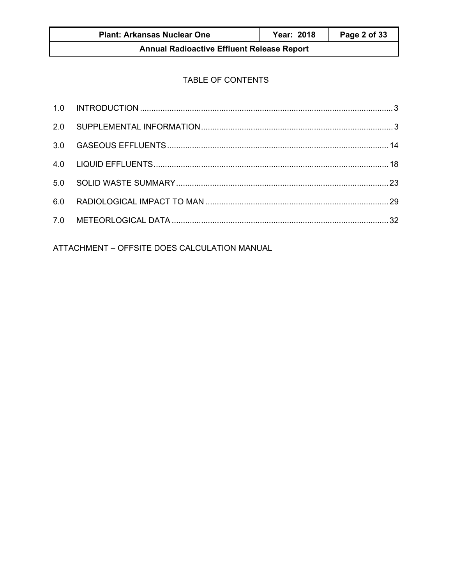## TABLE OF CONTENTS

ATTACHMENT - OFFSITE DOES CALCULATION MANUAL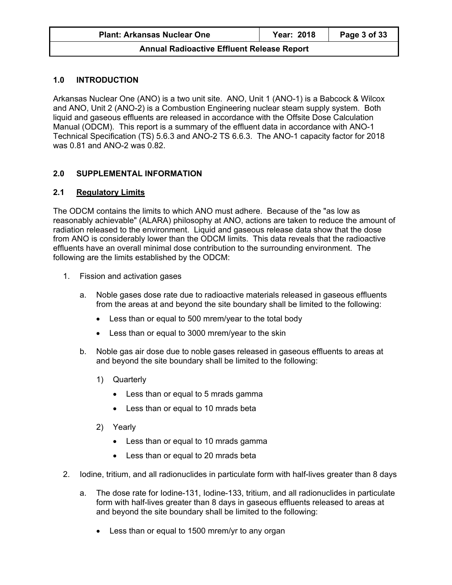#### **1.0 INTRODUCTION**

Arkansas Nuclear One (ANO) is a two unit site. ANO, Unit 1 (ANO-1) is a Babcock & Wilcox and ANO, Unit 2 (ANO-2) is a Combustion Engineering nuclear steam supply system. Both liquid and gaseous effluents are released in accordance with the Offsite Dose Calculation Manual (ODCM). This report is a summary of the effluent data in accordance with ANO-1 Technical Specification (TS) 5.6.3 and ANO-2 TS 6.6.3. The ANO-1 capacity factor for 2018 was 0.81 and ANO-2 was 0.82.

#### **2.0 SUPPLEMENTAL INFORMATION**

#### **2.1 Regulatory Limits**

The ODCM contains the limits to which ANO must adhere. Because of the "as low as reasonably achievable" (ALARA) philosophy at ANO, actions are taken to reduce the amount of radiation released to the environment. Liquid and gaseous release data show that the dose from ANO is considerably lower than the ODCM limits. This data reveals that the radioactive effluents have an overall minimal dose contribution to the surrounding environment. The following are the limits established by the ODCM:

- 1. Fission and activation gases
	- a. Noble gases dose rate due to radioactive materials released in gaseous effluents from the areas at and beyond the site boundary shall be limited to the following:
		- Less than or equal to 500 mrem/year to the total body
		- Less than or equal to 3000 mrem/year to the skin
	- b. Noble gas air dose due to noble gases released in gaseous effluents to areas at and beyond the site boundary shall be limited to the following:
		- 1) Quarterly
			- Less than or equal to 5 mrads gamma
			- Less than or equal to 10 mrads beta
		- 2) Yearly
			- Less than or equal to 10 mrads gamma
			- Less than or equal to 20 mrads beta
- 2. Iodine, tritium, and all radionuclides in particulate form with half-lives greater than 8 days
	- a. The dose rate for Iodine-131, Iodine-133, tritium, and all radionuclides in particulate form with half-lives greater than 8 days in gaseous effluents released to areas at and beyond the site boundary shall be limited to the following:
		- Less than or equal to 1500 mrem/yr to any organ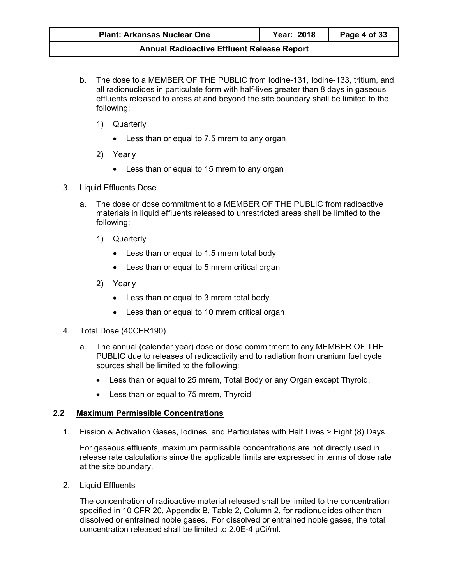- b. The dose to a MEMBER OF THE PUBLIC from Iodine-131, Iodine-133, tritium, and all radionuclides in particulate form with half-lives greater than 8 days in gaseous effluents released to areas at and beyond the site boundary shall be limited to the following:
	- 1) Quarterly
		- Less than or equal to 7.5 mrem to any organ
	- 2) Yearly
		- Less than or equal to 15 mrem to any organ
- 3. Liquid Effluents Dose
	- a. The dose or dose commitment to a MEMBER OF THE PUBLIC from radioactive materials in liquid effluents released to unrestricted areas shall be limited to the following:
		- 1) Quarterly
			- Less than or equal to 1.5 mrem total body
			- Less than or equal to 5 mrem critical organ
		- 2) Yearly
			- Less than or equal to 3 mrem total body
			- Less than or equal to 10 mrem critical organ
- 4. Total Dose (40CFR190)
	- a. The annual (calendar year) dose or dose commitment to any MEMBER OF THE PUBLIC due to releases of radioactivity and to radiation from uranium fuel cycle sources shall be limited to the following:
		- Less than or equal to 25 mrem, Total Body or any Organ except Thyroid.
		- Less than or equal to 75 mrem, Thyroid

#### **2.2 Maximum Permissible Concentrations**

1. Fission & Activation Gases, Iodines, and Particulates with Half Lives > Eight (8) Days

For gaseous effluents, maximum permissible concentrations are not directly used in release rate calculations since the applicable limits are expressed in terms of dose rate at the site boundary.

2. Liquid Effluents

The concentration of radioactive material released shall be limited to the concentration specified in 10 CFR 20, Appendix B, Table 2, Column 2, for radionuclides other than dissolved or entrained noble gases. For dissolved or entrained noble gases, the total concentration released shall be limited to 2.0E-4 µCi/ml.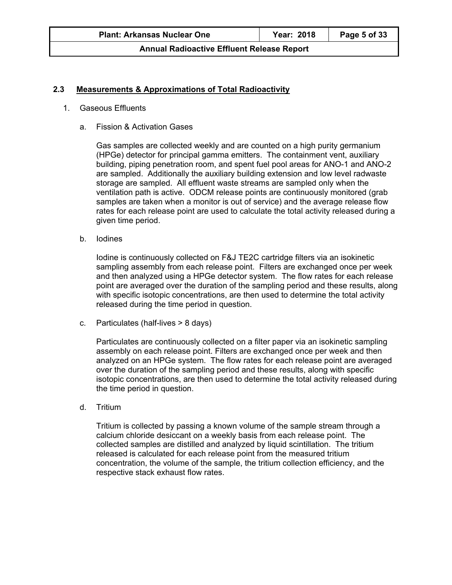#### **2.3 Measurements & Approximations of Total Radioactivity**

- 1. Gaseous Effluents
	- a. Fission & Activation Gases

Gas samples are collected weekly and are counted on a high purity germanium (HPGe) detector for principal gamma emitters. The containment vent, auxiliary building, piping penetration room, and spent fuel pool areas for ANO-1 and ANO-2 are sampled. Additionally the auxiliary building extension and low level radwaste storage are sampled. All effluent waste streams are sampled only when the ventilation path is active. ODCM release points are continuously monitored (grab samples are taken when a monitor is out of service) and the average release flow rates for each release point are used to calculate the total activity released during a given time period.

b. Iodines

Iodine is continuously collected on F&J TE2C cartridge filters via an isokinetic sampling assembly from each release point. Filters are exchanged once per week and then analyzed using a HPGe detector system. The flow rates for each release point are averaged over the duration of the sampling period and these results, along with specific isotopic concentrations, are then used to determine the total activity released during the time period in question.

c. Particulates (half-lives > 8 days)

Particulates are continuously collected on a filter paper via an isokinetic sampling assembly on each release point. Filters are exchanged once per week and then analyzed on an HPGe system. The flow rates for each release point are averaged over the duration of the sampling period and these results, along with specific isotopic concentrations, are then used to determine the total activity released during the time period in question.

d. Tritium

Tritium is collected by passing a known volume of the sample stream through a calcium chloride desiccant on a weekly basis from each release point. The collected samples are distilled and analyzed by liquid scintillation. The tritium released is calculated for each release point from the measured tritium concentration, the volume of the sample, the tritium collection efficiency, and the respective stack exhaust flow rates.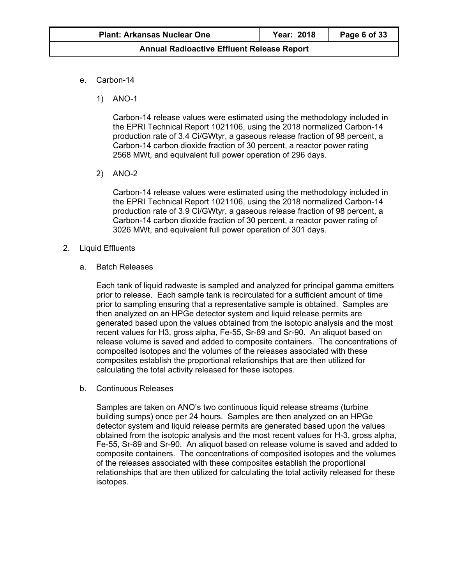- e. Carbon-14
	- 1) ANO-1

Carbon-14 release values were estimated using the methodology included in the EPRI Technical Report 1021106, using the 2018 normalized Carbon-14 production rate of 3.4 Ci/GWtyr, a gaseous release fraction of 98 percent, a Carbon-14 carbon dioxide fraction of 30 percent, a reactor power rating 2568 MWt, and equivalent full power operation of 296 days.

2) ANO-2

Carbon-14 release values were estimated using the methodology included in the EPRI Technical Report 1021106, using the 2018 normalized Carbon-14 production rate of 3.9 Ci/GWtyr, a gaseous release fraction of 98 percent, a Carbon-14 carbon dioxide fraction of 30 percent, a reactor power rating of 3026 MWt, and equivalent full power operation of 301 days.

- 2. Liquid Effluents
	- a. Batch Releases

Each tank of liquid radwaste is sampled and analyzed for principal gamma emitters prior to release. Each sample tank is recirculated for a sufficient amount of time prior to sampling ensuring that a representative sample is obtained. Samples are then analyzed on an HPGe detector system and liquid release permits are generated based upon the values obtained from the isotopic analysis and the most recent values for H3, gross alpha, Fe-55, Sr-89 and Sr-90. An aliquot based on release volume is saved and added to composite containers. The concentrations of composited isotopes and the volumes of the releases associated with these composites establish the proportional relationships that are then utilized for calculating the total activity released for these isotopes.

b. Continuous Releases

Samples are taken on ANO's two continuous liquid release streams (turbine building sumps) once per 24 hours. Samples are then analyzed on an HPGe detector system and liquid release permits are generated based upon the values obtained from the isotopic analysis and the most recent values for H-3, gross alpha, Fe-55, Sr-89 and Sr-90. An aliquot based on release volume is saved and added to composite containers. The concentrations of composited isotopes and the volumes of the releases associated with these composites establish the proportional relationships that are then utilized for calculating the total activity released for these isotopes.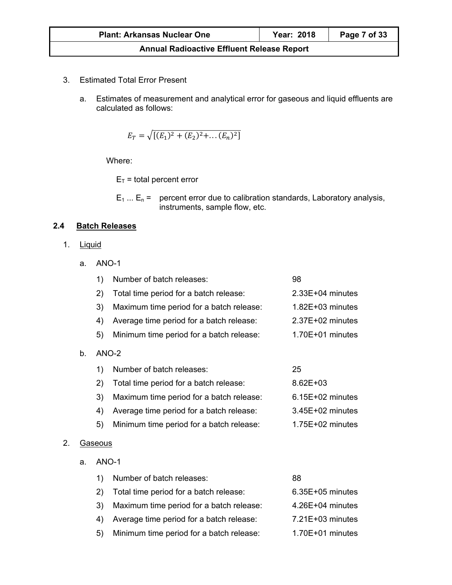- 3. Estimated Total Error Present
	- a. Estimates of measurement and analytical error for gaseous and liquid effluents are calculated as follows:

$$
E_T = \sqrt{[(E_1)^2 + (E_2)^2 + \dots + (E_n)^2]}
$$

Where:

 $E_T$  = total percent error

 $E_1 ... E_n$  = percent error due to calibration standards, Laboratory analysis, instruments, sample flow, etc.

## **2.4 Batch Releases**

1. Liquid

 $b.$ 

a. ANO-1

| 1)      | Number of batch releases:                | 98                   |
|---------|------------------------------------------|----------------------|
| 2)      | Total time period for a batch release:   | $2.33E+04$ minutes   |
| 3)      | Maximum time period for a batch release: | $1.82E + 03$ minutes |
| 4)      | Average time period for a batch release: | $2.37E+02$ minutes   |
| 5)      | Minimum time period for a batch release: | $1.70E+01$ minutes   |
| $ANO-2$ |                                          |                      |
| 1)      | Number of batch releases:                | 25                   |
| 2)      | Total time period for a batch release:   | $8.62E + 03$         |
| 3)      | Maximum time period for a batch release: | $6.15E+02$ minutes   |
| 4)      | Average time period for a batch release: | $3.45E+02$ minutes   |
| 5)      | Minimum time period for a batch release: | $1.75E+02$ minutes   |

- 2. Gaseous
	- a. ANO-1

| $\left( \begin{matrix} 1 \end{matrix} \right)$ | Number of batch releases:                   | 88                 |
|------------------------------------------------|---------------------------------------------|--------------------|
|                                                | 2) Total time period for a batch release:   | $6.35E+05$ minutes |
| 3)                                             | Maximum time period for a batch release:    | $4.26E+04$ minutes |
|                                                | 4) Average time period for a batch release: | $7.21E+03$ minutes |
| 5)                                             | Minimum time period for a batch release:    | $1.70E+01$ minutes |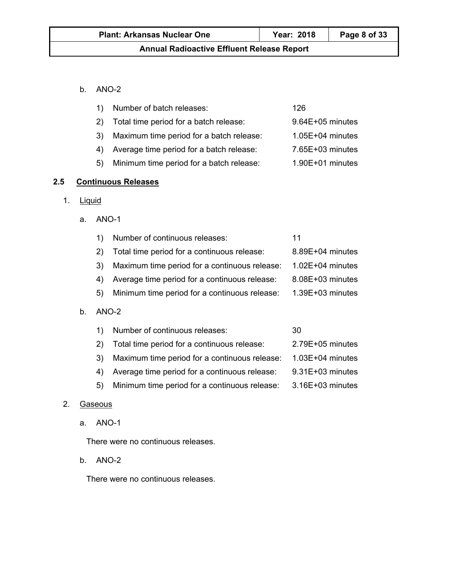#### b. ANO-2

|    | Number of batch releases:                | 126                |
|----|------------------------------------------|--------------------|
|    | Total time period for a batch release:   | 9.64E+05 minutes   |
| 3) | Maximum time period for a batch release: | $1.05E+04$ minutes |
|    | Average time period for a batch release: | 7.65E+03 minutes   |
| 5) | Minimum time period for a batch release: | $1.90E+01$ minutes |

## **2.5 Continuous Releases**

1. Liquid

 $b.$ 

a. ANO-1

|       | Number of continuous releases:                | 11                   |
|-------|-----------------------------------------------|----------------------|
| 2)    | Total time period for a continuous release:   | $8.89E + 04$ minutes |
| 3)    | Maximum time period for a continuous release: | $1.02E + 04$ minutes |
| 4)    | Average time period for a continuous release: | $8.08E + 03$ minutes |
| 5)    | Minimum time period for a continuous release: | $1.39E+03$ minutes   |
| ANO-2 |                                               |                      |

|    | Number of continuous releases:                | 30                 |
|----|-----------------------------------------------|--------------------|
|    | Total time period for a continuous release:   | 2.79E+05 minutes   |
|    | Maximum time period for a continuous release: | $1.03E+04$ minutes |
|    | Average time period for a continuous release: | 9.31E+03 minutes   |
| 5) | Minimum time period for a continuous release: | 3.16E+03 minutes   |

#### 2. Gaseous

a. ANO-1

There were no continuous releases.

b. ANO-2

There were no continuous releases.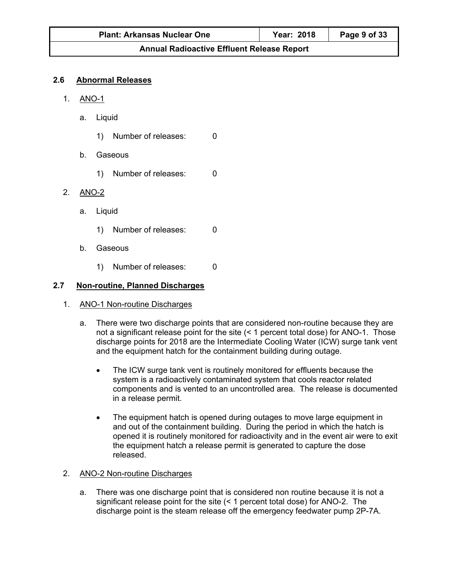#### **2.6 Abnormal Releases**

- 1. ANO-1
	- a. Liquid
		- 1) Number of releases: 0
	- b. Gaseous
		- 1) Number of releases: 0
- 2. ANO-2
	- a. Liquid
		- 1) Number of releases: 0
	- b. Gaseous
		- 1) Number of releases: 0

#### **2.7 Non-routine, Planned Discharges**

- 1. ANO-1 Non-routine Discharges
	- a. There were two discharge points that are considered non-routine because they are not a significant release point for the site (< 1 percent total dose) for ANO-1. Those discharge points for 2018 are the Intermediate Cooling Water (ICW) surge tank vent and the equipment hatch for the containment building during outage.
		- The ICW surge tank vent is routinely monitored for effluents because the system is a radioactively contaminated system that cools reactor related components and is vented to an uncontrolled area. The release is documented in a release permit.
		- The equipment hatch is opened during outages to move large equipment in and out of the containment building. During the period in which the hatch is opened it is routinely monitored for radioactivity and in the event air were to exit the equipment hatch a release permit is generated to capture the dose released.

#### 2. ANO-2 Non-routine Discharges

a. There was one discharge point that is considered non routine because it is not a significant release point for the site (< 1 percent total dose) for ANO-2. The discharge point is the steam release off the emergency feedwater pump 2P-7A.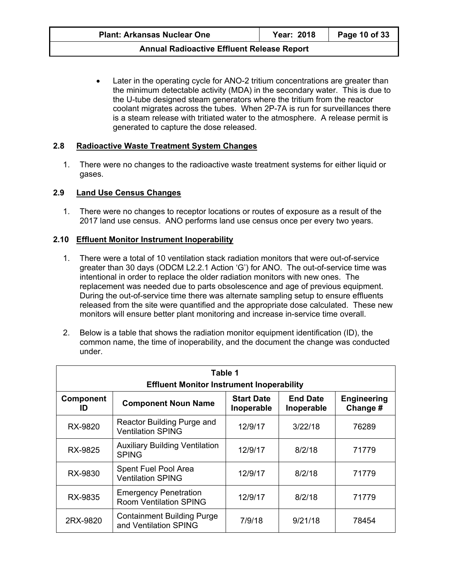Later in the operating cycle for ANO-2 tritium concentrations are greater than the minimum detectable activity (MDA) in the secondary water. This is due to the U-tube designed steam generators where the tritium from the reactor coolant migrates across the tubes. When 2P-7A is run for surveillances there is a steam release with tritiated water to the atmosphere. A release permit is generated to capture the dose released.

#### **2.8 Radioactive Waste Treatment System Changes**

1. There were no changes to the radioactive waste treatment systems for either liquid or gases.

#### **2.9 Land Use Census Changes**

1. There were no changes to receptor locations or routes of exposure as a result of the 2017 land use census. ANO performs land use census once per every two years.

#### **2.10 Effluent Monitor Instrument Inoperability**

- 1. There were a total of 10 ventilation stack radiation monitors that were out-of-service greater than 30 days (ODCM L2.2.1 Action 'G') for ANO. The out-of-service time was intentional in order to replace the older radiation monitors with new ones. The replacement was needed due to parts obsolescence and age of previous equipment. During the out-of-service time there was alternate sampling setup to ensure effluents released from the site were quantified and the appropriate dose calculated. These new monitors will ensure better plant monitoring and increase in-service time overall.
- 2. Below is a table that shows the radiation monitor equipment identification (ID), the common name, the time of inoperability, and the document the change was conducted under.

| Table 1<br><b>Effluent Monitor Instrument Inoperability</b> |                                                                                                |         |         |                                |
|-------------------------------------------------------------|------------------------------------------------------------------------------------------------|---------|---------|--------------------------------|
| <b>Component</b><br>ID                                      | <b>End Date</b><br><b>Start Date</b><br><b>Component Noun Name</b><br>Inoperable<br>Inoperable |         |         | <b>Engineering</b><br>Change # |
| RX-9820                                                     | Reactor Building Purge and<br><b>Ventilation SPING</b>                                         | 12/9/17 | 3/22/18 | 76289                          |
| RX-9825                                                     | <b>Auxiliary Building Ventilation</b><br><b>SPING</b>                                          |         | 8/2/18  | 71779                          |
| RX-9830                                                     | Spent Fuel Pool Area<br><b>Ventilation SPING</b>                                               | 12/9/17 | 8/2/18  | 71779                          |
| RX-9835                                                     | <b>Emergency Penetration</b><br><b>Room Ventilation SPING</b>                                  |         | 8/2/18  | 71779                          |
| 2RX-9820                                                    | <b>Containment Building Purge</b><br>and Ventilation SPING                                     |         | 9/21/18 | 78454                          |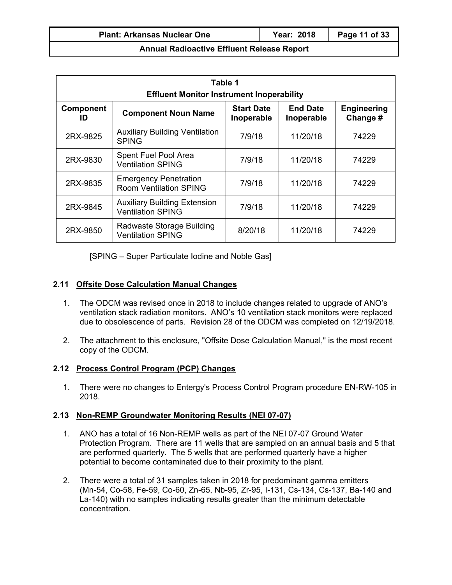| Table 1<br><b>Effluent Monitor Instrument Inoperability</b>                 |                                                               |                                 |                               |                                |  |
|-----------------------------------------------------------------------------|---------------------------------------------------------------|---------------------------------|-------------------------------|--------------------------------|--|
| Component<br>ID                                                             | <b>Component Noun Name</b>                                    | <b>Start Date</b><br>Inoperable | <b>End Date</b><br>Inoperable | <b>Engineering</b><br>Change # |  |
| 2RX-9825                                                                    | <b>Auxiliary Building Ventilation</b><br><b>SPING</b>         | 7/9/18                          | 11/20/18                      | 74229                          |  |
| 2RX-9830                                                                    | Spent Fuel Pool Area<br><b>Ventilation SPING</b>              | 7/9/18                          | 11/20/18                      | 74229                          |  |
| 2RX-9835                                                                    | <b>Emergency Penetration</b><br><b>Room Ventilation SPING</b> |                                 | 11/20/18                      | 74229                          |  |
| <b>Auxiliary Building Extension</b><br>2RX-9845<br><b>Ventilation SPING</b> |                                                               | 7/9/18                          | 11/20/18                      | 74229                          |  |
| 2RX-9850                                                                    | Radwaste Storage Building<br><b>Ventilation SPING</b>         | 8/20/18                         | 11/20/18                      | 74229                          |  |

[SPING – Super Particulate Iodine and Noble Gas]

#### **2.11 Offsite Dose Calculation Manual Changes**

- 1. The ODCM was revised once in 2018 to include changes related to upgrade of ANO's ventilation stack radiation monitors. ANO's 10 ventilation stack monitors were replaced due to obsolescence of parts. Revision 28 of the ODCM was completed on 12/19/2018.
- 2. The attachment to this enclosure, "Offsite Dose Calculation Manual," is the most recent copy of the ODCM.

#### **2.12 Process Control Program (PCP) Changes**

1. There were no changes to Entergy's Process Control Program procedure EN-RW-105 in 2018.

#### **2.13 Non-REMP Groundwater Monitoring Results (NEI 07-07)**

- 1. ANO has a total of 16 Non-REMP wells as part of the NEI 07-07 Ground Water Protection Program. There are 11 wells that are sampled on an annual basis and 5 that are performed quarterly. The 5 wells that are performed quarterly have a higher potential to become contaminated due to their proximity to the plant.
- 2. There were a total of 31 samples taken in 2018 for predominant gamma emitters (Mn-54, Co-58, Fe-59, Co-60, Zn-65, Nb-95, Zr-95, I-131, Cs-134, Cs-137, Ba-140 and La-140) with no samples indicating results greater than the minimum detectable concentration.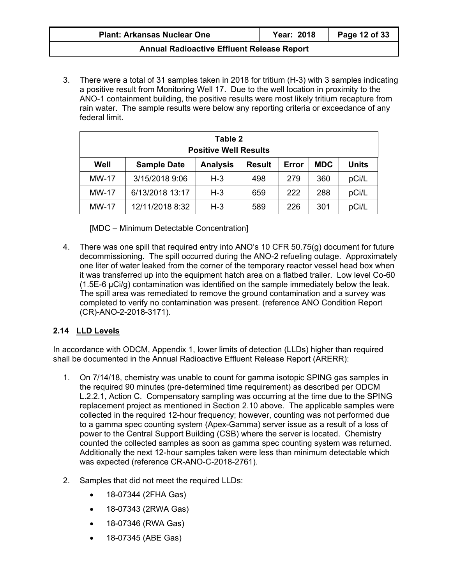| <b>Plant: Arkansas Nuclear One</b> | Year: 2018 | Page 12 of 33 |
|------------------------------------|------------|---------------|
|------------------------------------|------------|---------------|

3. There were a total of 31 samples taken in 2018 for tritium (H-3) with 3 samples indicating a positive result from Monitoring Well 17. Due to the well location in proximity to the ANO-1 containment building, the positive results were most likely tritium recapture from rain water. The sample results were below any reporting criteria or exceedance of any federal limit.

| Table 2<br><b>Positive Well Results</b> |                    |                 |               |       |            |              |
|-----------------------------------------|--------------------|-----------------|---------------|-------|------------|--------------|
| Well                                    | <b>Sample Date</b> | <b>Analysis</b> | <b>Result</b> | Error | <b>MDC</b> | <b>Units</b> |
| <b>MW-17</b>                            | 3/15/2018 9:06     | $H-3$           | 498           | 279   | 360        | pCi/L        |
| <b>MW-17</b>                            | 6/13/2018 13:17    | $H-3$           | 659           | 222   | 288        | pCi/L        |
| <b>MW-17</b>                            | 12/11/2018 8:32    | $H-3$           | 589           | 226   | 301        | pCi/L        |

[MDC – Minimum Detectable Concentration]

4. There was one spill that required entry into ANO's 10 CFR 50.75(g) document for future decommissioning. The spill occurred during the ANO-2 refueling outage. Approximately one liter of water leaked from the corner of the temporary reactor vessel head box when it was transferred up into the equipment hatch area on a flatbed trailer. Low level Co-60 (1.5E-6 µCi/g) contamination was identified on the sample immediately below the leak. The spill area was remediated to remove the ground contamination and a survey was completed to verify no contamination was present. (reference ANO Condition Report (CR)-ANO-2-2018-3171).

## **2.14 LLD Levels**

In accordance with ODCM, Appendix 1, lower limits of detection (LLDs) higher than required shall be documented in the Annual Radioactive Effluent Release Report (ARERR):

- 1. On 7/14/18, chemistry was unable to count for gamma isotopic SPING gas samples in the required 90 minutes (pre-determined time requirement) as described per ODCM L.2.2.1, Action C. Compensatory sampling was occurring at the time due to the SPING replacement project as mentioned in Section 2.10 above. The applicable samples were collected in the required 12-hour frequency; however, counting was not performed due to a gamma spec counting system (Apex-Gamma) server issue as a result of a loss of power to the Central Support Building (CSB) where the server is located. Chemistry counted the collected samples as soon as gamma spec counting system was returned. Additionally the next 12-hour samples taken were less than minimum detectable which was expected (reference CR-ANO-C-2018-2761).
- 2. Samples that did not meet the required LLDs:
	- 18-07344 (2FHA Gas)
	- 18-07343 (2RWA Gas)
	- 18-07346 (RWA Gas)
	- 18-07345 (ABE Gas)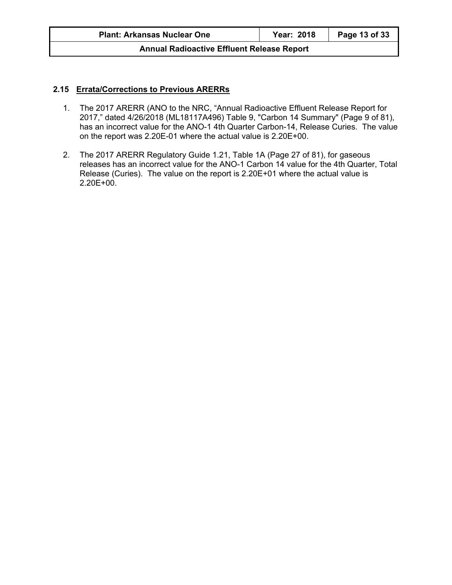#### **2.15 Errata/Corrections to Previous ARERRs**

- 1. The 2017 ARERR (ANO to the NRC, "Annual Radioactive Effluent Release Report for 2017," dated 4/26/2018 (ML18117A496) Table 9, "Carbon 14 Summary" (Page 9 of 81), has an incorrect value for the ANO-1 4th Quarter Carbon-14, Release Curies. The value on the report was 2.20E-01 where the actual value is 2.20E+00.
- 2. The 2017 ARERR Regulatory Guide 1.21, Table 1A (Page 27 of 81), for gaseous releases has an incorrect value for the ANO-1 Carbon 14 value for the 4th Quarter, Total Release (Curies). The value on the report is 2.20E+01 where the actual value is 2.20E+00.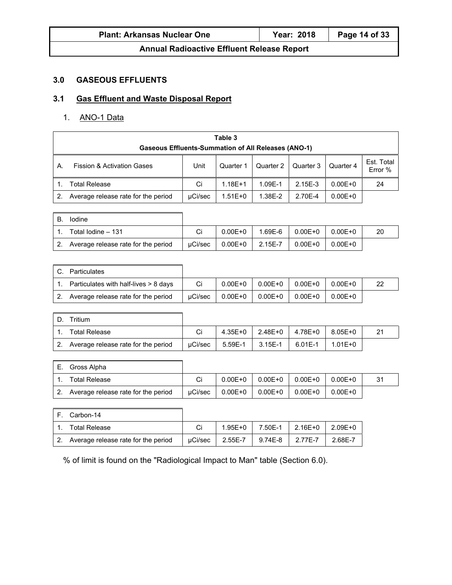| <b>Plant: Arkansas Nuclear One</b> |  |
|------------------------------------|--|
|------------------------------------|--|

## **3.0 GASEOUS EFFLUENTS**

## **3.1 Gas Effluent and Waste Disposal Report**

#### 1. ANO-1 Data

Ē

|    | Table 3<br><b>Gaseous Effluents-Summation of All Releases (ANO-1)</b>                                                      |         |             |         |           |             |    |  |  |
|----|----------------------------------------------------------------------------------------------------------------------------|---------|-------------|---------|-----------|-------------|----|--|--|
| Α. | Est. Total<br>Unit<br><b>Fission &amp; Activation Gases</b><br>Quarter 2<br>Quarter 3<br>Quarter 4<br>Quarter 1<br>Error % |         |             |         |           |             |    |  |  |
|    | <b>Total Release</b>                                                                                                       | Ci      | $1.18F + 1$ | 1.09E-1 | $2.15E-3$ | $0.00E + 0$ | 24 |  |  |
|    | Average release rate for the period                                                                                        | µCi/sec | $1.51E + 0$ | 1.38E-2 | 2.70E-4   | $0.00E + 0$ |    |  |  |

| В. | lodine                              |         |             |         |             |             |    |
|----|-------------------------------------|---------|-------------|---------|-------------|-------------|----|
|    | Total lodine - 131                  |         | $0.00E + 0$ | 1.69E-6 | 0.00E+0     | $0.00E + 0$ | 20 |
|    | Average release rate for the period | uCi/sec | $0.00E + 0$ | 2.15E-7 | $0.00E + 0$ | $0.00E + 0$ |    |

 $\overline{\mathbf{1}}$ 

| Particulates                          |         |             |             |             |             |    |
|---------------------------------------|---------|-------------|-------------|-------------|-------------|----|
| Particulates with half-lives > 8 days | Ci      | $0.00E + 0$ | $0.00E + 0$ | $0.00E + 0$ | $0.00E + 0$ | 22 |
| Average release rate for the period   | uCi/sec | $0.00E + 0$ | $0.00E + 0$ | $0.00E + 0$ | $0.00E + 0$ |    |

| D. | ⊺ritium                             |         |         |           |           |             |  |
|----|-------------------------------------|---------|---------|-----------|-----------|-------------|--|
|    | <b>Total Release</b>                |         | 4.35E+0 | 2.48E+0 L | 4.78E+0   | $8.05E + 0$ |  |
| 2. | Average release rate for the period | uCi/sec | 5.59E-1 | $3.15E-1$ | $6.01E-1$ | $1.01E + 0$ |  |

| Gross Alpha                         |         |             |             |             |             |    |
|-------------------------------------|---------|-------------|-------------|-------------|-------------|----|
| <b>Total Release</b>                | Ci      | $0.00E + 0$ | $0.00E + 0$ | $0.00E + 0$ | $0.00E + 0$ | 31 |
| Average release rate for the period | uCi/sec | $0.00E + 0$ | $0.00E + 0$ | $0.00E + 0$ | $0.00E + 0$ |    |

| IF. Carbon-14                          |         |             |                 |                         |         |
|----------------------------------------|---------|-------------|-----------------|-------------------------|---------|
| <b>Total Release</b>                   |         | $1.95E + 0$ |                 | 7.50E-1 2.16E+0 2.09E+0 |         |
| 2. Average release rate for the period | uCi/sec | 2.55E-7     | 9.74E-8 2.77E-7 |                         | 2.68E-7 |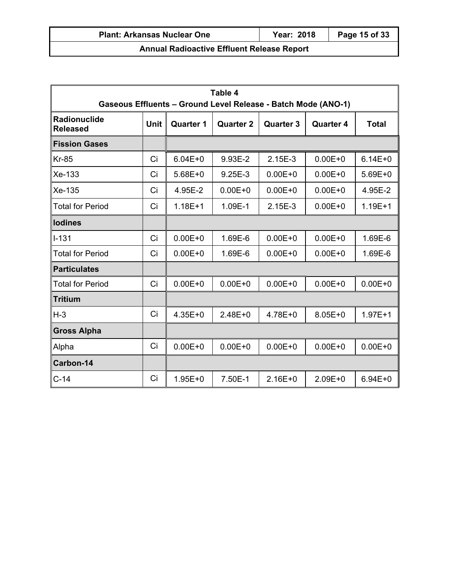|                                                                                                                                                       | Table 4<br>Gaseous Effluents - Ground Level Release - Batch Mode (ANO-1) |             |             |             |             |             |  |  |
|-------------------------------------------------------------------------------------------------------------------------------------------------------|--------------------------------------------------------------------------|-------------|-------------|-------------|-------------|-------------|--|--|
| <b>Radionuclide</b><br><b>Unit</b><br><b>Quarter 2</b><br><b>Quarter 1</b><br><b>Quarter 3</b><br><b>Quarter 4</b><br><b>Total</b><br><b>Released</b> |                                                                          |             |             |             |             |             |  |  |
| <b>Fission Gases</b>                                                                                                                                  |                                                                          |             |             |             |             |             |  |  |
| $Kr-85$                                                                                                                                               | Ci                                                                       | $6.04E + 0$ | 9.93E-2     | 2.15E-3     | $0.00E + 0$ | $6.14E + 0$ |  |  |
| $Xe-133$                                                                                                                                              | Ci                                                                       | $5.68E + 0$ | 9.25E-3     | $0.00E + 0$ | $0.00E + 0$ | $5.69E + 0$ |  |  |
| Xe-135                                                                                                                                                | Ci                                                                       | 4.95E-2     | $0.00E + 0$ | $0.00E + 0$ | $0.00E + 0$ | 4.95E-2     |  |  |
| <b>Total for Period</b>                                                                                                                               | Ci                                                                       | $1.18E + 1$ | 1.09E-1     | 2.15E-3     | $0.00E + 0$ | $1.19E + 1$ |  |  |
| lodines                                                                                                                                               |                                                                          |             |             |             |             |             |  |  |
| $l-131$                                                                                                                                               | Ci                                                                       | $0.00E + 0$ | 1.69E-6     | $0.00E + 0$ | $0.00E + 0$ | 1.69E-6     |  |  |
| <b>Total for Period</b>                                                                                                                               | Ci                                                                       | $0.00E + 0$ | 1.69E-6     | $0.00E + 0$ | $0.00E + 0$ | 1.69E-6     |  |  |
| <b>Particulates</b>                                                                                                                                   |                                                                          |             |             |             |             |             |  |  |
| <b>Total for Period</b>                                                                                                                               | Ci                                                                       | $0.00E + 0$ | $0.00E + 0$ | $0.00E + 0$ | $0.00E + 0$ | $0.00E + 0$ |  |  |
| <b>Tritium</b>                                                                                                                                        |                                                                          |             |             |             |             |             |  |  |
| H-3                                                                                                                                                   | Ci                                                                       | $4.35E + 0$ | $2.48E + 0$ | 4.78E+0     | $8.05E + 0$ | $1.97E + 1$ |  |  |
| <b>Gross Alpha</b>                                                                                                                                    |                                                                          |             |             |             |             |             |  |  |
| Alpha                                                                                                                                                 | Ci                                                                       | $0.00E + 0$ | $0.00E + 0$ | $0.00E + 0$ | $0.00E + 0$ | $0.00E + 0$ |  |  |
| Carbon-14                                                                                                                                             |                                                                          |             |             |             |             |             |  |  |
| $C-14$                                                                                                                                                | Ci                                                                       | $1.95E + 0$ | 7.50E-1     | $2.16E + 0$ | $2.09E + 0$ | $6.94E + 0$ |  |  |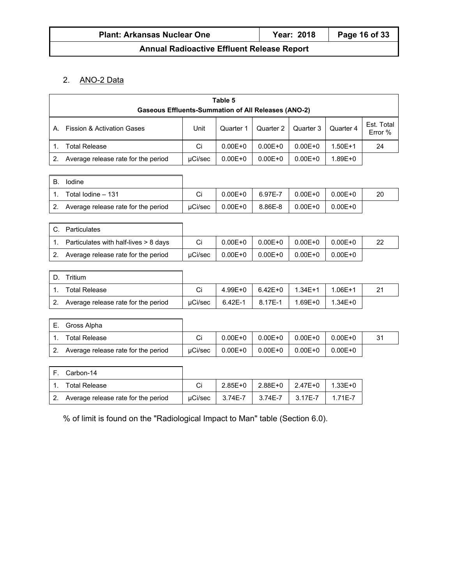#### 2. ANO-2 Data

|             | Table 5                                                    |         |             |             |             |             |                       |  |  |
|-------------|------------------------------------------------------------|---------|-------------|-------------|-------------|-------------|-----------------------|--|--|
|             | <b>Gaseous Effluents-Summation of All Releases (ANO-2)</b> |         |             |             |             |             |                       |  |  |
| А.          | <b>Fission &amp; Activation Gases</b>                      | Unit    | Quarter 1   | Quarter 2   | Quarter 3   | Quarter 4   | Est. Total<br>Error % |  |  |
| 1.          | <b>Total Release</b>                                       | Ci      | $0.00E + 0$ | $0.00E + 0$ | $0.00E + 0$ | $1.50E + 1$ | 24                    |  |  |
| 2.          | Average release rate for the period                        | µCi/sec | $0.00E + 0$ | $0.00E + 0$ | $0.00E + 0$ | $1.89E + 0$ |                       |  |  |
|             |                                                            |         |             |             |             |             |                       |  |  |
| В.          | Iodine                                                     |         |             |             |             |             |                       |  |  |
| 1.          | Total Iodine - 131                                         | Ci      | $0.00E + 0$ | 6.97E-7     | $0.00E + 0$ | $0.00E + 0$ | 20                    |  |  |
| 2.          | Average release rate for the period                        | µCi/sec | $0.00E + 0$ | 8.86E-8     | $0.00E + 0$ | $0.00E + 0$ |                       |  |  |
|             |                                                            |         |             |             |             |             |                       |  |  |
| $C_{\cdot}$ | Particulates                                               |         |             |             |             |             |                       |  |  |
| 1.          | Particulates with half-lives > 8 days                      | Ci      | $0.00E + 0$ | $0.00E + 0$ | $0.00E + 0$ | $0.00E + 0$ | 22                    |  |  |
| 2.          | Average release rate for the period                        | µCi/sec | $0.00E + 0$ | $0.00E + 0$ | $0.00E + 0$ | $0.00E + 0$ |                       |  |  |
|             |                                                            |         |             |             |             |             |                       |  |  |
| D.          | Tritium                                                    |         |             |             |             |             |                       |  |  |
| 1.          | <b>Total Release</b>                                       | Ci      | $4.99E + 0$ | $6.42E + 0$ | $1.34E + 1$ | $1.06E + 1$ | 21                    |  |  |
| 2.          | Average release rate for the period                        | µCi/sec | $6.42E-1$   | 8.17E-1     | $1.69E + 0$ | $1.34E + 0$ |                       |  |  |
|             |                                                            |         |             |             |             |             |                       |  |  |
| Е.          | Gross Alpha                                                |         |             |             |             |             |                       |  |  |
| 1.          | <b>Total Release</b>                                       | Ci      | $0.00E + 0$ | $0.00E + 0$ | $0.00E + 0$ | $0.00E + 0$ | 31                    |  |  |
| 2.          | Average release rate for the period                        | µCi/sec | $0.00E + 0$ | $0.00E + 0$ | $0.00E + 0$ | $0.00E + 0$ |                       |  |  |
|             |                                                            |         |             |             |             |             |                       |  |  |

| IF. | Carbon-14                              |         |         |                         |             |
|-----|----------------------------------------|---------|---------|-------------------------|-------------|
|     | <b>Total Release</b>                   |         |         | 2.85E+0 2.88E+0 2.47E+0 | $1.33E+0$   |
|     | 2. Average release rate for the period | uCi/sec | 3.74E-7 | 3.74E-7 3.17E-7         | $1.71E - 7$ |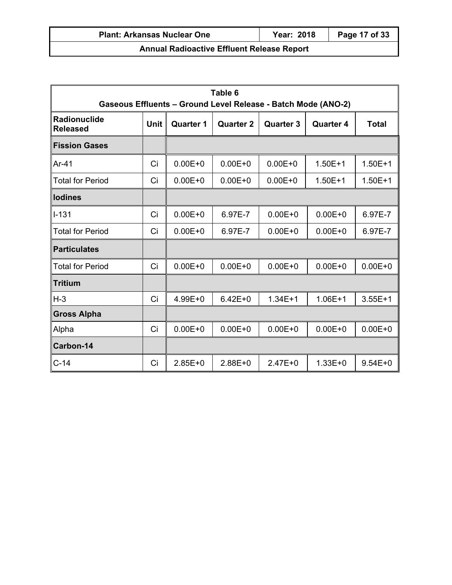| <b>Plant: Arkansas Nuclear One</b>                | Year: 2018 | Page 17 of 33 |  |  |  |  |  |
|---------------------------------------------------|------------|---------------|--|--|--|--|--|
| <b>Annual Radioactive Effluent Release Report</b> |            |               |  |  |  |  |  |

|                                 | Table 6<br>Gaseous Effluents - Ground Level Release - Batch Mode (ANO-2) |                  |                                                                          |             |             |             |  |  |  |
|---------------------------------|--------------------------------------------------------------------------|------------------|--------------------------------------------------------------------------|-------------|-------------|-------------|--|--|--|
| Radionuclide<br><b>Released</b> | <b>Unit</b>                                                              | <b>Quarter 1</b> | <b>Quarter 2</b><br><b>Quarter 3</b><br><b>Total</b><br><b>Quarter 4</b> |             |             |             |  |  |  |
| <b>Fission Gases</b>            |                                                                          |                  |                                                                          |             |             |             |  |  |  |
| $Ar-41$                         | Ci                                                                       | $0.00E + 0$      | $0.00E + 0$                                                              | $0.00E + 0$ | $1.50E + 1$ | $1.50E + 1$ |  |  |  |
| <b>Total for Period</b>         | Ci                                                                       | $0.00E + 0$      | $0.00E + 0$                                                              | $0.00E + 0$ | $1.50E + 1$ | $1.50E + 1$ |  |  |  |
| <b>Iodines</b>                  |                                                                          |                  |                                                                          |             |             |             |  |  |  |
| ∥I-131                          | Ci                                                                       | $0.00E + 0$      | 6.97E-7                                                                  | $0.00E + 0$ | $0.00E + 0$ | 6.97E-7     |  |  |  |
| <b>Total for Period</b>         | Ci                                                                       | $0.00E + 0$      | 6.97E-7                                                                  | $0.00E + 0$ | $0.00E + 0$ | 6.97E-7     |  |  |  |
| <b>Particulates</b>             |                                                                          |                  |                                                                          |             |             |             |  |  |  |
| <b>Total for Period</b>         | Ci                                                                       | $0.00E + 0$      | $0.00E + 0$                                                              | $0.00E + 0$ | $0.00E + 0$ | $0.00E + 0$ |  |  |  |
| <b>Tritium</b>                  |                                                                          |                  |                                                                          |             |             |             |  |  |  |
| H-3                             | Ci                                                                       | 4.99E+0          | $6.42E + 0$                                                              | $1.34E + 1$ | $1.06E + 1$ | $3.55E + 1$ |  |  |  |
| <b>Gross Alpha</b>              |                                                                          |                  |                                                                          |             |             |             |  |  |  |
| Alpha                           | Ci                                                                       | $0.00E + 0$      | $0.00E + 0$                                                              | $0.00E + 0$ | $0.00E + 0$ | $0.00E + 0$ |  |  |  |
| Carbon-14                       |                                                                          |                  |                                                                          |             |             |             |  |  |  |
| $C-14$                          | Ci                                                                       | $2.85E + 0$      | $2.88E+0$                                                                | $2.47E + 0$ | $1.33E + 0$ | $9.54E + 0$ |  |  |  |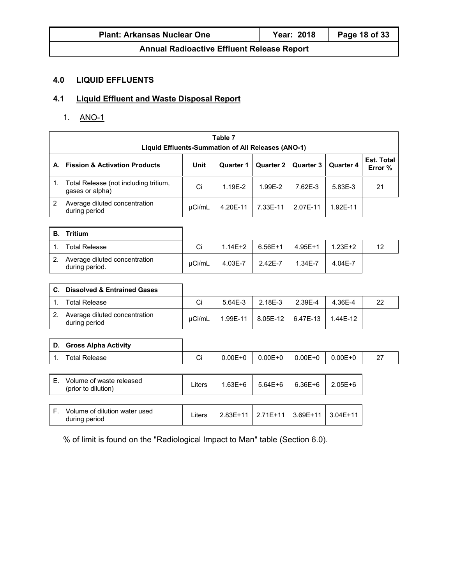| <b>Plant: Arkansas Nuclear One</b> | <b>Year: 2018</b> | Page 18 of 33 |
|------------------------------------|-------------------|---------------|
|------------------------------------|-------------------|---------------|

## **4.0 LIQUID EFFLUENTS**

## **4.1 Liquid Effluent and Waste Disposal Report**

1. ANO-1

|                | Table 7<br>Liquid Effluents-Summation of All Releases (ANO-1) |             |             |                  |                  |             |                              |
|----------------|---------------------------------------------------------------|-------------|-------------|------------------|------------------|-------------|------------------------------|
|                |                                                               |             |             |                  |                  |             |                              |
| А.             | <b>Fission &amp; Activation Products</b>                      | <b>Unit</b> | Quarter 1   | <b>Quarter 2</b> | <b>Quarter 3</b> | Quarter 4   | <b>Est. Total</b><br>Error % |
| 1.             | Total Release (not including tritium,<br>gases or alpha)      | Ci          | 1.19E-2     | 1.99E-2          | 7.62E-3          | 5.83E-3     | 21                           |
| 2              | Average diluted concentration<br>during period                | µCi/mL      | 4.20E-11    | 7.33E-11         | 2.07E-11         | 1.92E-11    |                              |
| В.             | <b>Tritium</b>                                                |             |             |                  |                  |             |                              |
| 1.             | <b>Total Release</b>                                          | Ci          | $1.14E + 2$ | $6.56E+1$        | $4.95E + 1$      | $1.23E + 2$ | 12                           |
| 2.             | Average diluted concentration<br>during period.               | µCi/mL      | 4.03E-7     | 2.42E-7          | 1.34E-7          | 4.04E-7     |                              |
|                |                                                               |             |             |                  |                  |             |                              |
| C.             | <b>Dissolved &amp; Entrained Gases</b>                        |             |             |                  |                  |             |                              |
| 1 <sub>1</sub> | <b>Total Release</b>                                          | Ci          | $5.64E-3$   | 2.18E-3          | 2.39E-4          | 4.36E-4     | 22                           |
| 2.             | Average diluted concentration<br>during period                | µCi/mL      | 1.99E-11    | 8.05E-12         | 6.47E-13         | 1.44E-12    |                              |
|                |                                                               |             |             |                  |                  |             |                              |
| D.             | <b>Gross Alpha Activity</b>                                   |             |             |                  |                  |             |                              |
| $\mathbf{1}$ . | <b>Total Release</b>                                          | Ci          | $0.00E + 0$ | $0.00E + 0$      | $0.00E + 0$      | $0.00E + 0$ | 27                           |
|                |                                                               |             |             |                  |                  |             |                              |
| Е.             | Volume of waste released<br>(prior to dilution)               | Liters      | $1.63E + 6$ | $5.64E + 6$      | $6.36E + 6$      | $2.05E + 6$ |                              |
|                |                                                               |             |             |                  |                  |             |                              |
| F.             | Volume of dilution water used<br>during period                | Liters      | 2.83E+11    | $2.71E+11$       | 3.69E+11         | $3.04E+11$  |                              |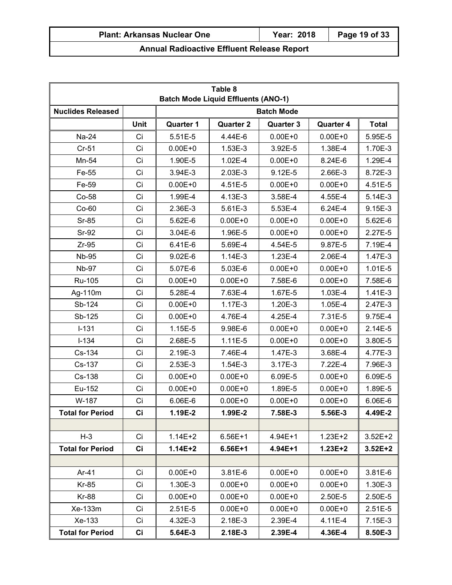| Table 8<br><b>Batch Mode Liquid Effluents (ANO-1)</b> |             |                  |                  |                   |                  |              |
|-------------------------------------------------------|-------------|------------------|------------------|-------------------|------------------|--------------|
| <b>Nuclides Released</b>                              |             |                  |                  | <b>Batch Mode</b> |                  |              |
|                                                       | <b>Unit</b> | <b>Quarter 1</b> | <b>Quarter 2</b> | <b>Quarter 3</b>  | <b>Quarter 4</b> | <b>Total</b> |
| Na-24                                                 | Ci          | $5.51E-5$        | 4.44E-6          | $0.00E + 0$       | $0.00E + 0$      | 5.95E-5      |
| $Cr-51$                                               | Ci          | $0.00E + 0$      | 1.53E-3          | 3.92E-5           | 1.38E-4          | 1.70E-3      |
| Mn-54                                                 | Ci          | 1.90E-5          | 1.02E-4          | $0.00E + 0$       | $8.24E-6$        | 1.29E-4      |
| Fe-55                                                 | Ci          | 3.94E-3          | 2.03E-3          | 9.12E-5           | 2.66E-3          | 8.72E-3      |
| Fe-59                                                 | Ci          | $0.00E + 0$      | 4.51E-5          | $0.00E + 0$       | $0.00E + 0$      | 4.51E-5      |
| Co-58                                                 | Ci          | 1.99E-4          | 4.13E-3          | 3.58E-4           | 4.55E-4          | 5.14E-3      |
| $Co-60$                                               | Ci          | 2.36E-3          | 5.61E-3          | 5.53E-4           | 6.24E-4          | 9.15E-3      |
| $Sr-85$                                               | Ci          | 5.62E-6          | $0.00E + 0$      | $0.00E + 0$       | $0.00E + 0$      | 5.62E-6      |
| Sr-92                                                 | Ci          | $3.04E-6$        | 1.96E-5          | $0.00E + 0$       | $0.00E + 0$      | 2.27E-5      |
| $Zr-95$                                               | Ci          | 6.41E-6          | 5.69E-4          | 4.54E-5           | 9.87E-5          | 7.19E-4      |
| <b>Nb-95</b>                                          | Ci          | $9.02E - 6$      | $1.14E-3$        | 1.23E-4           | 2.06E-4          | 1.47E-3      |
| <b>Nb-97</b>                                          | Ci          | 5.07E-6          | $5.03E-6$        | $0.00E + 0$       | $0.00E + 0$      | 1.01E-5      |
| Ru-105                                                | Ci          | $0.00E + 0$      | $0.00E + 0$      | 7.58E-6           | $0.00E + 0$      | 7.58E-6      |
| Ag-110m                                               | Ci          | 5.28E-4          | 7.63E-4          | 1.67E-5           | 1.03E-4          | $1.41E-3$    |
| Sb-124                                                | Ci          | $0.00E + 0$      | $1.17E-3$        | 1.20E-3           | 1.05E-4          | 2.47E-3      |
| Sb-125                                                | Ci          | $0.00E + 0$      | 4.76E-4          | 4.25E-4           | 7.31E-5          | 9.75E-4      |
| $I-131$                                               | Ci          | 1.15E-5          | 9.98E-6          | $0.00E + 0$       | $0.00E + 0$      | $2.14E-5$    |
| $I-134$                                               | Ci          | 2.68E-5          | $1.11E-5$        | $0.00E + 0$       | $0.00E + 0$      | 3.80E-5      |
| Cs-134                                                | Ci          | 2.19E-3          | 7.46E-4          | 1.47E-3           | 3.68E-4          | 4.77E-3      |
| Cs-137                                                | Ci          | 2.53E-3          | $1.54E-3$        | 3.17E-3           | 7.22E-4          | 7.96E-3      |
| Cs-138                                                | Ci          | $0.00E + 0$      | $0.00E + 0$      | 6.09E-5           | $0.00E + 0$      | 6.09E-5      |
| Eu-152                                                | Ci          | $0.00E + 0$      | $0.00E + 0$      | 1.89E-5           | $0.00E + 0$      | 1.89E-5      |
| W-187                                                 | Ci          | 6.06E-6          | $0.00E + 0$      | $0.00E + 0$       | $0.00E + 0$      | 6.06E-6      |
| <b>Total for Period</b>                               | Ci          | 1.19E-2          | 1.99E-2          | 7.58E-3           | 5.56E-3          | 4.49E-2      |
|                                                       |             |                  |                  |                   |                  |              |
| $H-3$                                                 | Ci          | $1.14E + 2$      | $6.56E+1$        | 4.94E+1           | $1.23E + 2$      | $3.52E + 2$  |
| <b>Total for Period</b>                               | Ci          | $1.14E + 2$      | $6.56E+1$        | 4.94E+1           | $1.23E + 2$      | $3.52E + 2$  |
|                                                       |             |                  |                  |                   |                  |              |
| Ar-41                                                 | Ci          | $0.00E + 0$      | 3.81E-6          | $0.00E + 0$       | $0.00E + 0$      | 3.81E-6      |
| Kr-85                                                 | Ci          | 1.30E-3          | $0.00E + 0$      | $0.00E + 0$       | $0.00E + 0$      | 1.30E-3      |
| <b>Kr-88</b>                                          | Ci          | $0.00E + 0$      | $0.00E + 0$      | $0.00E + 0$       | 2.50E-5          | 2.50E-5      |
| Xe-133m                                               | Ci          | $2.51E-5$        | $0.00E + 0$      | $0.00E + 0$       | $0.00E + 0$      | $2.51E-5$    |
| Xe-133                                                | Ci          | 4.32E-3          | 2.18E-3          | 2.39E-4           | 4.11E-4          | 7.15E-3      |
| <b>Total for Period</b>                               | Ci          | 5.64E-3          | 2.18E-3          | 2.39E-4           | 4.36E-4          | 8.50E-3      |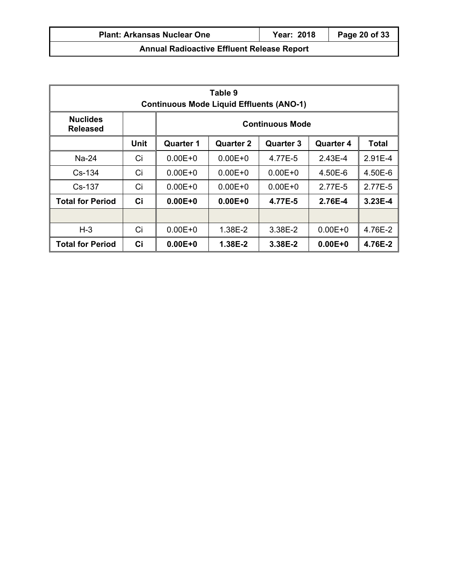| Table 9<br><b>Continuous Mode Liquid Effluents (ANO-1)</b> |             |                        |                  |                  |                  |              |
|------------------------------------------------------------|-------------|------------------------|------------------|------------------|------------------|--------------|
| <b>Nuclides</b><br><b>Released</b>                         |             | <b>Continuous Mode</b> |                  |                  |                  |              |
|                                                            | <b>Unit</b> | <b>Quarter 1</b>       | <b>Quarter 2</b> | <b>Quarter 3</b> | <b>Quarter 4</b> | <b>Total</b> |
| Na-24                                                      | Ci          | $0.00E + 0$            | $0.00E + 0$      | 4.77E-5          | 2.43E-4          | $2.91E-4$    |
| $Cs - 134$                                                 | Ci          | $0.00E + 0$            | $0.00E + 0$      | $0.00E + 0$      | $4.50E-6$        | 4.50E-6      |
| $Cs-137$                                                   | Ci          | $0.00E + 0$            | $0.00E + 0$      | $0.00E + 0$      | 2.77E-5          | 2.77E-5      |
| <b>Total for Period</b>                                    | Ci          | $0.00E + 0$            | $0.00E + 0$      | 4.77E-5          | 2.76E-4          | 3.23E-4      |
|                                                            |             |                        |                  |                  |                  |              |
| $H-3$                                                      | Ci          | $0.00E + 0$            | 1.38E-2          | 3.38E-2          | $0.00E + 0$      | 4.76E-2      |
| <b>Total for Period</b>                                    | Ci          | $0.00E + 0$            | 1.38E-2          | 3.38E-2          | $0.00E + 0$      | 4.76E-2      |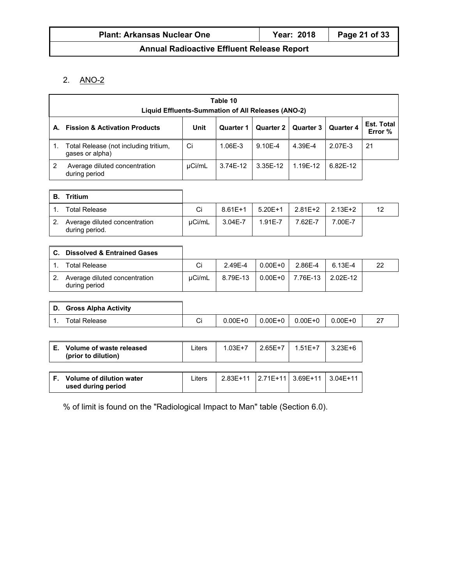#### 2. ANO-2

|                | Table 10<br>Liquid Effluents-Summation of All Releases (ANO-2) |        |                  |                  |                  |                  |                              |
|----------------|----------------------------------------------------------------|--------|------------------|------------------|------------------|------------------|------------------------------|
| А.             | <b>Fission &amp; Activation Products</b>                       | Unit   | <b>Quarter 1</b> | <b>Quarter 2</b> | <b>Quarter 3</b> | <b>Quarter 4</b> | <b>Est. Total</b><br>Error % |
| 1.             | Total Release (not including tritium,<br>gases or alpha)       | Ci     | 1.06E-3          | 9.10E-4          | 4.39E-4          | 2.07E-3          | 21                           |
| 2              | Average diluted concentration<br>during period                 | µCi/mL | 3.74E-12         | 3.35E-12         | 1.19E-12         | 6.82E-12         |                              |
| <b>B.</b>      | <b>Tritium</b>                                                 |        |                  |                  |                  |                  |                              |
| 1.             | <b>Total Release</b>                                           | Ci     | $8.61E+1$        | $5.20E+1$        | $2.81E+2$        | $2.13E + 2$      | 12                           |
| 2 <sub>1</sub> | Average diluted concentration<br>during period.                | µCi/mL | $3.04E - 7$      | 1.91E-7          | 7.62E-7          | 7.00E-7          |                              |
|                |                                                                |        |                  |                  |                  |                  |                              |
| C.             | <b>Dissolved &amp; Entrained Gases</b>                         |        |                  |                  |                  |                  |                              |
| 1 <sub>1</sub> | <b>Total Release</b>                                           | Ci     | 2.49E-4          | $0.00E + 0$      | 2.86E-4          | 6.13E-4          | 22                           |
| 2.             | Average diluted concentration<br>during period                 | µCi/mL | 8.79E-13         | $0.00E + 0$      | 7.76E-13         | 2.02E-12         |                              |
|                |                                                                |        |                  |                  |                  |                  |                              |
| D.             | <b>Gross Alpha Activity</b>                                    |        |                  |                  |                  |                  |                              |
| 1.             | <b>Total Release</b>                                           | Ci     | $0.00E + 0$      | $0.00E + 0$      | $0.00E + 0$      | $0.00E + 0$      | 27                           |
|                |                                                                |        |                  |                  |                  |                  |                              |
| Е.             | Volume of waste released<br>(prior to dilution)                | Liters | $1.03E + 7$      | $2.65E+7$        | $1.51E+7$        | $3.23E + 6$      |                              |
| F.             | Volume of dilution water<br>used during period                 | Liters | 2.83E+11         | $2.71E+11$       | $3.69E+11$       | $3.04E + 11$     |                              |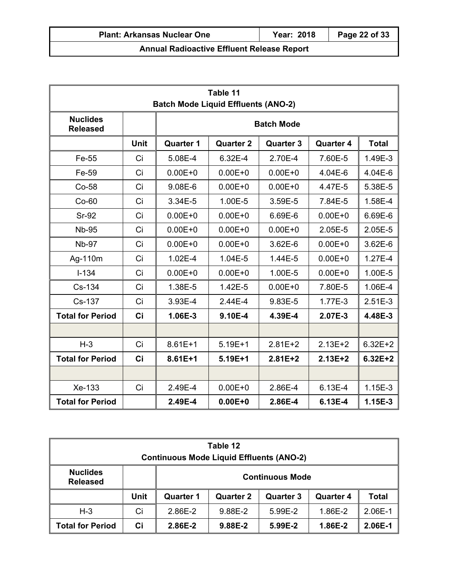# **Table 11 Batch Mode Liquid Effluents (ANO-2) Nuclides Released Batch Mode Unit Quarter 1 Quarter 2 Quarter 3 Quarter 4 Total**  Fe-55 Ci 5.08E-4 6.32E-4 2.70E-4 7.60E-5 1.49E-3 Fe-59 Ci 0.00E+0 0.00E+0 0.00E+0 4.04E-6 4.04E-6 Co-58 | Ci | 9.08E-6 | 0.00E+0 | 0.00E+0 | 4.47E-5 | 5.38E-5 Co-60 Ci 3.34E-5 1.00E-5 3.59E-5 7.84E-5 1.58E-4 Sr-92 Ci 0.00E+0 0.00E+0 6.69E-6 0.00E+0 6.69E-6 Nb-95 Ci 0.00E+0 0.00E+0 0.00E+0 2.05E-5 2.05E-5 Nb-97 Ci 0.00E+0 0.00E+0 3.62E-6 0.00E+0 3.62E-6 Ag-110m | Ci | 1.02E-4 | 1.04E-5 | 1.44E-5 | 0.00E+0 | 1.27E-4 I-134 Ci 0.00E+0 0.00E+0 1.00E-5 0.00E+0 1.00E-5 Cs-134 | Ci | 1.38E-5 | 1.42E-5 | 0.00E+0 | 7.80E-5 | 1.06E-4 Cs-137 Ci 3.93E-4 2.44E-4 9.83E-5 1.77E-3 2.51E-3 **Total for Period Ci 1.06E-3 9.10E-4 4.39E-4 2.07E-3 4.48E-3**  H-3 | Ci | 8.61E+1 | 5.19E+1 | 2.81E+2 | 2.13E+2 | 6.32E+2 **Total for Period Ci 8.61E+1 5.19E+1 2.81E+2 2.13E+2 6.32E+2**

| Table 12<br><b>Continuous Mode Liquid Effluents (ANO-2)</b> |      |                        |                  |                  |                  |              |
|-------------------------------------------------------------|------|------------------------|------------------|------------------|------------------|--------------|
| <b>Nuclides</b><br><b>Released</b>                          |      | <b>Continuous Mode</b> |                  |                  |                  |              |
|                                                             | Unit | <b>Quarter 1</b>       | <b>Quarter 2</b> | <b>Quarter 3</b> | <b>Quarter 4</b> | <b>Total</b> |
| $H-3$                                                       | Ci   | 2.86E-2                | 9.88E-2          | 5.99E-2          | 1.86E-2          | 2.06E-1      |
| <b>Total for Period</b>                                     | Ci   | 2.86E-2                | 9.88E-2          | 5.99E-2          | 1.86E-2          | 2.06E-1      |

Xe-133 Ci 2.49E-4 0.00E+0 2.86E-4 6.13E-4 1.15E-3

**Total for Period 2.49E-4 0.00E+0 2.86E-4 6.13E-4 1.15E-3**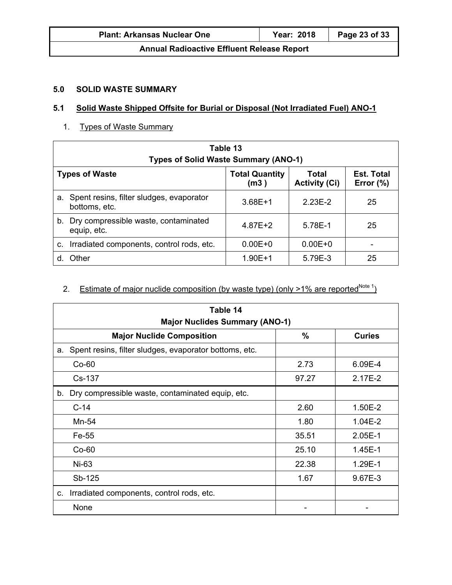| <b>Plant: Arkansas Nuclear One</b>                | <b>Year: 2018</b> | Page 23 of 33 |  |
|---------------------------------------------------|-------------------|---------------|--|
| <b>Annual Radioactive Effluent Release Report</b> |                   |               |  |

## **5.0 SOLID WASTE SUMMARY**

#### **5.1 Solid Waste Shipped Offsite for Burial or Disposal (Not Irradiated Fuel) ANO-1**

1. Types of Waste Summary

| Table 13<br><b>Types of Solid Waste Summary (ANO-1)</b>                                                                      |             |             |    |  |  |
|------------------------------------------------------------------------------------------------------------------------------|-------------|-------------|----|--|--|
| <b>Est. Total</b><br><b>Types of Waste</b><br><b>Total Quantity</b><br>Total<br><b>Activity (Ci)</b><br>Error $(\%)$<br>(m3) |             |             |    |  |  |
| Spent resins, filter sludges, evaporator<br>а.<br>bottoms, etc.                                                              | $3.68E + 1$ | $2.23E-2$   | 25 |  |  |
| b. Dry compressible waste, contaminated<br>equip, etc.                                                                       | $4.87E + 2$ | 5.78E-1     | 25 |  |  |
| Irradiated components, control rods, etc.<br>c.                                                                              | $0.00E + 0$ | $0.00E + 0$ |    |  |  |
| Other                                                                                                                        | $1.90E + 1$ | 5.79E-3     | 25 |  |  |

## 2. Estimate of major nuclide composition (by waste type) (only  $>1\%$  are reported<sup>Note 1</sup>)

| Table 14<br><b>Major Nuclides Summary (ANO-1)</b>            |               |               |  |
|--------------------------------------------------------------|---------------|---------------|--|
| <b>Major Nuclide Composition</b>                             | $\frac{0}{0}$ | <b>Curies</b> |  |
| Spent resins, filter sludges, evaporator bottoms, etc.<br>а. |               |               |  |
| $Co-60$                                                      | 2.73          | 6.09E-4       |  |
| Cs-137                                                       | 97.27         | $2.17E-2$     |  |
| Dry compressible waste, contaminated equip, etc.<br>b.       |               |               |  |
| $C-14$                                                       | 2.60          | 1.50E-2       |  |
| Mn-54                                                        | 1.80          | $1.04E-2$     |  |
| Fe-55                                                        | 35.51         | $2.05E-1$     |  |
| $Co-60$                                                      | 25.10         | 1.45E-1       |  |
| Ni-63                                                        | 22.38         | 1.29E-1       |  |
| Sb-125                                                       | 1.67          | 9.67E-3       |  |
| Irradiated components, control rods, etc.<br>C.              |               |               |  |
| None                                                         |               |               |  |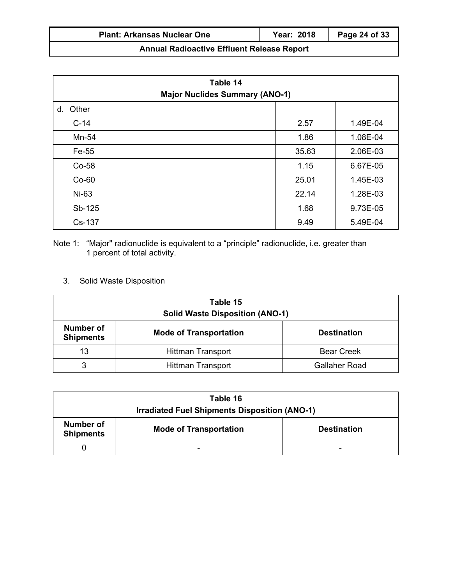| <b>Plant: Arkansas Nuclear One</b>                | Year: 2018 | $\vert$ Page 24 of 33 |
|---------------------------------------------------|------------|-----------------------|
| <b>Annual Radioactive Effluent Release Report</b> |            |                       |

| Table 14<br><b>Major Nuclides Summary (ANO-1)</b> |       |          |  |
|---------------------------------------------------|-------|----------|--|
| d. Other                                          |       |          |  |
| $C-14$                                            | 2.57  | 1.49E-04 |  |
| Mn-54                                             | 1.86  | 1.08E-04 |  |
| Fe-55                                             | 35.63 | 2.06E-03 |  |
| Co-58                                             | 1.15  | 6.67E-05 |  |
| $Co-60$                                           | 25.01 | 1.45E-03 |  |
| Ni-63                                             | 22.14 | 1.28E-03 |  |
| Sb-125                                            | 1.68  | 9.73E-05 |  |
| Cs-137                                            | 9.49  | 5.49E-04 |  |

Note 1: "Major" radionuclide is equivalent to a "principle" radionuclide, i.e. greater than 1 percent of total activity.

## 3. Solid Waste Disposition

| Table 15<br><b>Solid Waste Disposition (ANO-1)</b>                                          |                          |                      |  |  |
|---------------------------------------------------------------------------------------------|--------------------------|----------------------|--|--|
| <b>Number of</b><br><b>Mode of Transportation</b><br><b>Destination</b><br><b>Shipments</b> |                          |                      |  |  |
| 13                                                                                          | <b>Hittman Transport</b> | <b>Bear Creek</b>    |  |  |
| 3                                                                                           | <b>Hittman Transport</b> | <b>Gallaher Road</b> |  |  |

| Table 16                                             |                    |   |  |  |  |
|------------------------------------------------------|--------------------|---|--|--|--|
| <b>Irradiated Fuel Shipments Disposition (ANO-1)</b> |                    |   |  |  |  |
| Number of<br><b>Shipments</b>                        | <b>Destination</b> |   |  |  |  |
|                                                      | -                  | - |  |  |  |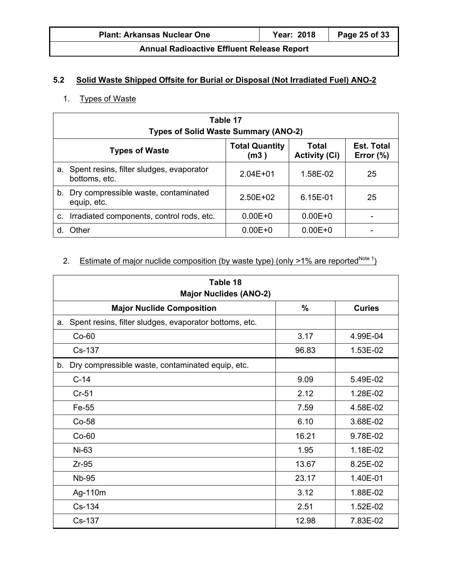| <b>Plant: Arkansas Nuclear One</b> | <b>Year: 2018</b> | Page 25 of 33 |
|------------------------------------|-------------------|---------------|
|------------------------------------|-------------------|---------------|

## **5.2 Solid Waste Shipped Offsite for Burial or Disposal (Not Irradiated Fuel) ANO-2**

## 1. Types of Waste

| Table 17<br><b>Types of Solid Waste Summary (ANO-2)</b> |                                                                                                                              |              |             |    |  |  |
|---------------------------------------------------------|------------------------------------------------------------------------------------------------------------------------------|--------------|-------------|----|--|--|
|                                                         | <b>Est. Total</b><br><b>Total Quantity</b><br>Total<br><b>Types of Waste</b><br><b>Activity (Ci)</b><br>Error $(\%)$<br>(m3) |              |             |    |  |  |
|                                                         | a. Spent resins, filter sludges, evaporator<br>bottoms, etc.                                                                 | $2.04E + 01$ | 1.58E-02    | 25 |  |  |
|                                                         | b. Dry compressible waste, contaminated<br>equip, etc.                                                                       | $2.50E+02$   | 6.15E-01    | 25 |  |  |
|                                                         | c. Irradiated components, control rods, etc.                                                                                 | $0.00E + 0$  | $0.00E + 0$ |    |  |  |
| d.                                                      | Other                                                                                                                        | $0.00E + 0$  | $0.00E + 0$ |    |  |  |

## 2. Estimate of major nuclide composition (by waste type) (only  $>1\%$  are reported<sup>Note 1</sup>)

| Table 18<br><b>Major Nuclides (ANO-2)</b>                    |                                |          |  |  |  |  |
|--------------------------------------------------------------|--------------------------------|----------|--|--|--|--|
| <b>Major Nuclide Composition</b>                             | $\frac{0}{0}$<br><b>Curies</b> |          |  |  |  |  |
| Spent resins, filter sludges, evaporator bottoms, etc.<br>a. |                                |          |  |  |  |  |
| $Co-60$                                                      | 3.17                           | 4.99E-04 |  |  |  |  |
| Cs-137                                                       | 96.83                          | 1.53E-02 |  |  |  |  |
| Dry compressible waste, contaminated equip, etc.<br>b.       |                                |          |  |  |  |  |
| $C-14$                                                       | 9.09                           | 5.49E-02 |  |  |  |  |
| $Cr-51$                                                      | 2.12                           | 1.28E-02 |  |  |  |  |
| Fe-55                                                        | 7.59                           | 4.58E-02 |  |  |  |  |
| $Co-58$                                                      | 6.10                           | 3.68E-02 |  |  |  |  |
| $Co-60$                                                      | 16.21                          | 9.78E-02 |  |  |  |  |
| Ni-63                                                        | 1.95                           | 1.18E-02 |  |  |  |  |
| $Zr-95$                                                      | 13.67                          | 8.25E-02 |  |  |  |  |
| <b>Nb-95</b>                                                 | 23.17                          | 1.40E-01 |  |  |  |  |
| Ag-110m                                                      | 3.12                           | 1.88E-02 |  |  |  |  |
| Cs-134                                                       | 2.51                           | 1.52E-02 |  |  |  |  |
| Cs-137                                                       | 12.98                          | 7.83E-02 |  |  |  |  |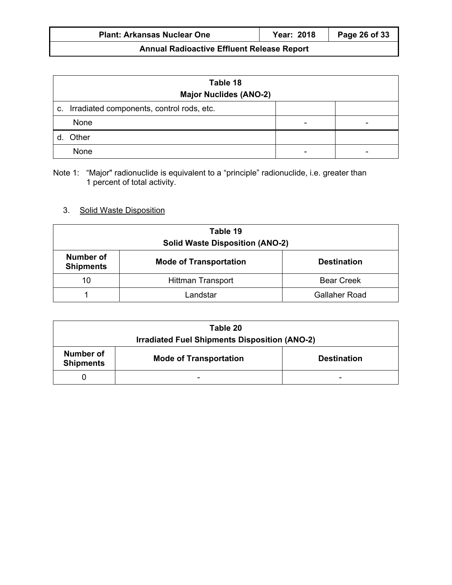| <b>Year: 2018</b><br>Page 26 of 33<br><b>Plant: Arkansas Nuclear One</b> |
|--------------------------------------------------------------------------|
|--------------------------------------------------------------------------|

| Table 18<br><b>Major Nuclides (ANO-2)</b>    |   |  |  |
|----------------------------------------------|---|--|--|
| c. Irradiated components, control rods, etc. |   |  |  |
| None                                         | ٠ |  |  |
| Other                                        |   |  |  |
| None                                         | - |  |  |

Note 1: "Major" radionuclide is equivalent to a "principle" radionuclide, i.e. greater than 1 percent of total activity.

## 3. Solid Waste Disposition

| Table 19<br><b>Solid Waste Disposition (ANO-2)</b>                                   |                          |                      |  |  |
|--------------------------------------------------------------------------------------|--------------------------|----------------------|--|--|
| Number of<br><b>Mode of Transportation</b><br><b>Destination</b><br><b>Shipments</b> |                          |                      |  |  |
| 10                                                                                   | <b>Hittman Transport</b> | <b>Bear Creek</b>    |  |  |
|                                                                                      | Landstar                 | <b>Gallaher Road</b> |  |  |

| Table 20<br><b>Irradiated Fuel Shipments Disposition (ANO-2)</b>                     |   |  |  |
|--------------------------------------------------------------------------------------|---|--|--|
| Number of<br><b>Mode of Transportation</b><br><b>Destination</b><br><b>Shipments</b> |   |  |  |
|                                                                                      | - |  |  |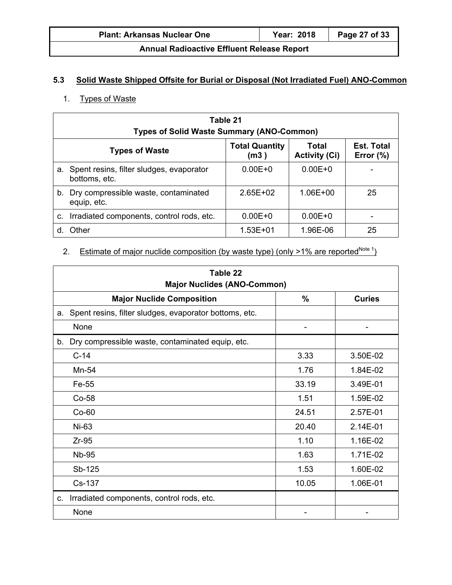| <b>Plant: Arkansas Nuclear One</b> | <b>Year: 2018</b> | Page 27 of 33 |
|------------------------------------|-------------------|---------------|
|                                    |                   |               |

## **5.3 Solid Waste Shipped Offsite for Burial or Disposal (Not Irradiated Fuel) ANO-Common**

## 1. Types of Waste

| Table 21<br><b>Types of Solid Waste Summary (ANO-Common)</b> |                                                                                                                              |              |              |    |  |
|--------------------------------------------------------------|------------------------------------------------------------------------------------------------------------------------------|--------------|--------------|----|--|
|                                                              | <b>Est. Total</b><br><b>Total Quantity</b><br>Total<br><b>Types of Waste</b><br><b>Activity (Ci)</b><br>Error $(\%)$<br>(m3) |              |              |    |  |
|                                                              | a. Spent resins, filter sludges, evaporator<br>bottoms, etc.                                                                 | $0.00E + 0$  | $0.00E + 0$  |    |  |
|                                                              | b. Dry compressible waste, contaminated<br>equip, etc.                                                                       | $2.65E + 02$ | $1.06E + 00$ | 25 |  |
|                                                              | c. Irradiated components, control rods, etc.                                                                                 | $0.00E + 0$  | $0.00E + 0$  |    |  |
| d.                                                           | Other                                                                                                                        | $1.53E + 01$ | 1.96E-06     | 25 |  |

## 2. Estimate of major nuclide composition (by waste type) (only  $>1\%$  are reported<sup>Note 1</sup>)

| Table 22<br><b>Major Nuclides (ANO-Common)</b>               |               |               |  |
|--------------------------------------------------------------|---------------|---------------|--|
| <b>Major Nuclide Composition</b>                             | $\frac{0}{0}$ | <b>Curies</b> |  |
| Spent resins, filter sludges, evaporator bottoms, etc.<br>a. |               |               |  |
| None                                                         | ۰             | ۰             |  |
| Dry compressible waste, contaminated equip, etc.<br>b.       |               |               |  |
| $C-14$                                                       | 3.33          | 3.50E-02      |  |
| Mn-54                                                        | 1.76          | 1.84E-02      |  |
| Fe-55                                                        | 33.19         | 3.49E-01      |  |
| $Co-58$                                                      | 1.51          | 1.59E-02      |  |
| $Co-60$                                                      | 24.51         | 2.57E-01      |  |
| Ni-63                                                        | 20.40         | 2.14E-01      |  |
| $Zr-95$                                                      | 1.10          | 1.16E-02      |  |
| <b>Nb-95</b>                                                 | 1.63          | 1.71E-02      |  |
| Sb-125                                                       | 1.53          | 1.60E-02      |  |
| Cs-137                                                       | 10.05         | 1.06E-01      |  |
| Irradiated components, control rods, etc.<br>C.              |               |               |  |
| None                                                         |               |               |  |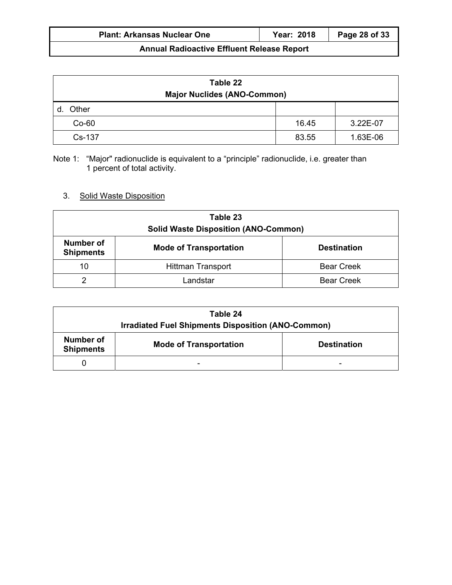| <b>Plant: Arkansas Nuclear One</b> | Year: 2018 | Page 28 of 33 |
|------------------------------------|------------|---------------|
|                                    |            |               |

| Table 22<br><b>Major Nuclides (ANO-Common)</b> |       |          |  |
|------------------------------------------------|-------|----------|--|
| Other                                          |       |          |  |
| $Co-60$                                        | 16.45 | 3.22E-07 |  |
| Cs-137                                         | 83.55 | 1.63E-06 |  |

Note 1: "Major" radionuclide is equivalent to a "principle" radionuclide, i.e. greater than 1 percent of total activity.

## 3. Solid Waste Disposition

| Table 23<br><b>Solid Waste Disposition (ANO-Common)</b>                              |          |                   |  |  |  |
|--------------------------------------------------------------------------------------|----------|-------------------|--|--|--|
| Number of<br><b>Mode of Transportation</b><br><b>Destination</b><br><b>Shipments</b> |          |                   |  |  |  |
| 10<br><b>Bear Creek</b><br><b>Hittman Transport</b>                                  |          |                   |  |  |  |
| ⌒                                                                                    | ∟andstar | <b>Bear Creek</b> |  |  |  |

| Table 24                                                                             |  |  |  |  |  |  |
|--------------------------------------------------------------------------------------|--|--|--|--|--|--|
| Irradiated Fuel Shipments Disposition (ANO-Common)                                   |  |  |  |  |  |  |
| Number of<br><b>Mode of Transportation</b><br><b>Destination</b><br><b>Shipments</b> |  |  |  |  |  |  |
|                                                                                      |  |  |  |  |  |  |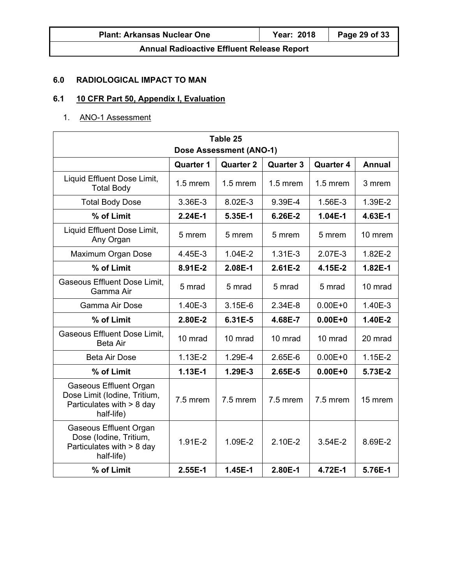## **6.0 RADIOLOGICAL IMPACT TO MAN**

## **6.1 10 CFR Part 50, Appendix I, Evaluation**

## 1. ANO-1 Assessment

| Table 25                                                                                                 |            |            |            |             |           |  |  |  |
|----------------------------------------------------------------------------------------------------------|------------|------------|------------|-------------|-----------|--|--|--|
| <b>Dose Assessment (ANO-1)</b>                                                                           |            |            |            |             |           |  |  |  |
| <b>Quarter 3</b><br><b>Quarter 4</b><br><b>Annual</b><br><b>Quarter 1</b><br><b>Quarter 2</b>            |            |            |            |             |           |  |  |  |
| Liquid Effluent Dose Limit,<br><b>Total Body</b>                                                         | $1.5$ mrem | $1.5$ mrem | $1.5$ mrem | $1.5$ mrem  | 3 mrem    |  |  |  |
| <b>Total Body Dose</b>                                                                                   | 3.36E-3    | 8.02E-3    | 9.39E-4    | 1.56E-3     | 1.39E-2   |  |  |  |
| % of Limit                                                                                               | $2.24E-1$  | 5.35E-1    | 6.26E-2    | $1.04E-1$   | 4.63E-1   |  |  |  |
| Liquid Effluent Dose Limit,<br>Any Organ                                                                 | 5 mrem     | 5 mrem     | 5 mrem     | 5 mrem      | 10 mrem   |  |  |  |
| Maximum Organ Dose                                                                                       | 4.45E-3    | 1.04E-2    | $1.31E-3$  | 2.07E-3     | 1.82E-2   |  |  |  |
| % of Limit                                                                                               | 8.91E-2    | 2.08E-1    | $2.61E-2$  | 4.15E-2     | 1.82E-1   |  |  |  |
| Gaseous Effluent Dose Limit,<br>Gamma Air                                                                | 5 mrad     | 5 mrad     | 5 mrad     | 5 mrad      | 10 mrad   |  |  |  |
| Gamma Air Dose                                                                                           | 1.40E-3    | 3.15E-6    | $2.34E-8$  | $0.00E + 0$ | 1.40E-3   |  |  |  |
| % of Limit                                                                                               | 2.80E-2    | 6.31E-5    | 4.68E-7    | $0.00E + 0$ | 1.40E-2   |  |  |  |
| Gaseous Effluent Dose Limit,<br><b>Beta Air</b>                                                          | 10 mrad    | 10 mrad    | 10 mrad    | 10 mrad     | 20 mrad   |  |  |  |
| <b>Beta Air Dose</b>                                                                                     | $1.13E-2$  | 1.29E-4    | 2.65E-6    | $0.00E + 0$ | $1.15E-2$ |  |  |  |
| % of Limit                                                                                               | 1.13E-1    | 1.29E-3    | $2.65E-5$  | $0.00E + 0$ | 5.73E-2   |  |  |  |
| <b>Gaseous Effluent Organ</b><br>Dose Limit (Iodine, Tritium,<br>Particulates with > 8 day<br>half-life) | 7.5 mrem   | 7.5 mrem   | 7.5 mrem   | 7.5 mrem    | 15 mrem   |  |  |  |
| <b>Gaseous Effluent Organ</b><br>Dose (Iodine, Tritium,<br>Particulates with $> 8$ day<br>half-life)     | 1.91E-2    | 1.09E-2    | 2.10E-2    | $3.54E-2$   | 8.69E-2   |  |  |  |
| % of Limit                                                                                               | $2.55E-1$  | $1.45E-1$  | 2.80E-1    | 4.72E-1     | 5.76E-1   |  |  |  |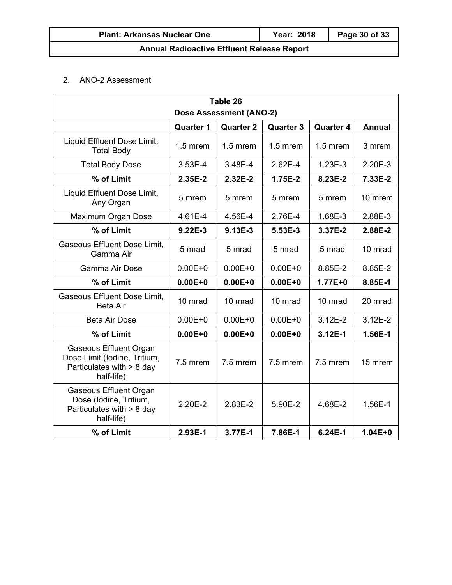## 2. ANO-2 Assessment

| Table 26                                                                                                 |             |             |             |             |         |  |  |  |
|----------------------------------------------------------------------------------------------------------|-------------|-------------|-------------|-------------|---------|--|--|--|
| <b>Dose Assessment (ANO-2)</b>                                                                           |             |             |             |             |         |  |  |  |
| <b>Quarter 4</b><br><b>Annual</b><br><b>Quarter 1</b><br><b>Quarter 2</b><br><b>Quarter 3</b>            |             |             |             |             |         |  |  |  |
| Liquid Effluent Dose Limit,<br><b>Total Body</b>                                                         | $1.5$ mrem  | $1.5$ mrem  | $1.5$ mrem  | $1.5$ mrem  | 3 mrem  |  |  |  |
| <b>Total Body Dose</b>                                                                                   | $3.53E-4$   | 3.48E-4     | 2.62E-4     | $1.23E-3$   | 2.20E-3 |  |  |  |
| % of Limit                                                                                               | 2.35E-2     | 2.32E-2     | 1.75E-2     | 8.23E-2     | 7.33E-2 |  |  |  |
| Liquid Effluent Dose Limit,<br>Any Organ                                                                 | 5 mrem      | 5 mrem      | 5 mrem      | 5 mrem      | 10 mrem |  |  |  |
| Maximum Organ Dose                                                                                       | 4.61E-4     | 4.56E-4     | 2.76E-4     | 1.68E-3     | 2.88E-3 |  |  |  |
| % of Limit                                                                                               | $9.22E-3$   | 9.13E-3     | 5.53E-3     | 3.37E-2     | 2.88E-2 |  |  |  |
| <b>Gaseous Effluent Dose Limit,</b><br>Gamma Air                                                         | 5 mrad      | 5 mrad      | 5 mrad      | 5 mrad      | 10 mrad |  |  |  |
| Gamma Air Dose                                                                                           | $0.00E + 0$ | $0.00E + 0$ | $0.00E + 0$ | 8.85E-2     | 8.85E-2 |  |  |  |
| % of Limit                                                                                               | $0.00E + 0$ | $0.00E + 0$ | $0.00E + 0$ | $1.77E + 0$ | 8.85E-1 |  |  |  |
| <b>Gaseous Effluent Dose Limit,</b><br><b>Beta Air</b>                                                   | 10 mrad     | 10 mrad     | 10 mrad     | 10 mrad     | 20 mrad |  |  |  |
| <b>Beta Air Dose</b>                                                                                     | $0.00E + 0$ | $0.00E + 0$ | $0.00E + 0$ | $3.12E - 2$ | 3.12E-2 |  |  |  |
| % of Limit                                                                                               | $0.00E + 0$ | $0.00E + 0$ | $0.00E + 0$ | 3.12E-1     | 1.56E-1 |  |  |  |
| <b>Gaseous Effluent Organ</b><br>Dose Limit (Iodine, Tritium,<br>Particulates with > 8 day<br>half-life) | 7.5 mrem    | 7.5 mrem    | 7.5 mrem    | 7.5 mrem    | 15 mrem |  |  |  |
| <b>Gaseous Effluent Organ</b><br>Dose (Iodine, Tritium,<br>Particulates with > 8 day<br>half-life)       | 2.20E-2     | 2.83E-2     | 5.90E-2     | 4.68E-2     | 1.56E-1 |  |  |  |
| 2.93E-1<br>3.77E-1<br>% of Limit<br>7.86E-1<br>6.24E-1<br>$1.04E + 0$                                    |             |             |             |             |         |  |  |  |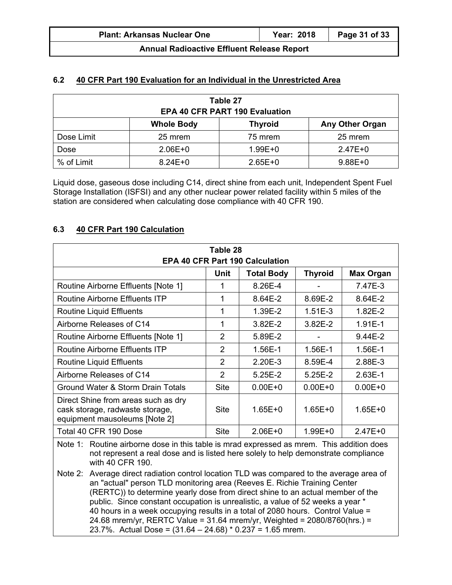| <b>Plant: Arkansas Nuclear One</b>                | Year: 2018 | Page 31 of 33 |  |  |  |  |
|---------------------------------------------------|------------|---------------|--|--|--|--|
| <b>Annual Radioactive Effluent Release Report</b> |            |               |  |  |  |  |

#### **6.2 40 CFR Part 190 Evaluation for an Individual in the Unrestricted Area**

| Table 27<br><b>EPA 40 CFR PART 190 Evaluation</b>             |             |             |             |  |  |  |
|---------------------------------------------------------------|-------------|-------------|-------------|--|--|--|
| <b>Thyroid</b><br><b>Any Other Organ</b><br><b>Whole Body</b> |             |             |             |  |  |  |
| Dose Limit                                                    | 25 mrem     | 75 mrem     | 25 mrem     |  |  |  |
| Dose                                                          | $2.06E + 0$ | $1.99E + 0$ | $2.47E + 0$ |  |  |  |
| % of Limit                                                    | $8.24E + 0$ | $2.65E+0$   | $9.88E + 0$ |  |  |  |

Liquid dose, gaseous dose including C14, direct shine from each unit, Independent Spent Fuel Storage Installation (ISFSI) and any other nuclear power related facility within 5 miles of the station are considered when calculating dose compliance with 40 CFR 190.

#### **6.3 40 CFR Part 190 Calculation**

| Table 28<br><b>EPA 40 CFR Part 190 Calculation</b>                                                                                                                  |                |             |             |             |  |  |  |  |
|---------------------------------------------------------------------------------------------------------------------------------------------------------------------|----------------|-------------|-------------|-------------|--|--|--|--|
| Unit<br><b>Total Body</b><br><b>Max Organ</b><br><b>Thyroid</b>                                                                                                     |                |             |             |             |  |  |  |  |
| Routine Airborne Effluents [Note 1]                                                                                                                                 | 1              | 8.26E-4     | -           | 7.47E-3     |  |  |  |  |
| Routine Airborne Effluents ITP                                                                                                                                      | 1              | 8.64E-2     | 8.69E-2     | 8.64E-2     |  |  |  |  |
| Routine Liquid Effluents                                                                                                                                            | 1              | 1.39E-2     | $1.51E-3$   | 1.82E-2     |  |  |  |  |
| Airborne Releases of C14                                                                                                                                            | 1              | 3.82E-2     | 3.82E-2     | $1.91E-1$   |  |  |  |  |
| Routine Airborne Effluents [Note 1]                                                                                                                                 | $\overline{2}$ | 5.89E-2     |             | 9.44E-2     |  |  |  |  |
| Routine Airborne Effluents ITP                                                                                                                                      | $\overline{2}$ | 1.56E-1     | 1.56E-1     | 1.56E-1     |  |  |  |  |
| Routine Liquid Effluents                                                                                                                                            | $\overline{2}$ | 2.20E-3     | 8.59E-4     | 2.88E-3     |  |  |  |  |
| Airborne Releases of C14                                                                                                                                            | $\overline{2}$ | 5.25E-2     | $5.25E-2$   | $2.63E-1$   |  |  |  |  |
| Ground Water & Storm Drain Totals                                                                                                                                   | <b>Site</b>    | $0.00E + 0$ | $0.00E + 0$ | $0.00E + 0$ |  |  |  |  |
| Direct Shine from areas such as dry<br><b>Site</b><br>$1.65E + 0$<br>$1.65E + 0$<br>cask storage, radwaste storage,<br>$1.65E + 0$<br>equipment mausoleums [Note 2] |                |             |             |             |  |  |  |  |
| Total 40 CFR 190 Dose<br><b>Site</b><br>$2.06E + 0$<br>$1.99E + 0$<br>$2.47E+0$                                                                                     |                |             |             |             |  |  |  |  |
| Note 1: Routine airborne dose in this table is mrad expressed as mrem. This addition does                                                                           |                |             |             |             |  |  |  |  |

Note 1: Routine airborne dose in this table is mrad expressed as mrem. This addition does not represent a real dose and is listed here solely to help demonstrate compliance with 40 CFR 190.

Note 2: Average direct radiation control location TLD was compared to the average area of an "actual" person TLD monitoring area (Reeves E. Richie Training Center (RERTC)) to determine yearly dose from direct shine to an actual member of the public. Since constant occupation is unrealistic, a value of 52 weeks a year \* 40 hours in a week occupying results in a total of 2080 hours. Control Value = 24.68 mrem/yr, RERTC Value = 31.64 mrem/yr, Weighted = 2080/8760(hrs.) = 23.7%. Actual Dose = (31.64 – 24.68) \* 0.237 = 1.65 mrem.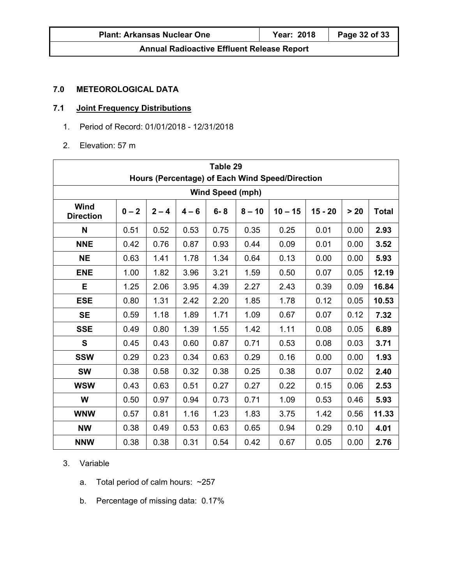| <b>Plant: Arkansas Nuclear One</b>                | Year: 2018 | Page 32 of 33 |  |  |  |  |
|---------------------------------------------------|------------|---------------|--|--|--|--|
| <b>Annual Radioactive Effluent Release Report</b> |            |               |  |  |  |  |

## **7.0 METEOROLOGICAL DATA**

## **7.1 Joint Frequency Distributions**

- 1. Period of Record: 01/01/2018 12/31/2018
- 2. Elevation: 57 m

| Table 29<br>Hours (Percentage) of Each Wind Speed/Direction |                         |         |         |         |          |           |           |        |              |
|-------------------------------------------------------------|-------------------------|---------|---------|---------|----------|-----------|-----------|--------|--------------|
|                                                             | <b>Wind Speed (mph)</b> |         |         |         |          |           |           |        |              |
| Wind<br><b>Direction</b>                                    | $0 - 2$                 | $2 - 4$ | $4 - 6$ | $6 - 8$ | $8 - 10$ | $10 - 15$ | $15 - 20$ | $> 20$ | <b>Total</b> |
| N                                                           | 0.51                    | 0.52    | 0.53    | 0.75    | 0.35     | 0.25      | 0.01      | 0.00   | 2.93         |
| <b>NNE</b>                                                  | 0.42                    | 0.76    | 0.87    | 0.93    | 0.44     | 0.09      | 0.01      | 0.00   | 3.52         |
| <b>NE</b>                                                   | 0.63                    | 1.41    | 1.78    | 1.34    | 0.64     | 0.13      | 0.00      | 0.00   | 5.93         |
| <b>ENE</b>                                                  | 1.00                    | 1.82    | 3.96    | 3.21    | 1.59     | 0.50      | 0.07      | 0.05   | 12.19        |
| Е                                                           | 1.25                    | 2.06    | 3.95    | 4.39    | 2.27     | 2.43      | 0.39      | 0.09   | 16.84        |
| <b>ESE</b>                                                  | 0.80                    | 1.31    | 2.42    | 2.20    | 1.85     | 1.78      | 0.12      | 0.05   | 10.53        |
| <b>SE</b>                                                   | 0.59                    | 1.18    | 1.89    | 1.71    | 1.09     | 0.67      | 0.07      | 0.12   | 7.32         |
| <b>SSE</b>                                                  | 0.49                    | 0.80    | 1.39    | 1.55    | 1.42     | 1.11      | 0.08      | 0.05   | 6.89         |
| $\mathbf{s}$                                                | 0.45                    | 0.43    | 0.60    | 0.87    | 0.71     | 0.53      | 0.08      | 0.03   | 3.71         |
| <b>SSW</b>                                                  | 0.29                    | 0.23    | 0.34    | 0.63    | 0.29     | 0.16      | 0.00      | 0.00   | 1.93         |
| <b>SW</b>                                                   | 0.38                    | 0.58    | 0.32    | 0.38    | 0.25     | 0.38      | 0.07      | 0.02   | 2.40         |
| <b>WSW</b>                                                  | 0.43                    | 0.63    | 0.51    | 0.27    | 0.27     | 0.22      | 0.15      | 0.06   | 2.53         |
| W                                                           | 0.50                    | 0.97    | 0.94    | 0.73    | 0.71     | 1.09      | 0.53      | 0.46   | 5.93         |
| <b>WNW</b>                                                  | 0.57                    | 0.81    | 1.16    | 1.23    | 1.83     | 3.75      | 1.42      | 0.56   | 11.33        |
| <b>NW</b>                                                   | 0.38                    | 0.49    | 0.53    | 0.63    | 0.65     | 0.94      | 0.29      | 0.10   | 4.01         |
| <b>NNW</b>                                                  | 0.38                    | 0.38    | 0.31    | 0.54    | 0.42     | 0.67      | 0.05      | 0.00   | 2.76         |

## 3. Variable

- a. Total period of calm hours: ~257
- b. Percentage of missing data: 0.17%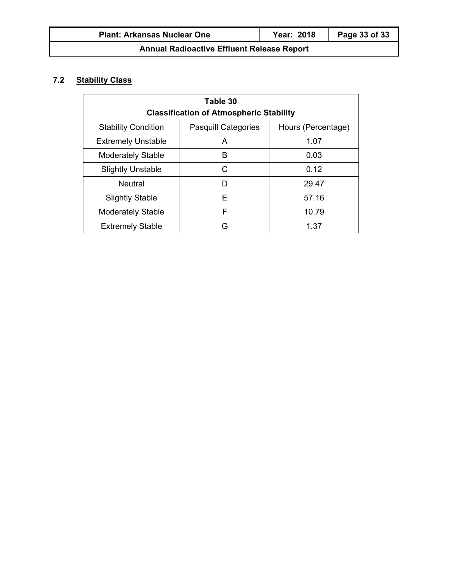## **7.2 Stability Class**

| Table 30                                                                       |   |       |  |  |  |  |
|--------------------------------------------------------------------------------|---|-------|--|--|--|--|
| <b>Classification of Atmospheric Stability</b>                                 |   |       |  |  |  |  |
| Hours (Percentage)<br><b>Stability Condition</b><br><b>Pasquill Categories</b> |   |       |  |  |  |  |
| <b>Extremely Unstable</b>                                                      | A | 1.07  |  |  |  |  |
| <b>Moderately Stable</b>                                                       | в | 0.03  |  |  |  |  |
| <b>Slightly Unstable</b>                                                       | C | 0.12  |  |  |  |  |
| <b>Neutral</b>                                                                 | D | 29.47 |  |  |  |  |
| <b>Slightly Stable</b>                                                         | F | 57.16 |  |  |  |  |
| F<br><b>Moderately Stable</b><br>10.79                                         |   |       |  |  |  |  |
| <b>Extremely Stable</b><br>G<br>1.37                                           |   |       |  |  |  |  |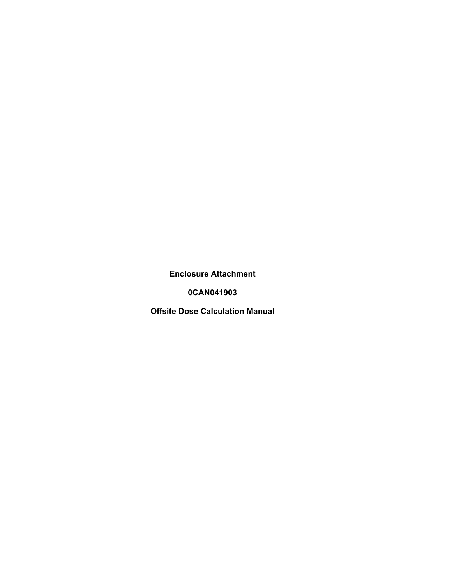**Enclosure Attachment** 

**0CAN041903** 

**Offsite Dose Calculation Manual**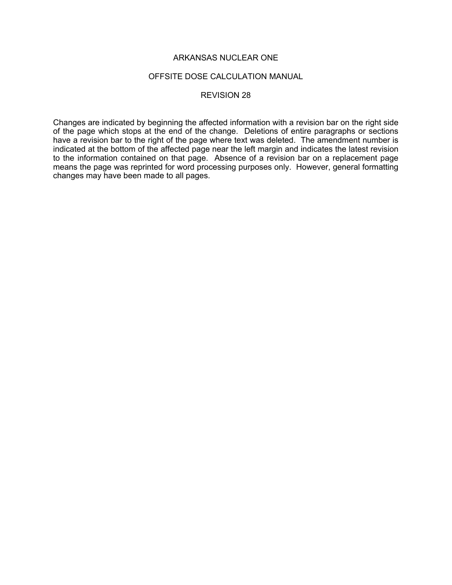#### OFFSITE DOSE CALCULATION MANUAL

### REVISION 28

Changes are indicated by beginning the affected information with a revision bar on the right side of the page which stops at the end of the change. Deletions of entire paragraphs or sections have a revision bar to the right of the page where text was deleted. The amendment number is indicated at the bottom of the affected page near the left margin and indicates the latest revision to the information contained on that page. Absence of a revision bar on a replacement page means the page was reprinted for word processing purposes only. However, general formatting changes may have been made to all pages.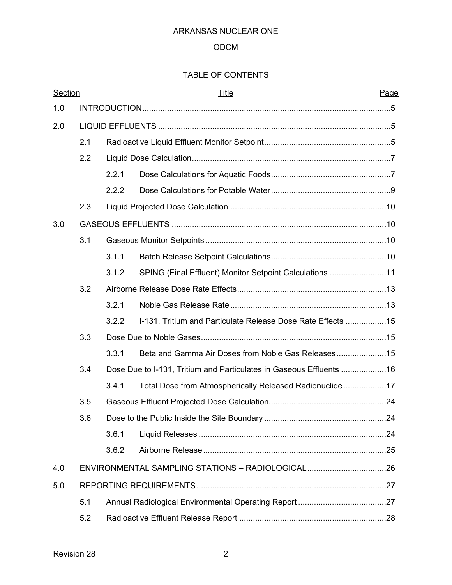## ODCM

# TABLE OF CONTENTS

| Section |     |       | <u>Title</u>                                                        | Page |
|---------|-----|-------|---------------------------------------------------------------------|------|
| 1.0     |     |       |                                                                     |      |
| 2.0     |     |       |                                                                     |      |
|         | 2.1 |       |                                                                     |      |
|         | 2.2 |       |                                                                     |      |
|         |     | 2.2.1 |                                                                     |      |
|         |     | 2.2.2 |                                                                     |      |
|         | 2.3 |       |                                                                     |      |
| 3.0     |     |       |                                                                     |      |
|         | 3.1 |       |                                                                     |      |
|         |     | 3.1.1 |                                                                     |      |
|         |     | 3.1.2 | SPING (Final Effluent) Monitor Setpoint Calculations 11             |      |
|         | 3.2 |       |                                                                     |      |
|         |     | 3.2.1 |                                                                     |      |
|         |     | 3.2.2 | 1-131, Tritium and Particulate Release Dose Rate Effects 15         |      |
|         | 3.3 |       |                                                                     |      |
|         |     | 3.3.1 |                                                                     |      |
|         | 3.4 |       | Dose Due to I-131, Tritium and Particulates in Gaseous Effluents 16 |      |
|         |     | 3.4.1 | Total Dose from Atmospherically Released Radionuclide17             |      |
|         | 3.5 |       |                                                                     |      |
|         | 3.6 |       |                                                                     |      |
|         |     | 3.6.1 |                                                                     |      |
|         |     | 3.6.2 |                                                                     |      |
| 4.0     |     |       | ENVIRONMENTAL SAMPLING STATIONS - RADIOLOGICAL26                    |      |
| 5.0     |     |       |                                                                     |      |
|         | 5.1 |       |                                                                     |      |
|         | 5.2 |       |                                                                     |      |

 $\overline{\phantom{a}}$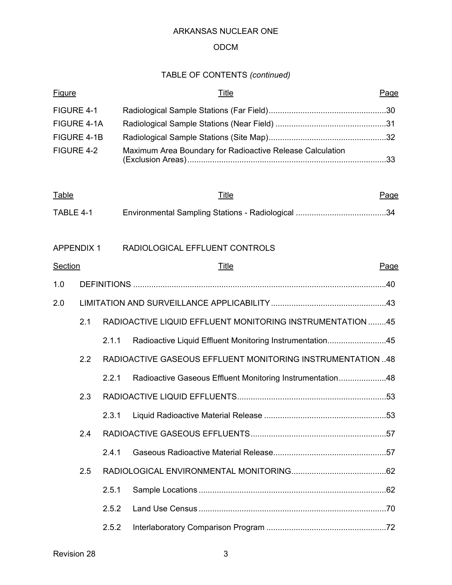## ODCM

# TABLE OF CONTENTS *(continued)*

| <b>Figure</b>     |     |       | <u>Title</u>                                               | Page        |
|-------------------|-----|-------|------------------------------------------------------------|-------------|
| FIGURE 4-1        |     |       |                                                            |             |
| FIGURE 4-1A       |     |       |                                                            |             |
| FIGURE 4-1B       |     |       |                                                            |             |
| FIGURE 4-2        |     |       | Maximum Area Boundary for Radioactive Release Calculation  |             |
| <b>Table</b>      |     |       | <u>Title</u>                                               | Page        |
| TABLE 4-1         |     |       |                                                            |             |
|                   |     |       |                                                            |             |
| <b>APPENDIX 1</b> |     |       | RADIOLOGICAL EFFLUENT CONTROLS                             |             |
| <b>Section</b>    |     |       | Title                                                      | <u>Page</u> |
| 1.0               |     |       |                                                            |             |
| 2.0               |     |       |                                                            |             |
|                   | 2.1 |       | RADIOACTIVE LIQUID EFFLUENT MONITORING INSTRUMENTATION 45  |             |
|                   |     | 2.1.1 | Radioactive Liquid Effluent Monitoring Instrumentation45   |             |
|                   | 2.2 |       | RADIOACTIVE GASEOUS EFFLUENT MONITORING INSTRUMENTATION 48 |             |
|                   |     | 2.2.1 | Radioactive Gaseous Effluent Monitoring Instrumentation48  |             |
|                   | 2.3 |       |                                                            |             |
|                   |     |       |                                                            |             |
|                   | 2.4 |       |                                                            |             |
|                   |     | 2.4.1 |                                                            |             |
|                   | 2.5 |       |                                                            |             |
|                   |     | 2.5.1 |                                                            |             |
|                   |     | 2.5.2 |                                                            |             |
|                   |     |       |                                                            |             |
|                   |     | 2.5.2 |                                                            |             |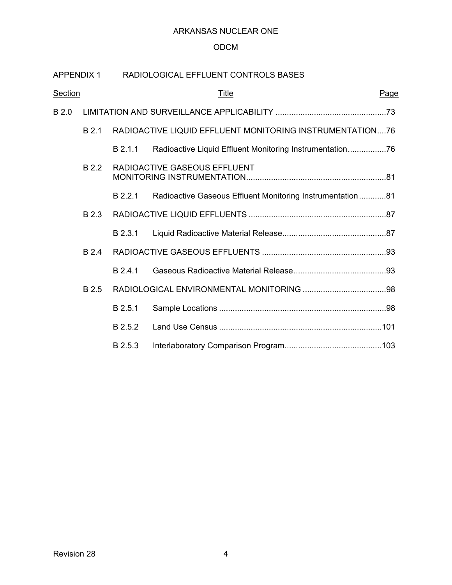## ODCM

| <b>APPENDIX 1</b> |       |         | RADIOLOGICAL EFFLUENT CONTROLS BASES                      |      |
|-------------------|-------|---------|-----------------------------------------------------------|------|
| <b>Section</b>    |       |         | <u>Title</u>                                              | Page |
| B 2.0             |       |         |                                                           |      |
|                   | B 2.1 |         | RADIOACTIVE LIQUID EFFLUENT MONITORING INSTRUMENTATION76  |      |
|                   |       | B 2.1.1 | Radioactive Liquid Effluent Monitoring Instrumentation76  |      |
|                   | B 2.2 |         | RADIOACTIVE GASEOUS EFFLUENT                              |      |
|                   |       | B 2.2.1 | Radioactive Gaseous Effluent Monitoring Instrumentation81 |      |
|                   | B 2.3 |         |                                                           |      |
|                   |       | B 2.3.1 |                                                           |      |
|                   | B 2.4 |         |                                                           |      |
|                   |       | B 2.4.1 |                                                           |      |
|                   | B 2.5 |         |                                                           |      |
|                   |       | B 2.5.1 |                                                           |      |
|                   |       | B 2.5.2 |                                                           |      |
|                   |       | B 2.5.3 |                                                           |      |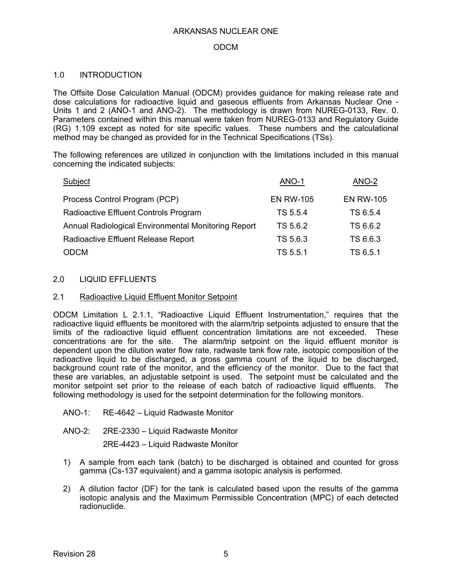### ODCM

### 1.0 INTRODUCTION

The Offsite Dose Calculation Manual (ODCM) provides guidance for making release rate and dose calculations for radioactive liquid and gaseous effluents from Arkansas Nuclear One - Units 1 and 2 (ANO-1 and ANO-2). The methodology is drawn from NUREG-0133, Rev. 0. Parameters contained within this manual were taken from NUREG-0133 and Regulatory Guide (RG) 1.109 except as noted for site specific values. These numbers and the calculational method may be changed as provided for in the Technical Specifications (TSs).

The following references are utilized in conjunction with the limitations included in this manual concerning the indicated subjects:

| Subject                                             | ANO-1            | ANO-2            |
|-----------------------------------------------------|------------------|------------------|
| Process Control Program (PCP)                       | <b>EN RW-105</b> | <b>EN RW-105</b> |
| Radioactive Effluent Controls Program               | TS 5.5.4         | TS 6.5.4         |
| Annual Radiological Environmental Monitoring Report | TS 5.6.2         | TS 6.6.2         |
| Radioactive Effluent Release Report                 | TS 5.6.3         | TS 6.6.3         |
| <b>ODCM</b>                                         | TS 5.5.1         | TS 6.5.1         |

### 2.0 LIQUID EFFLUENTS

### 2.1 Radioactive Liquid Effluent Monitor Setpoint

ODCM Limitation L 2.1.1, "Radioactive Liquid Effluent Instrumentation," requires that the radioactive liquid effluents be monitored with the alarm/trip setpoints adjusted to ensure that the limits of the radioactive liquid effluent concentration limitations are not exceeded. These concentrations are for the site. The alarm/trip setpoint on the liquid effluent monitor is dependent upon the dilution water flow rate, radwaste tank flow rate, isotopic composition of the radioactive liquid to be discharged, a gross gamma count of the liquid to be discharged, background count rate of the monitor, and the efficiency of the monitor. Due to the fact that these are variables, an adjustable setpoint is used. The setpoint must be calculated and the monitor setpoint set prior to the release of each batch of radioactive liquid effluents. The following methodology is used for the setpoint determination for the following monitors.

- ANO-1: RE-4642 Liquid Radwaste Monitor
- ANO-2: 2RE-2330 Liquid Radwaste Monitor

2RE-4423 – Liquid Radwaste Monitor

- 1) A sample from each tank (batch) to be discharged is obtained and counted for gross gamma (Cs-137 equivalent) and a gamma isotopic analysis is performed.
- 2) A dilution factor (DF) for the tank is calculated based upon the results of the gamma isotopic analysis and the Maximum Permissible Concentration (MPC) of each detected radionuclide.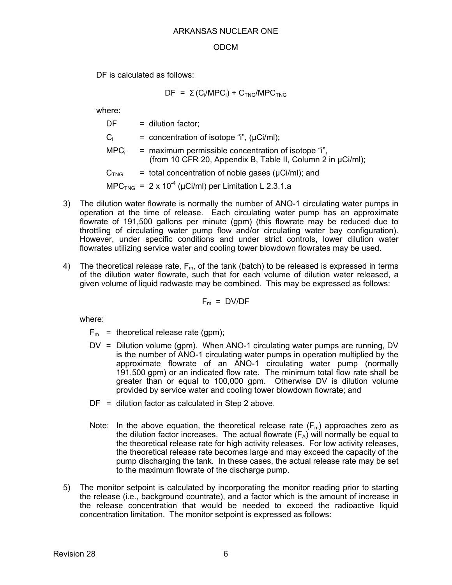### ODCM

DF is calculated as follows:

 $DF = \Sigma_i(C_i/MPC_i) + C_{TNG}/MPC_{TNG}$ 

where:

| DF.              | $=$ dilution factor;                                                                                               |
|------------------|--------------------------------------------------------------------------------------------------------------------|
| $C_i$            | = concentration of isotope "i", $(\mu Ci/ml)$ ;                                                                    |
| MPC <sub>i</sub> | = maximum permissible concentration of isotope "i",<br>(from 10 CFR 20, Appendix B, Table II, Column 2 in µCi/ml); |
| C <sub>TNG</sub> | $=$ total concentration of noble gases ( $\mu$ Ci/ml); and                                                         |
|                  | $MPCTNG = 2 \times 10^{-4}$ (µCi/ml) per Limitation L 2.3.1.a                                                      |

- 3) The dilution water flowrate is normally the number of ANO-1 circulating water pumps in operation at the time of release. Each circulating water pump has an approximate flowrate of 191,500 gallons per minute (gpm) (this flowrate may be reduced due to throttling of circulating water pump flow and/or circulating water bay configuration). However, under specific conditions and under strict controls, lower dilution water flowrates utilizing service water and cooling tower blowdown flowrates may be used.
- 4) The theoretical release rate,  $F_m$ , of the tank (batch) to be released is expressed in terms of the dilution water flowrate, such that for each volume of dilution water released, a given volume of liquid radwaste may be combined. This may be expressed as follows:

$$
F_m = D V / DF
$$

- $F_m$  = theoretical release rate (gpm);
- DV = Dilution volume (gpm). When ANO-1 circulating water pumps are running, DV is the number of ANO-1 circulating water pumps in operation multiplied by the approximate flowrate of an ANO-1 circulating water pump (normally 191,500 gpm) or an indicated flow rate. The minimum total flow rate shall be greater than or equal to 100,000 gpm. Otherwise DV is dilution volume provided by service water and cooling tower blowdown flowrate; and
- DF = dilution factor as calculated in Step 2 above.
- Note: In the above equation, the theoretical release rate  $(F_m)$  approaches zero as the dilution factor increases. The actual flowrate  $(F_A)$  will normally be equal to the theoretical release rate for high activity releases. For low activity releases, the theoretical release rate becomes large and may exceed the capacity of the pump discharging the tank. In these cases, the actual release rate may be set to the maximum flowrate of the discharge pump.
- 5) The monitor setpoint is calculated by incorporating the monitor reading prior to starting the release (i.e., background countrate), and a factor which is the amount of increase in the release concentration that would be needed to exceed the radioactive liquid concentration limitation. The monitor setpoint is expressed as follows: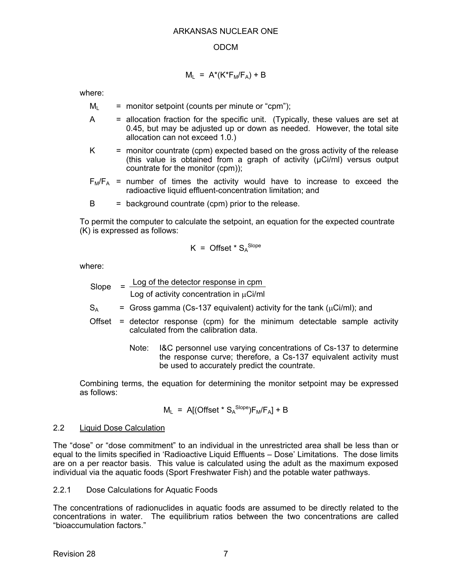## $M_L$  = A\*(K\*F<sub>M</sub>/F<sub>A</sub>) + B

where:

- $M_L$  = monitor setpoint (counts per minute or "cpm");
- A = allocation fraction for the specific unit. (Typically, these values are set at 0.45, but may be adjusted up or down as needed. However, the total site allocation can not exceed 1.0.)
- $K =$  monitor countrate (cpm) expected based on the gross activity of the release (this value is obtained from a graph of activity (µCi/ml) versus output countrate for the monitor (cpm));
- $F_M/F_A$  = number of times the activity would have to increase to exceed the radioactive liquid effluent-concentration limitation; and
- $B =$  background countrate (cpm) prior to the release.

To permit the computer to calculate the setpoint, an equation for the expected countrate (K) is expressed as follows:

$$
K = \text{Offset} \cdot S_A^{\text{Slope}}
$$

where:

Slope = 
$$
\frac{\text{Log of the detector response in cpm}}{\text{Log of activity concentration in } \mu\text{Ci/ml}}
$$

 $S_A$  = Gross gamma (Cs-137 equivalent) activity for the tank ( $\mu$ Ci/ml); and

- Offset = detector response (cpm) for the minimum detectable sample activity calculated from the calibration data.
	- Note: I&C personnel use varying concentrations of Cs-137 to determine the response curve; therefore, a Cs-137 equivalent activity must be used to accurately predict the countrate.

Combining terms, the equation for determining the monitor setpoint may be expressed as follows:

$$
M_L
$$
 = A[(Offset \* S<sub>A</sub><sup>Slope</sup>)F<sub>M</sub>/F<sub>A</sub>] + B

### 2.2 Liquid Dose Calculation

The "dose" or "dose commitment" to an individual in the unrestricted area shall be less than or equal to the limits specified in 'Radioactive Liquid Effluents – Dose' Limitations. The dose limits are on a per reactor basis. This value is calculated using the adult as the maximum exposed individual via the aquatic foods (Sport Freshwater Fish) and the potable water pathways.

2.2.1 Dose Calculations for Aquatic Foods

The concentrations of radionuclides in aquatic foods are assumed to be directly related to the concentrations in water. The equilibrium ratios between the two concentrations are called "bioaccumulation factors."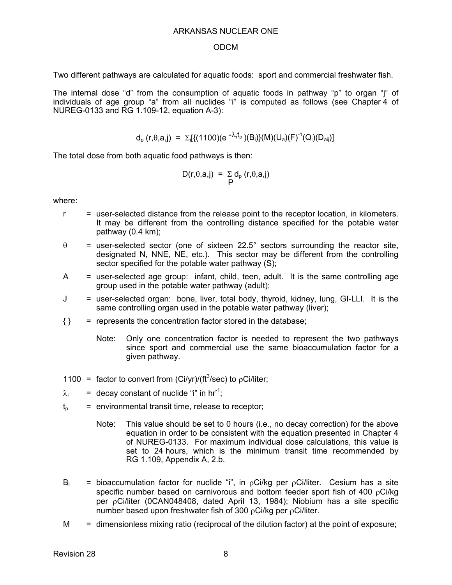#### ODCM

Two different pathways are calculated for aquatic foods: sport and commercial freshwater fish.

The internal dose "d" from the consumption of aquatic foods in pathway "p" to organ "j" of individuals of age group "a" from all nuclides "i" is computed as follows (see Chapter 4 of NUREG-0133 and RG 1.109-12, equation A-3):

$$
d_p(r, \theta, a, j) = \Sigma_i[\{(1100)(e^{-\lambda_i t_p})(B_i)\}(M)(U_a)(F)^{-1}(Q_i)(D_{aij})]
$$

The total dose from both aquatic food pathways is then:

$$
D(r,\theta,a,j) = \sum_{P} d_{p} (r,\theta,a,j)
$$

- $r =$  user-selected distance from the release point to the receptor location, in kilometers. It may be different from the controlling distance specified for the potable water pathway (0.4 km);
- $\theta$  = user-selected sector (one of sixteen 22.5° sectors surrounding the reactor site, designated N, NNE, NE, etc.). This sector may be different from the controlling sector specified for the potable water pathway (S);
- $A =$  user-selected age group: infant, child, teen, adult. It is the same controlling age group used in the potable water pathway (adult);
- J = user-selected organ: bone, liver, total body, thyroid, kidney, lung, GI-LLI. It is the same controlling organ used in the potable water pathway (liver);
- $\{\}$  = represents the concentration factor stored in the database;
	- Note: Only one concentration factor is needed to represent the two pathways since sport and commercial use the same bioaccumulation factor for a given pathway.
- 1100 = factor to convert from (Ci/yr)/( $ft<sup>3</sup>/sec$ ) to  $pCi/liter$ ;
- $\lambda_i$  = decay constant of nuclide "i" in hr<sup>-1</sup>;
- $t<sub>o</sub>$  = environmental transit time, release to receptor;
	- Note: This value should be set to 0 hours (i.e., no decay correction) for the above equation in order to be consistent with the equation presented in Chapter 4 of NUREG-0133. For maximum individual dose calculations, this value is set to 24 hours, which is the minimum transit time recommended by RG 1.109, Appendix A, 2.b.
- $B_i$  = bioaccumulation factor for nuclide "i", in pCi/kg per pCi/liter. Cesium has a site specific number based on carnivorous and bottom feeder sport fish of 400  $p$ Ci/kg per <sub>p</sub>Ci/liter (0CAN048408, dated April 13, 1984); Niobium has a site specific number based upon freshwater fish of 300  $p$ Ci/kg per  $p$ Ci/liter.
- $M =$  dimensionless mixing ratio (reciprocal of the dilution factor) at the point of exposure;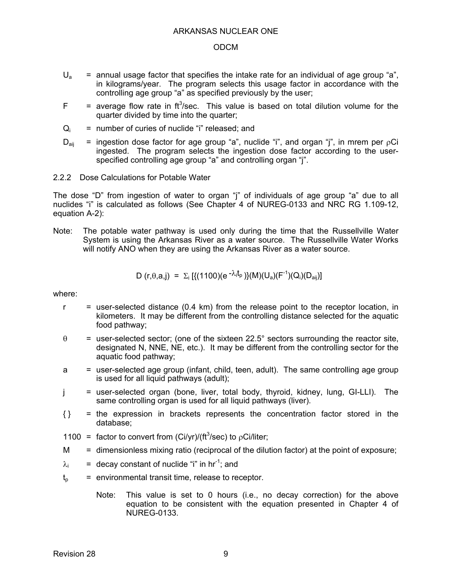- $U_a$  = annual usage factor that specifies the intake rate for an individual of age group "a", in kilograms/year. The program selects this usage factor in accordance with the controlling age group "a" as specified previously by the user;
- $F =$  average flow rate in ft<sup>3</sup>/sec. This value is based on total dilution volume for the quarter divided by time into the quarter;
- $Q_i$  = number of curies of nuclide "i" released; and
- $D_{\text{air}}$  = ingestion dose factor for age group "a", nuclide "i", and organ "j", in mrem per  $pCi$ ingested. The program selects the ingestion dose factor according to the userspecified controlling age group "a" and controlling organ "j".
- 2.2.2 Dose Calculations for Potable Water

The dose "D" from ingestion of water to organ "j" of individuals of age group "a" due to all nuclides "i" is calculated as follows (See Chapter 4 of NUREG-0133 and NRC RG 1.109-12, equation A-2):

Note: The potable water pathway is used only during the time that the Russellville Water System is using the Arkansas River as a water source. The Russellville Water Works will notify ANO when they are using the Arkansas River as a water source.

D (r, 
$$
\theta
$$
, a, j) =  $\Sigma_i$  [(1100)(e<sup>- $\lambda_i$ t\_p</sup>){(M)(U<sub>a</sub>)(F<sup>-1</sup>)(Q<sub>i</sub>)(D<sub>aij</sub>)]

- $r =$  user-selected distance (0.4 km) from the release point to the receptor location, in kilometers. It may be different from the controlling distance selected for the aquatic food pathway;
- $\theta$  = user-selected sector; (one of the sixteen 22.5° sectors surrounding the reactor site, designated N, NNE, NE, etc.). It may be different from the controlling sector for the aquatic food pathway;
- a = user-selected age group (infant, child, teen, adult). The same controlling age group is used for all liquid pathways (adult);
- j = user-selected organ (bone, liver, total body, thyroid, kidney, lung, GI-LLI). The same controlling organ is used for all liquid pathways (liver).
- { } = the expression in brackets represents the concentration factor stored in the database;
- 1100 = factor to convert from (Ci/yr)/( $ft<sup>3</sup>/sec$ ) to  $pCi/liter$ ;
- M = dimensionless mixing ratio (reciprocal of the dilution factor) at the point of exposure;
- $\lambda_i$  = decay constant of nuclide "i" in hr<sup>-1</sup>; and
- $t<sub>o</sub>$  = environmental transit time, release to receptor.
	- Note: This value is set to 0 hours (i.e., no decay correction) for the above equation to be consistent with the equation presented in Chapter 4 of NUREG-0133.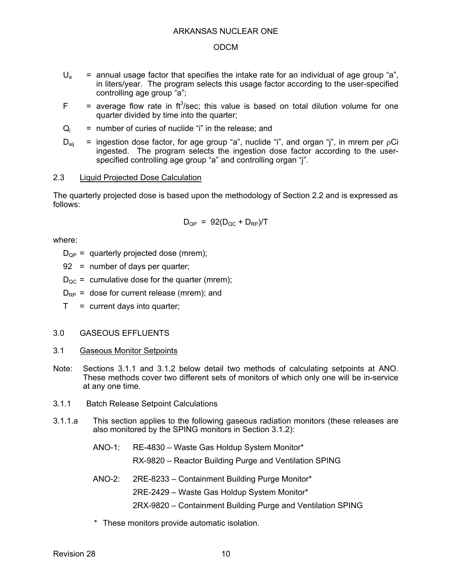- $U_a$  = annual usage factor that specifies the intake rate for an individual of age group "a", in liters/year. The program selects this usage factor according to the user-specified controlling age group "a";
- $F =$  average flow rate in ft<sup>3</sup>/sec; this value is based on total dilution volume for one quarter divided by time into the quarter;
- $Q_i$  = number of curies of nuclide "i" in the release; and
- $D_{\text{ai}}$  = ingestion dose factor, for age group "a", nuclide "i", and organ "j", in mrem per  $pCi$ ingested. The program selects the ingestion dose factor according to the userspecified controlling age group "a" and controlling organ "j".

### 2.3 Liquid Projected Dose Calculation

The quarterly projected dose is based upon the methodology of Section 2.2 and is expressed as follows:

$$
D_{QP} = 92(D_{QC} + D_{RP})/T
$$

where:

 $D_{OP}$  = quarterly projected dose (mrem);

92 = number of days per quarter;

- $D_{\text{QC}}$  = cumulative dose for the quarter (mrem);
- $D_{RP}$  = dose for current release (mrem); and
- $T =$  current days into quarter;

### 3.0 GASEOUS EFFLUENTS

- 3.1 Gaseous Monitor Setpoints
- Note: Sections 3.1.1 and 3.1.2 below detail two methods of calculating setpoints at ANO. These methods cover two different sets of monitors of which only one will be in-service at any one time.
- 3.1.1 Batch Release Setpoint Calculations
- 3.1.1.a This section applies to the following gaseous radiation monitors (these releases are also monitored by the SPING monitors in Section 3.1.2):
	- ANO-1: RE-4830 Waste Gas Holdup System Monitor\*

RX-9820 – Reactor Building Purge and Ventilation SPING

- ANO-2: 2RE-8233 Containment Building Purge Monitor\*
	- 2RE-2429 Waste Gas Holdup System Monitor\*
	- 2RX-9820 Containment Building Purge and Ventilation SPING
- \* These monitors provide automatic isolation.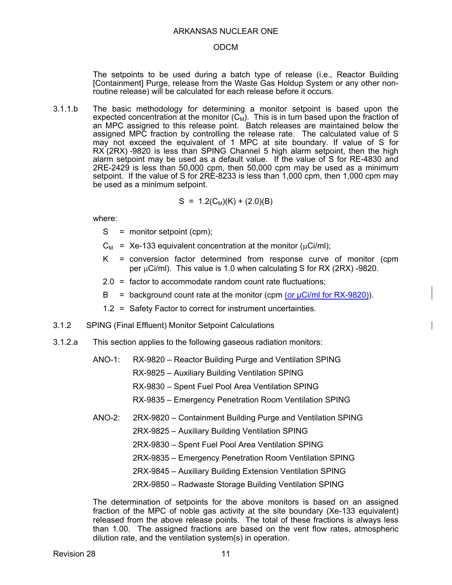#### ODCM

The setpoints to be used during a batch type of release (i.e., Reactor Building [Containment] Purge, release from the Waste Gas Holdup System or any other nonroutine release) will be calculated for each release before it occurs.

3.1.1.b The basic methodology for determining a monitor setpoint is based upon the expected concentration at the monitor  $(C_M)$ . This is in turn based upon the fraction of an MPC assigned to this release point. Batch releases are maintained below the assigned MPC fraction by controlling the release rate. The calculated value of S may not exceed the equivalent of 1 MPC at site boundary. If value of S for RX (2RX) -9820 is less than SPING Channel 5 high alarm setpoint, then the high alarm setpoint may be used as a default value. If the value of S for RE-4830 and 2RE-2429 is less than 50,000 cpm, then 50,000 cpm may be used as a minimum setpoint. If the value of S for 2RE-8233 is less than 1,000 cpm, then 1,000 cpm may be used as a minimum setpoint.

$$
S = 1.2(C_M)(K) + (2.0)(B)
$$

where:

- S = monitor setpoint (cpm);
- $C_M$  = Xe-133 equivalent concentration at the monitor ( $\mu$ Ci/ml);
- K = conversion factor determined from response curve of monitor (cpm per  $\mu$ Ci/ml). This value is 1.0 when calculating S for RX (2RX) -9820.
- 2.0 = factor to accommodate random count rate fluctuations;
- $B =$  background count rate at the monitor (cpm (or  $\mu$ Ci/ml for RX-9820)).
- 1.2 = Safety Factor to correct for instrument uncertainties.
- 3.1.2 SPING (Final Effluent) Monitor Setpoint Calculations
- 3.1.2.a This section applies to the following gaseous radiation monitors:
	- ANO-1: RX-9820 Reactor Building Purge and Ventilation SPING
		- RX-9825 Auxiliary Building Ventilation SPING
			- RX-9830 Spent Fuel Pool Area Ventilation SPING
			- RX-9835 Emergency Penetration Room Ventilation SPING
	- ANO-2: 2RX-9820 Containment Building Purge and Ventilation SPING
		- 2RX-9825 Auxiliary Building Ventilation SPING
		- 2RX-9830 Spent Fuel Pool Area Ventilation SPING
		- 2RX-9835 Emergency Penetration Room Ventilation SPING
		- 2RX-9845 Auxiliary Building Extension Ventilation SPING
		- 2RX-9850 Radwaste Storage Building Ventilation SPING

The determination of setpoints for the above monitors is based on an assigned fraction of the MPC of noble gas activity at the site boundary (Xe-133 equivalent) released from the above release points. The total of these fractions is always less than 1.00. The assigned fractions are based on the vent flow rates, atmospheric dilution rate, and the ventilation system(s) in operation.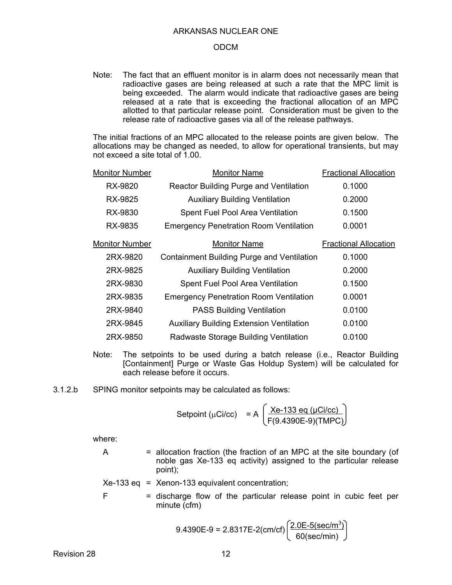Note: The fact that an effluent monitor is in alarm does not necessarily mean that radioactive gases are being released at such a rate that the MPC limit is being exceeded. The alarm would indicate that radioactive gases are being released at a rate that is exceeding the fractional allocation of an MPC allotted to that particular release point. Consideration must be given to the release rate of radioactive gases via all of the release pathways.

The initial fractions of an MPC allocated to the release points are given below. The allocations may be changed as needed, to allow for operational transients, but may not exceed a site total of 1.00.

| <b>Monitor Number</b> | <b>Monitor Name</b>                             | <b>Fractional Allocation</b> |
|-----------------------|-------------------------------------------------|------------------------------|
| RX-9820               | <b>Reactor Building Purge and Ventilation</b>   | 0.1000                       |
| <b>RX-9825</b>        | <b>Auxiliary Building Ventilation</b>           | 0.2000                       |
| RX-9830               | <b>Spent Fuel Pool Area Ventilation</b>         | 0.1500                       |
| RX-9835               | <b>Emergency Penetration Room Ventilation</b>   | 0.0001                       |
| <b>Monitor Number</b> | <b>Monitor Name</b>                             | <b>Fractional Allocation</b> |
| 2RX-9820              | Containment Building Purge and Ventilation      | 0.1000                       |
| 2RX-9825              | <b>Auxiliary Building Ventilation</b>           | 0.2000                       |
| 2RX-9830              | Spent Fuel Pool Area Ventilation                | 0.1500                       |
| 2RX-9835              | <b>Emergency Penetration Room Ventilation</b>   | 0.0001                       |
| 2RX-9840              | <b>PASS Building Ventilation</b>                | 0.0100                       |
| 2RX-9845              | <b>Auxiliary Building Extension Ventilation</b> | 0.0100                       |
| 2RX-9850              | Radwaste Storage Building Ventilation           | 0.0100                       |
|                       |                                                 |                              |

- Note: The setpoints to be used during a batch release (i.e., Reactor Building [Containment] Purge or Waste Gas Holdup System) will be calculated for each release before it occurs.
- 3.1.2.b SPING monitor setpoints may be calculated as follows:

$$
Stepoint (\mu Ci/cc) = A \left( \frac{Xe-133 \text{ eq } (\mu Ci/cc)}{F(9.4390E-9)(TMPC)} \right)
$$

where:

 $A =$  allocation fraction (the fraction of an MPC at the site boundary (of noble gas Xe-133 eq activity) assigned to the particular release point);

$$
Xe-133 \text{ eq} = Xenon-133 \text{ equivalent concentration}
$$
;

 $F =$  discharge flow of the particular release point in cubic feet per minute (cfm)

$$
9.4390E-9 = 2.8317E-2(cm/cf) \left(\frac{2.0E-5(\text{sec/m}^3)}{60(\text{sec/min})}\right)
$$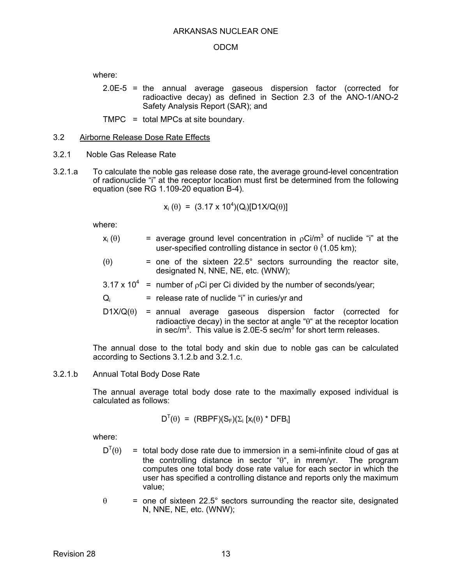where:

2.0E-5 = the annual average gaseous dispersion factor (corrected for radioactive decay) as defined in Section 2.3 of the ANO-1/ANO-2 Safety Analysis Report (SAR); and

TMPC = total MPCs at site boundary.

### 3.2 Airborne Release Dose Rate Effects

- 3.2.1 Noble Gas Release Rate
- 3.2.1.a To calculate the noble gas release dose rate, the average ground-level concentration of radionuclide "i" at the receptor location must first be determined from the following equation (see RG 1.109-20 equation B-4).

$$
x_i(\theta) = (3.17 \times 10^4)(Q_i)[D1X/Q(\theta)]
$$

where:

- $x_i(\theta)$  = average ground level concentration in  $\rho$ Ci/m<sup>3</sup> of nuclide "i" at the user-specified controlling distance in sector  $\theta$  (1.05 km);
- $(0)$  = one of the sixteen 22.5° sectors surrounding the reactor site, designated N, NNE, NE, etc. (WNW);
- 3.17 x 10<sup>4</sup> = number of  $pCi$  per Ci divided by the number of seconds/year;
- $Q_i$  = release rate of nuclide "i" in curies/yr and
- $D1X/Q(\theta)$  = annual average gaseous dispersion factor (corrected for radioactive decay) in the sector at angle " $\theta$ " at the receptor location in sec/m<sup>3</sup>. This value is 2.0E-5 sec/m<sup>3</sup> for short term releases.

The annual dose to the total body and skin due to noble gas can be calculated according to Sections 3.1.2.b and 3.2.1.c.

### 3.2.1.b Annual Total Body Dose Rate

The annual average total body dose rate to the maximally exposed individual is calculated as follows:

$$
D^{T}(\theta) = (RBPF)(S_F)(\Sigma_i [x_i(\theta) * DFB_i])
$$

- $D^{T}(\theta)$ = total body dose rate due to immersion in a semi-infinite cloud of gas at the controlling distance in sector " $\theta$ ", in mrem/yr. The program computes one total body dose rate value for each sector in which the user has specified a controlling distance and reports only the maximum value;
- $\theta$  = one of sixteen 22.5° sectors surrounding the reactor site, designated N, NNE, NE, etc. (WNW);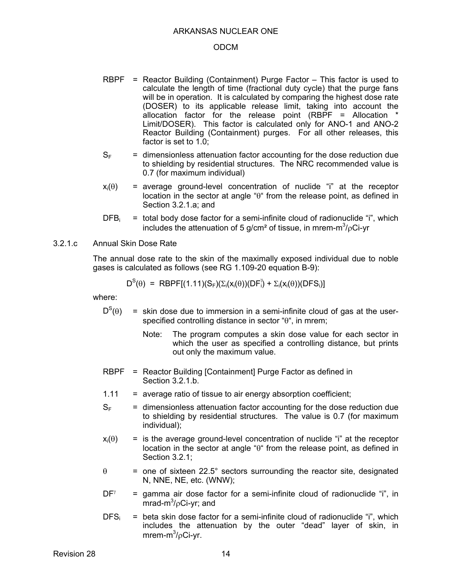#### ODCM

- RBPF = Reactor Building (Containment) Purge Factor This factor is used to calculate the length of time (fractional duty cycle) that the purge fans will be in operation. It is calculated by comparing the highest dose rate (DOSER) to its applicable release limit, taking into account the allocation factor for the release point (RBPF = Allocation \* Limit/DOSER). This factor is calculated only for ANO-1 and ANO-2 Reactor Building (Containment) purges. For all other releases, this factor is set to 1.0;
- $S<sub>F</sub>$  = dimensionless attenuation factor accounting for the dose reduction due to shielding by residential structures. The NRC recommended value is 0.7 (for maximum individual)
- $x_i(\theta)$  = average ground-level concentration of nuclide "i" at the receptor location in the sector at angle " $\theta$ " from the release point, as defined in Section 3.2.1.a; and
- $DFB_i$  = total body dose factor for a semi-infinite cloud of radionuclide "i", which includes the attenuation of 5 g/cm<sup>2</sup> of tissue, in mrem-m<sup>3</sup>/<sub>P</sub>Ci-yr

### 3.2.1.c Annual Skin Dose Rate

The annual dose rate to the skin of the maximally exposed individual due to noble gases is calculated as follows (see RG 1.109-20 equation B-9):

$$
D^{S}(\theta) = RBPF[(1.11)(S_F)(\Sigma_i(X_i(\theta))(DF_i^{\gamma}) + \Sigma_i(X_i(\theta))(DFS_i)]
$$

- $D^{S}(\theta)$  $\equiv$  skin dose due to immersion in a semi-infinite cloud of gas at the userspecified controlling distance in sector " $\theta$ ", in mrem;
	- Note: The program computes a skin dose value for each sector in which the user as specified a controlling distance, but prints out only the maximum value.
- RBPF = Reactor Building [Containment] Purge Factor as defined in Section 3.2.1.b.
- $1.11$  = average ratio of tissue to air energy absorption coefficient;
- $S<sub>F</sub>$  = dimensionless attenuation factor accounting for the dose reduction due to shielding by residential structures. The value is 0.7 (for maximum individual);
- $x_i(\theta)$  = is the average ground-level concentration of nuclide "i" at the receptor location in the sector at angle " $\theta$ " from the release point, as defined in Section 3.2.1;
- $\theta$  = one of sixteen 22.5° sectors surrounding the reactor site, designated N, NNE, NE, etc. (WNW);
- $DF^{\gamma}$  = gamma air dose factor for a semi-infinite cloud of radionuclide "i", in  $mrad-m<sup>3</sup>/pCi-yr$ ; and
- $DFS_i$  = beta skin dose factor for a semi-infinite cloud of radionuclide "i", which includes the attenuation by the outer "dead" layer of skin, in mrem-m $^3$ / $\rho$ Ci-yr.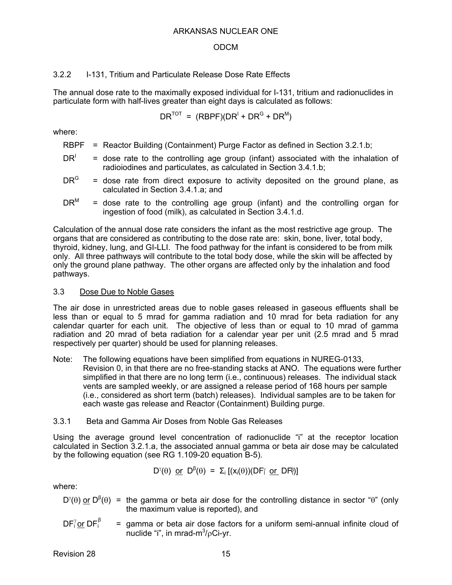### ODCM

### 3.2.2 I-131, Tritium and Particulate Release Dose Rate Effects

The annual dose rate to the maximally exposed individual for I-131, tritium and radionuclides in particulate form with half-lives greater than eight days is calculated as follows:

 $DR^{TOT} = (RBPF)(DR^{I} + DR^{G} + DR^{M}))$ 

where:

- RBPF = Reactor Building (Containment) Purge Factor as defined in Section 3.2.1.b;
- $DR<sup>1</sup>$  = dose rate to the controlling age group (infant) associated with the inhalation of radioiodines and particulates, as calculated in Section 3.4.1.b;
- $DR<sup>G</sup>$  = dose rate from direct exposure to activity deposited on the ground plane, as calculated in Section 3.4.1.a; and
- $DR^M$  = dose rate to the controlling age group (infant) and the controlling organ for ingestion of food (milk), as calculated in Section 3.4.1.d.

Calculation of the annual dose rate considers the infant as the most restrictive age group. The organs that are considered as contributing to the dose rate are: skin, bone, liver, total body, thyroid, kidney, lung, and GI-LLI. The food pathway for the infant is considered to be from milk only. All three pathways will contribute to the total body dose, while the skin will be affected by only the ground plane pathway. The other organs are affected only by the inhalation and food pathways.

### 3.3 Dose Due to Noble Gases

The air dose in unrestricted areas due to noble gases released in gaseous effluents shall be less than or equal to 5 mrad for gamma radiation and 10 mrad for beta radiation for any calendar quarter for each unit. The objective of less than or equal to 10 mrad of gamma radiation and 20 mrad of beta radiation for a calendar year per unit (2.5 mrad and 5 mrad respectively per quarter) should be used for planning releases.

Note: The following equations have been simplified from equations in NUREG-0133, Revision 0, in that there are no free-standing stacks at ANO. The equations were further simplified in that there are no long term (i.e., continuous) releases. The individual stack vents are sampled weekly, or are assigned a release period of 168 hours per sample (i.e., considered as short term (batch) releases). Individual samples are to be taken for each waste gas release and Reactor (Containment) Building purge.

### 3.3.1 Beta and Gamma Air Doses from Noble Gas Releases

Using the average ground level concentration of radionuclide "i" at the receptor location calculated in Section 3.2.1.a, the associated annual gamma or beta air dose may be calculated by the following equation (see RG 1.109-20 equation B-5).

$$
D^{\gamma}(\theta) \text{ or } D^{\beta}(\theta) = \Sigma_i [(x_i(\theta))(DF_i \text{ or } DF_i^{\beta})]
$$

where:

- D'( $\theta$ ) or D<sup>β</sup>( $\theta$ ) = the gamma or beta air dose for the controlling distance in sector " $\theta$ " (only the maximum value is reported), and
- $=$  gamma or beta air dose factors for a uniform semi-annual infinite cloud of nuclide "i", in mrad-m $\frac{3}{6}$ Ci-yr.  $DF_i^{\gamma}$ or DF<sub>i</sub>

Revision 28 15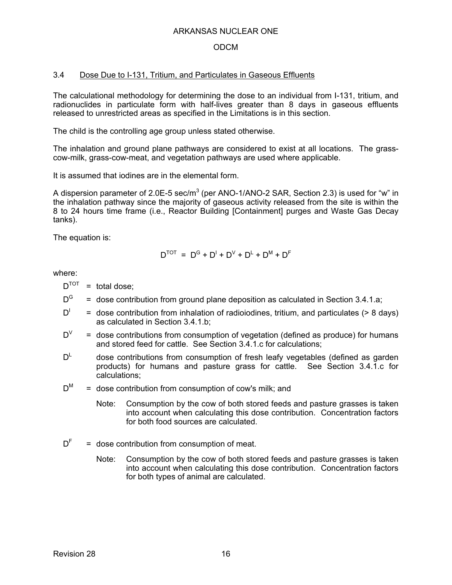### ODCM

### 3.4 Dose Due to I-131, Tritium, and Particulates in Gaseous Effluents

The calculational methodology for determining the dose to an individual from I-131, tritium, and radionuclides in particulate form with half-lives greater than 8 days in gaseous effluents released to unrestricted areas as specified in the Limitations is in this section.

The child is the controlling age group unless stated otherwise.

The inhalation and ground plane pathways are considered to exist at all locations. The grasscow-milk, grass-cow-meat, and vegetation pathways are used where applicable.

It is assumed that iodines are in the elemental form.

A dispersion parameter of 2.0E-5 sec/m<sup>3</sup> (per ANO-1/ANO-2 SAR, Section 2.3) is used for "w" in the inhalation pathway since the majority of gaseous activity released from the site is within the 8 to 24 hours time frame (i.e., Reactor Building [Containment] purges and Waste Gas Decay tanks).

The equation is:

$$
D^{TOT} = D^G + D^I + D^V + D^L + D^M + D^F
$$

where:

 $D^{TOT}$  = total dose;

- $D^G$  = dose contribution from ground plane deposition as calculated in Section 3.4.1.a;
- $D^{\perp}$  = dose contribution from inhalation of radioiodines, tritium, and particulates (> 8 days) as calculated in Section 3.4.1.b;
- $D^V$  = dose contributions from consumption of vegetation (defined as produce) for humans and stored feed for cattle. See Section 3.4.1.c for calculations;
- $D^L$  dose contributions from consumption of fresh leafy vegetables (defined as garden products) for humans and pasture grass for cattle. See Section 3.4.1.c for calculations;
- $D^M$  = dose contribution from consumption of cow's milk; and
	- Note: Consumption by the cow of both stored feeds and pasture grasses is taken into account when calculating this dose contribution. Concentration factors for both food sources are calculated.
- $D<sup>F</sup>$  = dose contribution from consumption of meat.
	- Note: Consumption by the cow of both stored feeds and pasture grasses is taken into account when calculating this dose contribution. Concentration factors for both types of animal are calculated.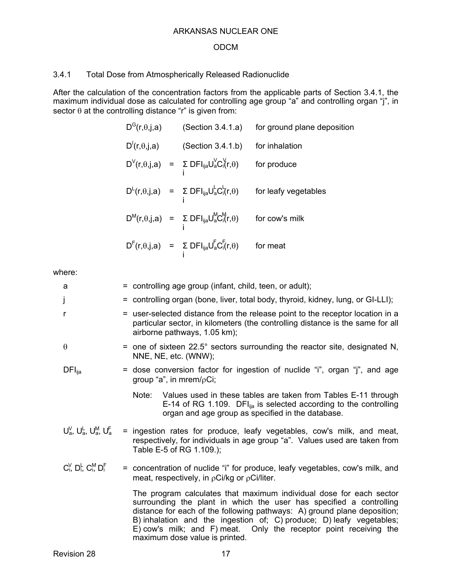## 3.4.1 Total Dose from Atmospherically Released Radionuclide

After the calculation of the concentration factors from the applicable parts of Section 3.4.1, the maximum individual dose as calculated for controlling age group "a" and controlling organ "j", in sector  $\theta$  at the controlling distance "r" is given from:

| $D^{G}(r, \theta, j, a)$                 | (Section 3.4.1.a)                                                                                                                                                           | for ground plane deposition |
|------------------------------------------|-----------------------------------------------------------------------------------------------------------------------------------------------------------------------------|-----------------------------|
| $D^1(r, \theta, \mathbf{j}, \mathbf{a})$ | (Section 3.4.1.b)                                                                                                                                                           | for inhalation              |
|                                          | $D^{V}(r,\theta,j,a) = \sum_{i} DFI_{ija}U_{a}^{V}C_{i}^{V}(r,\theta)$                                                                                                      | for produce                 |
|                                          | $D^L(r,\theta,j,a) = \sum_i DFI_{ija}U_a^L C_i^L(r,\theta)$                                                                                                                 | for leafy vegetables        |
|                                          | $\mathsf{D}^{\mathsf{M}}(r,\theta,j,a) \;\; = \;\; \mathsf{\Sigma} \; \mathsf{D}\mathsf{F}\mathsf{I}_{ija}\mathsf{U}_{a}^{\mathsf{M}}\mathsf{C}_{i}^{\mathsf{M}}(r,\theta)$ | for cow's milk              |
|                                          | $D^{F}(r,\theta,j,a) = \sum_{i} DFI_{ija}U_{a}^{F}C_{i}^{F}(r,\theta)$                                                                                                      | for meat                    |

| a                                     | = controlling age group (infant, child, teen, or adult);                                                                                                                                                                                                                                                                                                                                              |  |  |
|---------------------------------------|-------------------------------------------------------------------------------------------------------------------------------------------------------------------------------------------------------------------------------------------------------------------------------------------------------------------------------------------------------------------------------------------------------|--|--|
| j                                     | = controlling organ (bone, liver, total body, thyroid, kidney, lung, or GI-LLI);                                                                                                                                                                                                                                                                                                                      |  |  |
| r                                     | = user-selected distance from the release point to the receptor location in a<br>particular sector, in kilometers (the controlling distance is the same for all<br>airborne pathways, 1.05 km);                                                                                                                                                                                                       |  |  |
| $\theta$                              | = one of sixteen $22.5^{\circ}$ sectors surrounding the reactor site, designated N,<br>NNE, NE, etc. (WNW);                                                                                                                                                                                                                                                                                           |  |  |
| $DFI_{\text{ija}}$                    | = dose conversion factor for ingestion of nuclide "i", organ "j", and age<br>group "a", in mrem/ $\rho$ Ci;                                                                                                                                                                                                                                                                                           |  |  |
|                                       | Note: Values used in these tables are taken from Tables E-11 through<br>E-14 of RG 1.109. DFI $_{\text{lia}}$ is selected according to the controlling<br>organ and age group as specified in the database.                                                                                                                                                                                           |  |  |
| $U_a^V$ , $U_a^L$ , $U_a^M$ , $U_a^F$ | = ingestion rates for produce, leafy vegetables, cow's milk, and meat,<br>respectively, for individuals in age group "a". Values used are taken from<br>Table E-5 of RG 1.109.);                                                                                                                                                                                                                      |  |  |
| $C_i^V$ , $D_i^L$ , $C_i^M$ , $D_i^F$ | = concentration of nuclide "i" for produce, leafy vegetables, cow's milk, and<br>meat, respectively, in $\rho Ci/kg$ or $\rho Ci/liter$ .                                                                                                                                                                                                                                                             |  |  |
|                                       | The program calculates that maximum individual dose for each sector<br>surrounding the plant in which the user has specified a controlling<br>distance for each of the following pathways: A) ground plane deposition;<br>B) inhalation and the ingestion of; C) produce; D) leafy vegetables;<br>E) cow's milk; and F) meat. Only the receptor point receiving the<br>maximum dose value is printed. |  |  |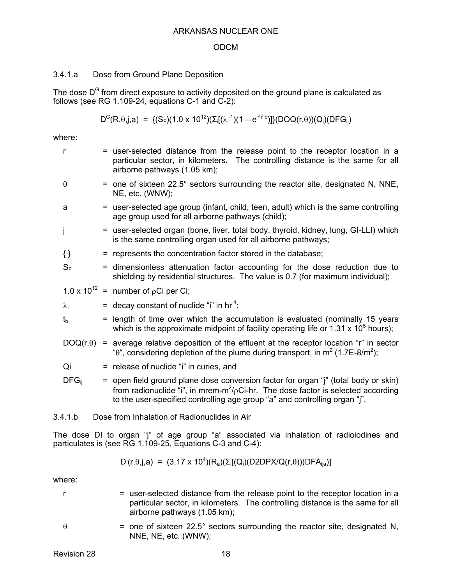### ODCM

### 3.4.1.a Dose from Ground Plane Deposition

The dose  $D^G$  from direct exposure to activity deposited on the ground plane is calculated as follows (see RG 1.109-24, equations C-1 and C-2):

$$
D^{G}(R,\theta,j,a) = \{ (S_{F})(1.0 \times 10^{12}) (\Sigma_{i}[(\lambda_{i}^{-1})(1 - e^{-\lambda_{i}t}b)] \} (DOQ(r,\theta))(Q_{i})(DFG_{ij})
$$

where:

| r                | = user-selected distance from the release point to the receptor location in a<br>particular sector, in kilometers. The controlling distance is the same for all<br>airborne pathways (1.05 km);                                                                          |
|------------------|--------------------------------------------------------------------------------------------------------------------------------------------------------------------------------------------------------------------------------------------------------------------------|
| $\theta$         | = one of sixteen 22.5° sectors surrounding the reactor site, designated N, NNE,<br>NE, etc. (WNW);                                                                                                                                                                       |
| a                | = user-selected age group (infant, child, teen, adult) which is the same controlling<br>age group used for all airborne pathways (child);                                                                                                                                |
| j                | = user-selected organ (bone, liver, total body, thyroid, kidney, lung, GI-LLI) which<br>is the same controlling organ used for all airborne pathways;                                                                                                                    |
| $\{\}$           | = represents the concentration factor stored in the database;                                                                                                                                                                                                            |
| $S_F$            | = dimensionless attenuation factor accounting for the dose reduction due to<br>shielding by residential structures. The value is 0.7 (for maximum individual);                                                                                                           |
|                  | 1.0 x 10 <sup>12</sup> = number of $pCi$ per Ci;                                                                                                                                                                                                                         |
| $\lambda_i$      | = decay constant of nuclide "i" in $hr^{-1}$ ;                                                                                                                                                                                                                           |
| $t_{b}$          | = length of time over which the accumulation is evaluated (nominally 15 years<br>which is the approximate midpoint of facility operating life or 1.31 x 10 <sup>5</sup> hours);                                                                                          |
| $DOQ(r, \theta)$ | = average relative deposition of the effluent at the receptor location "r" in sector<br>" $\theta$ ", considering depletion of the plume during transport, in m <sup>2</sup> (1.7E-8/m <sup>2</sup> );                                                                   |
| Qi               | = release of nuclide "i" in curies, and                                                                                                                                                                                                                                  |
| $DFG_{ii}$       | = open field ground plane dose conversion factor for organ "j" (total body or skin)<br>from radionuclide "i", in mrem-m <sup>2</sup> / $\rho$ Ci-hr. The dose factor is selected according<br>to the user-specified controlling age group "a" and controlling organ "j". |
| 3.4.1.b          | Dose from Inhalation of Radionuclides in Air                                                                                                                                                                                                                             |

The dose DI to organ "j" of age group "a" associated via inhalation of radioiodines and particulates is (see RG 1.109-25, Equations C-3 and C-4):

$$
D^1(r, \theta, j, a) = (3.17 \times 10^4)(R_a)(\Sigma_i[(Q_i)(D2DPX/Q(r, \theta))(DFA_{ija})]
$$

where:

- r = user-selected distance from the release point to the receptor location in a particular sector, in kilometers. The controlling distance is the same for all airborne pathways (1.05 km);
- 

 $\theta$  = one of sixteen 22.5° sectors surrounding the reactor site, designated N, NNE, NE, etc. (WNW);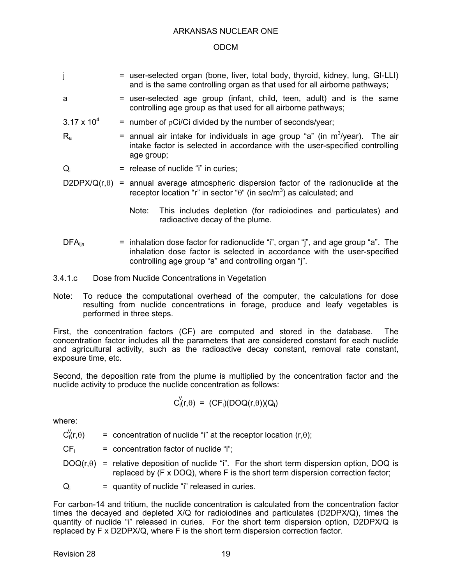### ODCM

- j = user-selected organ (bone, liver, total body, thyroid, kidney, lung, GI-LLI) and is the same controlling organ as that used for all airborne pathways;
- 
- a = user-selected age group (infant, child, teen, adult) and is the same controlling age group as that used for all airborne pathways;
- $3.17 \times 10^{4}$  $=$  number of  $\rho$ Ci/Ci divided by the number of seconds/year;
- $R_a$  = annual air intake for individuals in age group "a" (in m<sup>3</sup>/year). The air intake factor is selected in accordance with the user-specified controlling age group;
- $Q_i$  = release of nuclide "i" in curies;
- $D2DPX/Q(r,\theta)$  = annual average atmospheric dispersion factor of the radionuclide at the receptor location "r" in sector " $\theta$ " (in sec/m<sup>3</sup>) as calculated; and
	- Note: This includes depletion (for radioiodines and particulates) and radioactive decay of the plume.
- $DFA_{\text{lia}}$  = inhalation dose factor for radionuclide "i", organ "j", and age group "a". The inhalation dose factor is selected in accordance with the user-specified controlling age group "a" and controlling organ "j".
- 3.4.1.c Dose from Nuclide Concentrations in Vegetation
- Note: To reduce the computational overhead of the computer, the calculations for dose resulting from nuclide concentrations in forage, produce and leafy vegetables is performed in three steps.

First, the concentration factors (CF) are computed and stored in the database. The concentration factor includes all the parameters that are considered constant for each nuclide and agricultural activity, such as the radioactive decay constant, removal rate constant, exposure time, etc.

Second, the deposition rate from the plume is multiplied by the concentration factor and the nuclide activity to produce the nuclide concentration as follows:

$$
C_{i}^{V}(r,\theta) = (CF_{i})(DOQ(r,\theta))(Q_{i})
$$

where:

= concentration of nuclide "i" at the receptor location  $(r,\theta)$ ;  $C_i(r, \theta)$ 

 $CF_i$  = concentration factor of nuclide "i":

- $DOQ(r,\theta)$  = relative deposition of nuclide "i". For the short term dispersion option, DOQ is replaced by (F x DOQ), where F is the short term dispersion correction factor;
- $Q_i$  = quantity of nuclide "i" released in curies.

For carbon-14 and tritium, the nuclide concentration is calculated from the concentration factor times the decayed and depleted X/Q for radioiodines and particulates (D2DPX/Q), times the quantity of nuclide "i" released in curies. For the short term dispersion option, D2DPX/Q is replaced by F x D2DPX/Q, where F is the short term dispersion correction factor.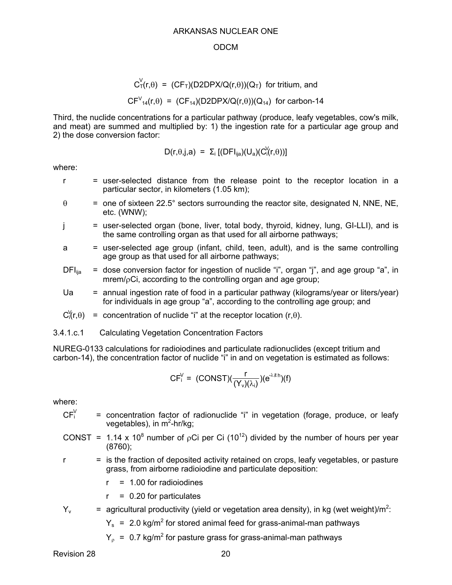#### ODCM

$$
C_{\tau}^{V}(r,\theta) = (CF_{\tau})(D2DPX/Q(r,\theta))(Q_{\tau}) \text{ for tritium, and}
$$
  

$$
CF_{14}(r,\theta) = (CF_{14})(D2DPX/Q(r,\theta))(Q_{14}) \text{ for carbon-14}
$$

Third, the nuclide concentrations for a particular pathway (produce, leafy vegetables, cow's milk, and meat) are summed and multiplied by: 1) the ingestion rate for a particular age group and 2) the dose conversion factor:

$$
D(r,\theta,j,a) = \Sigma_i [(DFI_{ija})(U_a)(C_i^{V}(r,\theta))]
$$

where:

- r = user-selected distance from the release point to the receptor location in a particular sector, in kilometers (1.05 km);
- $\theta$  = one of sixteen 22.5° sectors surrounding the reactor site, designated N, NNE, NE, etc. (WNW);
- j = user-selected organ (bone, liver, total body, thyroid, kidney, lung, GI-LLI), and is the same controlling organ as that used for all airborne pathways;
- a = user-selected age group (infant, child, teen, adult), and is the same controlling age group as that used for all airborne pathways;
- $DFI<sub>iia</sub>$  = dose conversion factor for ingestion of nuclide "i", organ "j", and age group "a", in  $mrem/c$ Ci, according to the controlling organ and age group;
- Ua  $=$  annual ingestion rate of food in a particular pathway (kilograms/year or liters/year) for individuals in age group "a", according to the controlling age group; and

 $C_1^V(r,\theta)$  = concentration of nuclide "i" at the receptor location (r, $\theta$ ).

3.4.1.c.1 Calculating Vegetation Concentration Factors

NUREG-0133 calculations for radioiodines and particulate radionuclides (except tritium and carbon-14), the concentration factor of nuclide "i" in and on vegetation is estimated as follows:

$$
CF_i^V = (CONST)(\frac{r}{(Y_v)(\lambda_i)}) (e^{-\lambda_i t h})(f)
$$

where:

- = concentration factor of radionuclide "i" in vegetation (forage, produce, or leafy vegetables), in m<sup>2</sup>-hr/kg;  $CF_i^V$
- CONST = 1.14 x 10<sup>8</sup> number of  $pCi$  per Ci (10<sup>12</sup>) divided by the number of hours per year (8760);
- $r =$  is the fraction of deposited activity retained on crops, leafy vegetables, or pasture grass, from airborne radioiodine and particulate deposition:
	- $r = 1.00$  for radioiodines
	- $r = 0.20$  for particulates
- $Y_v$  = agricultural productivity (yield or vegetation area density), in kg (wet weight)/m<sup>2</sup>:
	- $Y_s$  = 2.0 kg/m<sup>2</sup> for stored animal feed for grass-animal-man pathways
	- $Y_{\rho}$  = 0.7 kg/m<sup>2</sup> for pasture grass for grass-animal-man pathways

Revision 28 20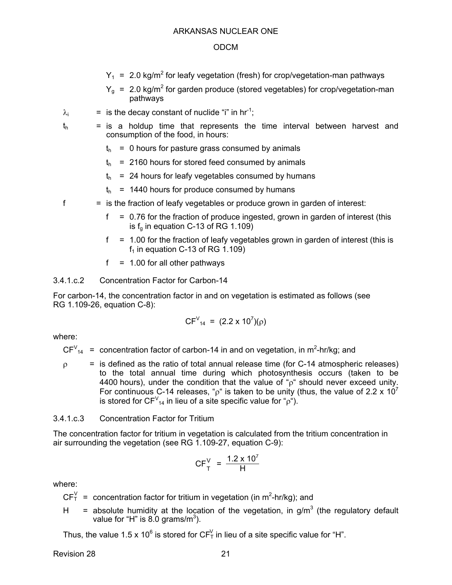- $Y_1$  = 2.0 kg/m<sup>2</sup> for leafy vegetation (fresh) for crop/vegetation-man pathways
- $Y_g$  = 2.0 kg/m<sup>2</sup> for garden produce (stored vegetables) for crop/vegetation-man pathways
- $\lambda_i$  = is the decay constant of nuclide "i" in hr<sup>-1</sup>;
- 
- $t<sub>h</sub>$  = is a holdup time that represents the time interval between harvest and consumption of the food, in hours:
	- $t<sub>h</sub> = 0$  hours for pasture grass consumed by animals
	- $t<sub>h</sub>$  = 2160 hours for stored feed consumed by animals
	- $t<sub>h</sub>$  = 24 hours for leafy vegetables consumed by humans
	- $t<sub>h</sub>$  = 1440 hours for produce consumed by humans
- $f =$  is the fraction of leafy vegetables or produce grown in garden of interest:
	- $f = 0.76$  for the fraction of produce ingested, grown in garden of interest (this is  $f<sub>g</sub>$  in equation C-13 of RG 1.109)
	- $f = 1.00$  for the fraction of leafy vegetables grown in garden of interest (this is  $f_1$  in equation C-13 of RG 1.109)
	- $f = 1.00$  for all other pathways

### 3.4.1.c.2 Concentration Factor for Carbon-14

For carbon-14, the concentration factor in and on vegetation is estimated as follows (see RG 1.109-26, equation C-8):

$$
CF_{14} = (2.2 \times 10^7)(\rho)
$$

where:

- $CFV_{14}$  = concentration factor of carbon-14 in and on vegetation, in m<sup>2</sup>-hr/kg; and
- $\rho$  = is defined as the ratio of total annual release time (for C-14 atmospheric releases) to the total annual time during which photosynthesis occurs (taken to be 4400 hours), under the condition that the value of " $\rho$ " should never exceed unity. For continuous C-14 releases, "p" is taken to be unity (thus, the value of 2.2 x 10<sup>7</sup> is stored for CF $v_{14}$  in lieu of a site specific value for "p").

### 3.4.1.c.3 Concentration Factor for Tritium

The concentration factor for tritium in vegetation is calculated from the tritium concentration in air surrounding the vegetation (see RG 1.109-27, equation C-9):

$$
CF_{T}^{V} = \frac{1.2 \times 10^{7}}{H}
$$

where:

- $CF_T^V$  = concentration factor for tritium in vegetation (in m<sup>2</sup>-hr/kg); and
- H = absolute humidity at the location of the vegetation, in  $g/m<sup>3</sup>$  (the regulatory default value for "H" is  $8.0$  grams/m<sup>3</sup>).

Thus, the value 1.5 x 10<sup>6</sup> is stored for CF<sup>V</sup><sub>T</sub> in lieu of a site specific value for "H".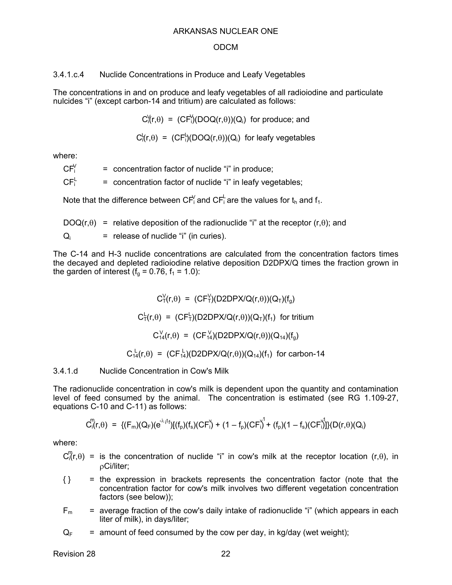#### ODCM

3.4.1.c.4 Nuclide Concentrations in Produce and Leafy Vegetables

The concentrations in and on produce and leafy vegetables of all radioiodine and particulate nulcides "i" (except carbon-14 and tritium) are calculated as follows:

 $C_1^{\vee}(r,\theta) = (CF_1^{\vee})(DOQ(r,\theta))(Q_i)$  for produce; and

 $C_1^L(r,\theta) = (CF_1^L)(DOQ(r,\theta))(Q_i)$  for leafy vegetables

where:

= concentration factor of nuclide "i" in produce;  $CFY$ 

= concentration factor of nuclide "i" in leafy vegetables;  $CF_i^L$ 

Note that the difference between CF<sup>Y</sup> and CF<sup>L</sup> are the values for t<sub>h</sub> and f<sub>1</sub>.

 $DOQ(r,\theta)$  = relative deposition of the radionuclide "i" at the receptor (r, $\theta$ ); and  $Q_i$  = release of nuclide "i" (in curies).

The C-14 and H-3 nuclide concentrations are calculated from the concentration factors times the decayed and depleted radioiodine relative deposition D2DPX/Q times the fraction grown in the garden of interest ( $f_a$  = 0.76,  $f_1$  = 1.0):

> $C_T^V(r,\theta) = (CF_T^V)(D2DPX/Q(r,\theta))(Q_T)(f_g)$  $C^{\perp}_{\tau}(r,\theta) = (CF^{\perp}_{\tau})(D2DPX/Q(r,\theta))(Q_{\tau})(f_{1})$  for tritium  $C_{14}^{\vee}(r,\theta) = (CF_{14}^{\vee})(D2DPX/Q(r,\theta))(Q_{14})(f_g)$  $C_{14}^{\perp}(r,\theta) = (CF_{14}^{\perp})(D2DPX/Q(r,\theta))(Q_{14})(f_1)$  for carbon-14

3.4.1.d Nuclide Concentration in Cow's Milk

The radionuclide concentration in cow's milk is dependent upon the quantity and contamination level of feed consumed by the animal. The concentration is estimated (see RG 1.109-27, equations C-10 and C-11) as follows:

$$
C_{i}^{m}(r,\theta) \; = \; \{ (F_{m})(Q_{F})(e^{-\lambda_{i} t_{f}})[(f_{p})(f_{s})(CF^{V}_{i}) + (1-f_{p})(CF^{V}_{i}) + (f_{p})(1-f_{s})(CF^{V}_{i}) ] \} (D(r,\theta)(Q_{i})
$$

where:

 $C_0^m(r,\theta)$  = is the concentration of nuclide "i" in cow's milk at the receptor location (r, $\theta$ ), in Ci/liter;

- { } = the expression in brackets represents the concentration factor (note that the concentration factor for cow's milk involves two different vegetation concentration factors (see below));
- $F_m$  = average fraction of the cow's daily intake of radionuclide "i" (which appears in each liter of milk), in days/liter;

 $Q_F$  = amount of feed consumed by the cow per day, in kg/day (wet weight);

Revision 28 22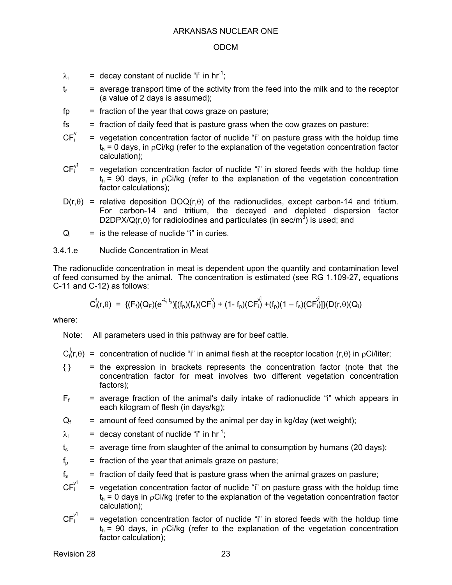- $\lambda_i$  = decay constant of nuclide "i" in hr<sup>-1</sup>;
- $t_f$  = average transport time of the activity from the feed into the milk and to the receptor (a value of 2 days is assumed);
- $fp = fraction of the year that cows graze on pasture;$
- $f<sub>s</sub>$  = fraction of daily feed that is pasture grass when the cow grazes on pasture;
- $=$  vegetation concentration factor of nuclide "i" on pasture grass with the holdup time  $t<sub>h</sub> = 0$  days, in  $\rho$ Ci/kg (refer to the explanation of the vegetation concentration factor calculation);  $CF_i^v$
- = vegetation concentration factor of nuclide "i" in stored feeds with the holdup time  $t<sub>h</sub>$  = 90 days, in  $pCi/kg$  (refer to the explanation of the vegetation concentration factor calculations);  $CF_i^{v1}$
- $D(r,\theta)$  = relative deposition  $DOQ(r,\theta)$  of the radionuclides, except carbon-14 and tritium. For carbon-14 and tritium, the decayed and depleted dispersion factor D2DPX/Q(r, $\theta$ ) for radioiodines and particulates (in sec/m<sup>3</sup>) is used; and
- $Q_i$  = is the release of nuclide "i" in curies.

### 3.4.1.e Nuclide Concentration in Meat

The radionuclide concentration in meat is dependent upon the quantity and contamination level of feed consumed by the animal. The concentration is estimated (see RG 1.109-27, equations C-11 and C-12) as follows:

$$
C_i^f(r,\theta) \; = \; \{(F_f)(Q_F)(e^{-\lambda_i \cdot t_S})[(f_p)(f_s)(CF_i^V) \; + \; (1-f_p)(CF_i^V) \; + (f_p)(1-f_s)(CF_i^V)]\}(D(r,\theta)(Q_i)
$$

where:

Note: All parameters used in this pathway are for beef cattle.

- $C_i^f(r,\theta)$  = concentration of nuclide "i" in animal flesh at the receptor location (r, $\theta$ ) in pCi/liter;
- { } = the expression in brackets represents the concentration factor (note that the concentration factor for meat involves two different vegetation concentration factors);
- $F_f$  = average fraction of the animal's daily intake of radionuclide "i" which appears in each kilogram of flesh (in days/kg);
- $Q_f$  = amount of feed consumed by the animal per day in kg/day (wet weight);
- $\lambda_i$  = decay constant of nuclide "i" in hr<sup>-1</sup>;
- $t_s$  = average time from slaughter of the animal to consumption by humans (20 days);
- $f<sub>p</sub>$  = fraction of the year that animals graze on pasture;
- $f_s$  = fraction of daily feed that is pasture grass when the animal grazes on pasture;
- = vegetation concentration factor of nuclide "i" on pasture grass with the holdup time  $t<sub>h</sub> = 0$  days in  $\rho$ Ci/kg (refer to the explanation of the vegetation concentration factor calculation); v 1
- = vegetation concentration factor of nuclide "i" in stored feeds with the holdup time  $t<sub>h</sub>$  = 90 days, in  $pCi/kg$  (refer to the explanation of the vegetation concentration factor calculation); v 1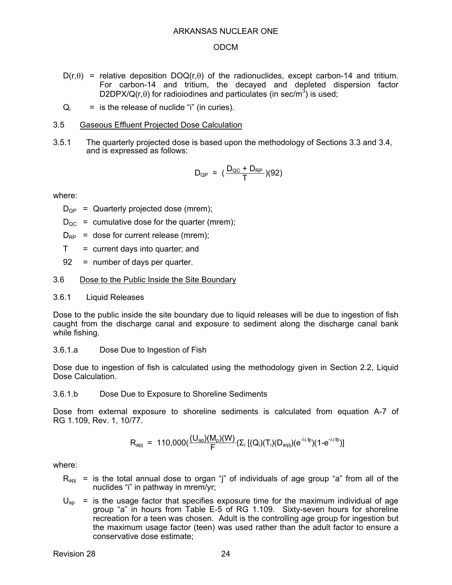#### ODCM

- $D(r,\theta)$  = relative deposition  $DOQ(r,\theta)$  of the radionuclides, except carbon-14 and tritium. For carbon-14 and tritium, the decayed and depleted dispersion factor D2DPX/Q(r, $\theta$ ) for radioiodines and particulates (in sec/m<sup>3</sup>) is used;
- $Q_i$  = is the release of nuclide "i" (in curies).

#### 3.5 Gaseous Effluent Projected Dose Calculation

3.5.1 The quarterly projected dose is based upon the methodology of Sections 3.3 and 3.4, and is expressed as follows:

$$
D_{\rm QP} = (\frac{D_{\rm QC} + D_{\rm RP}}{T})(92)
$$

where:

 $D_{OP}$  = Quarterly projected dose (mrem);

- $D_{\text{OC}}$  = cumulative dose for the quarter (mrem);
- $D_{RP}$  = dose for current release (mrem);
- $T =$  current days into quarter; and
- 92 = number of days per quarter.

#### 3.6 Dose to the Public Inside the Site Boundary

3.6.1 Liquid Releases

Dose to the public inside the site boundary due to liquid releases will be due to ingestion of fish caught from the discharge canal and exposure to sediment along the discharge canal bank while fishing.

3.6.1.a Dose Due to Ingestion of Fish

Dose due to ingestion of fish is calculated using the methodology given in Section 2.2, Liquid Dose Calculation.

3.6.1.b Dose Due to Exposure to Shoreline Sediments

Dose from external exposure to shoreline sediments is calculated from equation A-7 of RG 1.109, Rev. 1, 10/77.

$$
R_{\text{api}} = 110,000 \left( \frac{(U_{\text{ap}})(M_{\text{p}})(W)}{F} (\Sigma_{i} [(Q_{i})(T_{i})(D_{\text{aipi}})(e^{-\lambda i \Phi})(1 - e^{-\lambda i \Phi})] \right)
$$

- $R_{\text{aoi}}$  = is the total annual dose to organ "j" of individuals of age group "a" from all of the nuclides "i" in pathway in mrem/yr;
- $U_{\text{an}}$  = is the usage factor that specifies exposure time for the maximum individual of age group "a" in hours from Table E-5 of RG 1.109. Sixty-seven hours for shoreline recreation for a teen was chosen. Adult is the controlling age group for ingestion but the maximum usage factor (teen) was used rather than the adult factor to ensure a conservative dose estimate;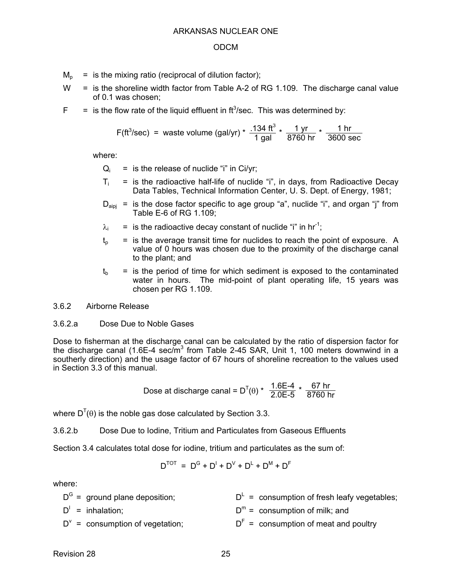- $M_p$  = is the mixing ratio (reciprocal of dilution factor);
- $W =$  is the shoreline width factor from Table A-2 of RG 1.109. The discharge canal value of 0.1 was chosen;
- $F =$  is the flow rate of the liquid effluent in ft<sup>3</sup>/sec. This was determined by:

F(tf<sup>3</sup>/sec) = waste volume (gal/yr) \* 
$$
\frac{.134 \text{ ft}^3}{1 \text{ gal}}
$$
 \*  $\frac{1 \text{ yr}}{8760 \text{ hr}}$  \*  $\frac{1 \text{ hr}}{3600 \text{ sec}}$ 

where:

- $Q_i$  = is the release of nuclide "i" in Ci/yr;
- $T_i$  = is the radioactive half-life of nuclide "i", in days, from Radioactive Decay Data Tables, Technical Information Center, U. S. Dept. of Energy, 1981;
- $D_{\text{aini}}$  = is the dose factor specific to age group "a", nuclide "i", and organ "j" from Table E-6 of RG 1.109;
- $\lambda_i$  = is the radioactive decay constant of nuclide "i" in hr<sup>-1</sup>;
- $t<sub>o</sub>$  = is the average transit time for nuclides to reach the point of exposure. A value of 0 hours was chosen due to the proximity of the discharge canal to the plant; and
- $t<sub>b</sub>$  = is the period of time for which sediment is exposed to the contaminated water in hours. The mid-point of plant operating life, 15 years was chosen per RG 1.109.
- 3.6.2 Airborne Release

### 3.6.2.a Dose Due to Noble Gases

Dose to fisherman at the discharge canal can be calculated by the ratio of dispersion factor for the discharge canal (1.6E-4 sec/m<sup>3</sup> from Table 2-45 SAR, Unit 1, 100 meters downwind in a southerly direction) and the usage factor of 67 hours of shoreline recreation to the values used in Section 3.3 of this manual.

Dose at discharge canal = D<sup>T</sup>(θ) \* 
$$
\frac{1.6E-4}{2.0E-5}
$$
 \*  $\frac{67hr}{8760 hr}$ 

where  $D^{T}(\theta)$  is the noble gas dose calculated by Section 3.3.

3.6.2.b Dose Due to Iodine, Tritium and Particulates from Gaseous Effluents

Section 3.4 calculates total dose for iodine, tritium and particulates as the sum of:

$$
D^{TOT} = D^G + D^I + D^V + D^L + D^M + D^F
$$

| $D^G$ = ground plane deposition;   | $D^L$ = consumption of fresh leafy vegetables; |
|------------------------------------|------------------------------------------------|
| $D'$ = inhalation;                 | $D^m$ = consumption of milk; and               |
| $D^v$ = consumption of vegetation; | $DF$ = consumption of meat and poultry         |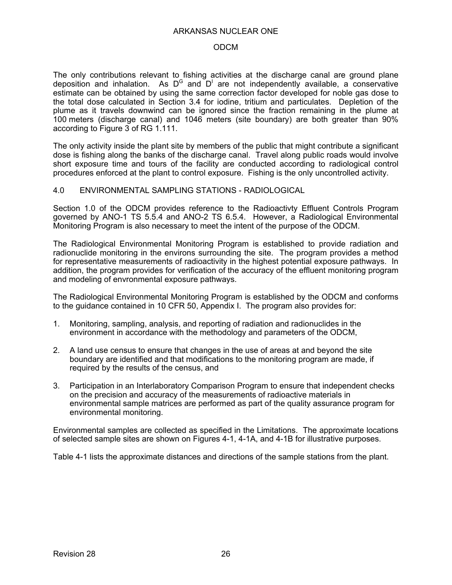#### ODCM

The only contributions relevant to fishing activities at the discharge canal are ground plane deposition and inhalation. As D<sup>G</sup> and  $D^1$  are not independently available, a conservative estimate can be obtained by using the same correction factor developed for noble gas dose to the total dose calculated in Section 3.4 for iodine, tritium and particulates. Depletion of the plume as it travels downwind can be ignored since the fraction remaining in the plume at 100 meters (discharge canal) and 1046 meters (site boundary) are both greater than 90% according to Figure 3 of RG 1.111.

The only activity inside the plant site by members of the public that might contribute a significant dose is fishing along the banks of the discharge canal. Travel along public roads would involve short exposure time and tours of the facility are conducted according to radiological control procedures enforced at the plant to control exposure. Fishing is the only uncontrolled activity.

### 4.0 ENVIRONMENTAL SAMPLING STATIONS - RADIOLOGICAL

Section 1.0 of the ODCM provides reference to the Radioactivty Effluent Controls Program governed by ANO-1 TS 5.5.4 and ANO-2 TS 6.5.4. However, a Radiological Environmental Monitoring Program is also necessary to meet the intent of the purpose of the ODCM.

The Radiological Environmental Monitoring Program is established to provide radiation and radionuclide monitoring in the environs surrounding the site. The program provides a method for representative measurements of radioactivity in the highest potential exposure pathways. In addition, the program provides for verification of the accuracy of the effluent monitoring program and modeling of envronmental exposure pathways.

The Radiological Environmental Monitoring Program is established by the ODCM and conforms to the guidance contained in 10 CFR 50, Appendix I. The program also provides for:

- 1. Monitoring, sampling, analysis, and reporting of radiation and radionuclides in the environment in accordance with the methodology and parameters of the ODCM,
- 2. A land use census to ensure that changes in the use of areas at and beyond the site boundary are identified and that modifications to the monitoring program are made, if required by the results of the census, and
- 3. Participation in an Interlaboratory Comparison Program to ensure that independent checks on the precision and accuracy of the measurements of radioactive materials in environmental sample matrices are performed as part of the quality assurance program for environmental monitoring.

Environmental samples are collected as specified in the Limitations. The approximate locations of selected sample sites are shown on Figures 4-1, 4-1A, and 4-1B for illustrative purposes.

Table 4-1 lists the approximate distances and directions of the sample stations from the plant.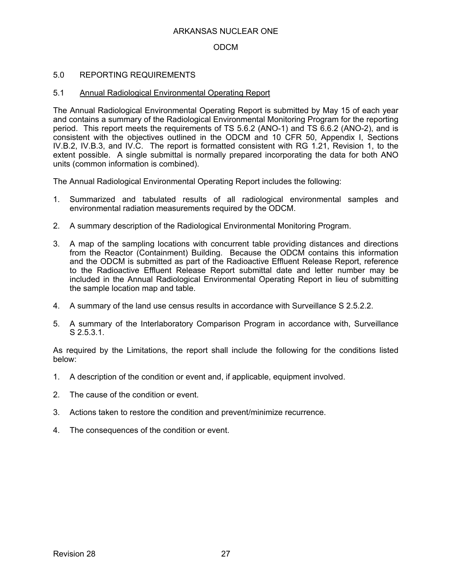### ODCM

### 5.0 REPORTING REQUIREMENTS

### 5.1 Annual Radiological Environmental Operating Report

The Annual Radiological Environmental Operating Report is submitted by May 15 of each year and contains a summary of the Radiological Environmental Monitoring Program for the reporting period. This report meets the requirements of TS 5.6.2 (ANO-1) and TS 6.6.2 (ANO-2), and is consistent with the objectives outlined in the ODCM and 10 CFR 50, Appendix I, Sections IV.B.2, IV.B.3, and IV.C. The report is formatted consistent with RG 1.21, Revision 1, to the extent possible. A single submittal is normally prepared incorporating the data for both ANO units (common information is combined).

The Annual Radiological Environmental Operating Report includes the following:

- 1. Summarized and tabulated results of all radiological environmental samples and environmental radiation measurements required by the ODCM.
- 2. A summary description of the Radiological Environmental Monitoring Program.
- 3. A map of the sampling locations with concurrent table providing distances and directions from the Reactor (Containment) Building. Because the ODCM contains this information and the ODCM is submitted as part of the Radioactive Effluent Release Report, reference to the Radioactive Effluent Release Report submittal date and letter number may be included in the Annual Radiological Environmental Operating Report in lieu of submitting the sample location map and table.
- 4. A summary of the land use census results in accordance with Surveillance S 2.5.2.2.
- 5. A summary of the Interlaboratory Comparison Program in accordance with, Surveillance S 2.5.3.1.

As required by the Limitations, the report shall include the following for the conditions listed below:

- 1. A description of the condition or event and, if applicable, equipment involved.
- 2. The cause of the condition or event.
- 3. Actions taken to restore the condition and prevent/minimize recurrence.
- 4. The consequences of the condition or event.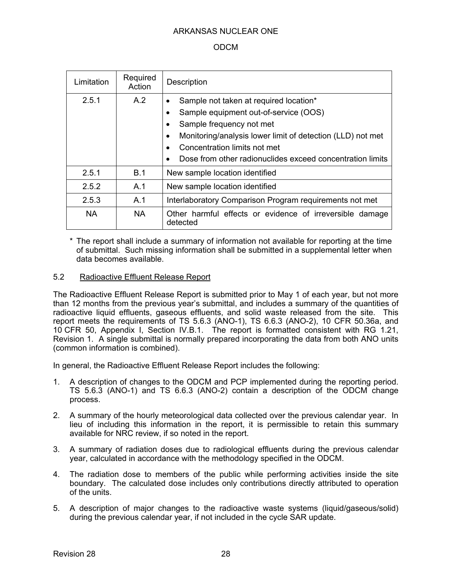### ODCM

| Limitation | Required<br>Action | Description                                                                                                                                                                                                                                                            |
|------------|--------------------|------------------------------------------------------------------------------------------------------------------------------------------------------------------------------------------------------------------------------------------------------------------------|
| 2.5.1      | A.2                | Sample not taken at required location*<br>Sample equipment out-of-service (OOS)<br>Sample frequency not met<br>Monitoring/analysis lower limit of detection (LLD) not met<br>Concentration limits not met<br>Dose from other radionuclides exceed concentration limits |
| 2.5.1      | B.1                | New sample location identified                                                                                                                                                                                                                                         |
| 2.5.2      | A.1                | New sample location identified                                                                                                                                                                                                                                         |
| 2.5.3      | A.1                | Interlaboratory Comparison Program requirements not met                                                                                                                                                                                                                |
| <b>NA</b>  | <b>NA</b>          | Other harmful effects or evidence of irreversible damage<br>detected                                                                                                                                                                                                   |

The report shall include a summary of information not available for reporting at the time of submittal. Such missing information shall be submitted in a supplemental letter when data becomes available.

### 5.2 Radioactive Effluent Release Report

The Radioactive Effluent Release Report is submitted prior to May 1 of each year, but not more than 12 months from the previous year's submittal, and includes a summary of the quantities of radioactive liquid effluents, gaseous effluents, and solid waste released from the site. This report meets the requirements of TS 5.6.3 (ANO-1), TS 6.6.3 (ANO-2), 10 CFR 50.36a, and 10 CFR 50, Appendix I, Section IV.B.1. The report is formatted consistent with RG 1.21, Revision 1. A single submittal is normally prepared incorporating the data from both ANO units (common information is combined).

In general, the Radioactive Effluent Release Report includes the following:

- 1. A description of changes to the ODCM and PCP implemented during the reporting period. TS 5.6.3 (ANO-1) and TS 6.6.3 (ANO-2) contain a description of the ODCM change process.
- 2. A summary of the hourly meteorological data collected over the previous calendar year. In lieu of including this information in the report, it is permissible to retain this summary available for NRC review, if so noted in the report.
- 3. A summary of radiation doses due to radiological effluents during the previous calendar year, calculated in accordance with the methodology specified in the ODCM.
- 4. The radiation dose to members of the public while performing activities inside the site boundary. The calculated dose includes only contributions directly attributed to operation of the units.
- 5. A description of major changes to the radioactive waste systems (liquid/gaseous/solid) during the previous calendar year, if not included in the cycle SAR update.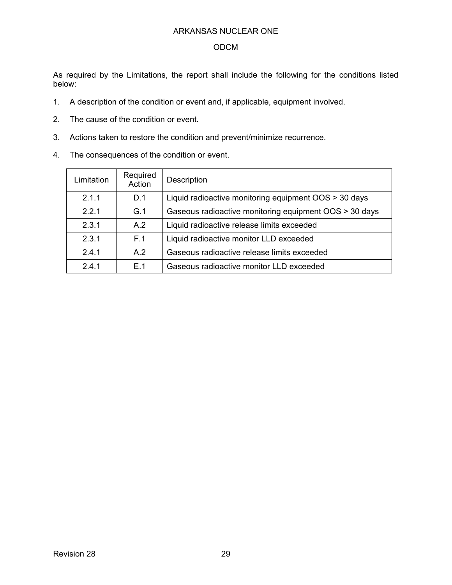### ODCM

As required by the Limitations, the report shall include the following for the conditions listed below:

- 1. A description of the condition or event and, if applicable, equipment involved.
- 2. The cause of the condition or event.
- 3. Actions taken to restore the condition and prevent/minimize recurrence.
- 4. The consequences of the condition or event.

| Limitation | Required<br>Action                             | Description                                            |
|------------|------------------------------------------------|--------------------------------------------------------|
| 2.1.1      | D.1                                            | Liquid radioactive monitoring equipment OOS > 30 days  |
| 2.2.1      | G.1                                            | Gaseous radioactive monitoring equipment OOS > 30 days |
| 2.3.1      | A.2                                            | Liquid radioactive release limits exceeded             |
| 2.3.1      | F.1<br>Liquid radioactive monitor LLD exceeded |                                                        |
| 241        | A.2                                            | Gaseous radioactive release limits exceeded            |
| 2.4.1      | F 1                                            | Gaseous radioactive monitor LLD exceeded               |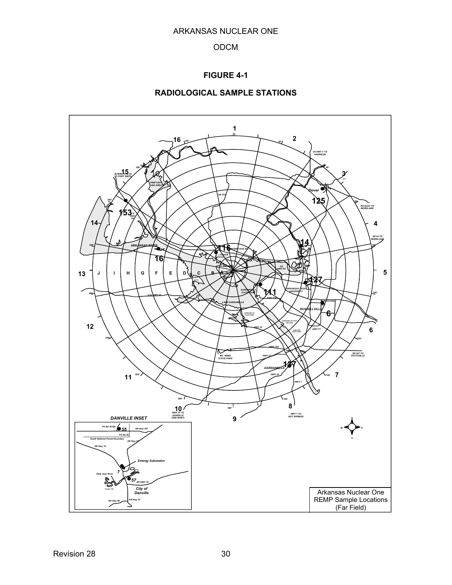### ODCM

### **FIGURE 4-1**

### **RADIOLOGICAL SAMPLE STATIONS**

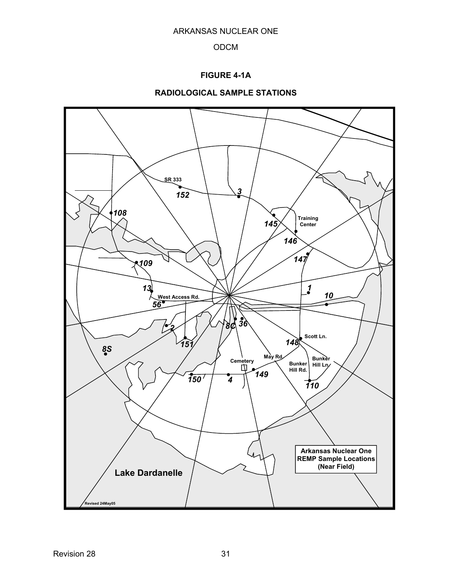## **FIGURE 4-1A**

### **RADIOLOGICAL SAMPLE STATIONS**

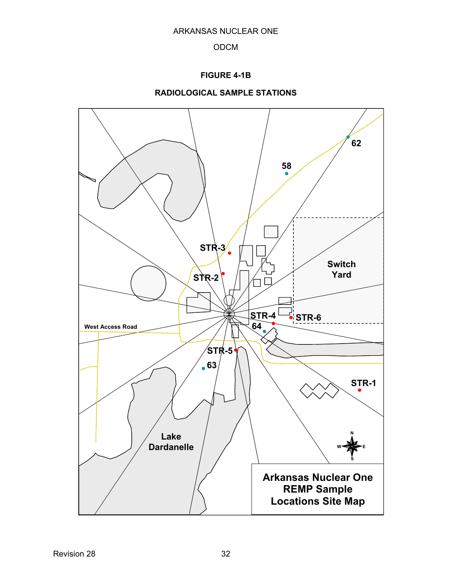## **FIGURE 4-1B**



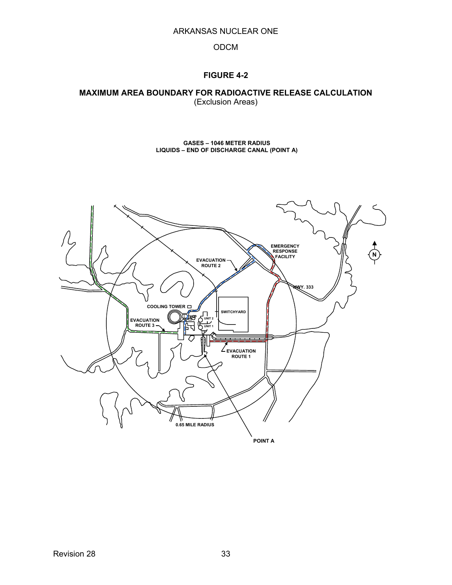### ODCM

### **FIGURE 4-2**

#### **MAXIMUM AREA BOUNDARY FOR RADIOACTIVE RELEASE CALCULATION**  (Exclusion Areas)

**GASES – 1046 METER RADIUS LIQUIDS – END OF DISCHARGE CANAL (POINT A)** 

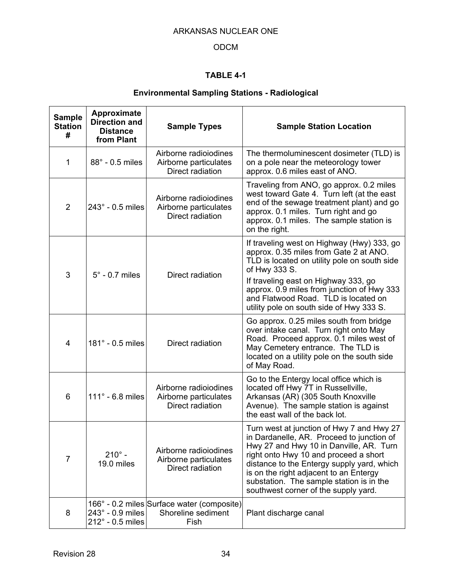## ODCM

# **TABLE 4-1**

# **Environmental Sampling Stations - Radiological**

| <b>Sample</b><br><b>Station</b><br># | Approximate<br><b>Direction and</b><br><b>Distance</b><br>from Plant | <b>Sample Types</b>                                                      | <b>Sample Station Location</b>                                                                                                                                                                                                                                                                                                                         |
|--------------------------------------|----------------------------------------------------------------------|--------------------------------------------------------------------------|--------------------------------------------------------------------------------------------------------------------------------------------------------------------------------------------------------------------------------------------------------------------------------------------------------------------------------------------------------|
| 1                                    | 88° - 0.5 miles                                                      | Airborne radioiodines<br>Airborne particulates<br>Direct radiation       | The thermoluminescent dosimeter (TLD) is<br>on a pole near the meteorology tower<br>approx. 0.6 miles east of ANO.                                                                                                                                                                                                                                     |
| $\overline{2}$                       | $243^\circ$ - 0.5 miles                                              | Airborne radioiodines<br>Airborne particulates<br>Direct radiation       | Traveling from ANO, go approx. 0.2 miles<br>west toward Gate 4. Turn left (at the east<br>end of the sewage treatment plant) and go<br>approx. 0.1 miles. Turn right and go<br>approx. 0.1 miles. The sample station is<br>on the right.                                                                                                               |
| 3                                    | $5^\circ$ - 0.7 miles                                                | Direct radiation                                                         | If traveling west on Highway (Hwy) 333, go<br>approx. 0.35 miles from Gate 2 at ANO.<br>TLD is located on utility pole on south side<br>of Hwy 333 S.<br>If traveling east on Highway 333, go<br>approx. 0.9 miles from junction of Hwy 333<br>and Flatwood Road. TLD is located on<br>utility pole on south side of Hwy 333 S.                        |
| 4                                    | 181° - 0.5 miles                                                     | Direct radiation                                                         | Go approx. 0.25 miles south from bridge<br>over intake canal. Turn right onto May<br>Road. Proceed approx. 0.1 miles west of<br>May Cemetery entrance. The TLD is<br>located on a utility pole on the south side<br>of May Road.                                                                                                                       |
| 6                                    | $111^\circ$ - 6.8 miles                                              | Airborne radioiodines<br>Airborne particulates<br>Direct radiation       | Go to the Entergy local office which is<br>located off Hwy 7T in Russellville,<br>Arkansas (AR) (305 South Knoxville<br>Avenue). The sample station is against<br>the east wall of the back lot.                                                                                                                                                       |
| $\overline{7}$                       | $210^{\circ}$ -<br>19.0 miles                                        | Airborne radioiodines<br>Airborne particulates<br>Direct radiation       | Turn west at junction of Hwy 7 and Hwy 27<br>in Dardanelle, AR. Proceed to junction of<br>Hwy 27 and Hwy 10 in Danville, AR. Turn<br>right onto Hwy 10 and proceed a short<br>distance to the Entergy supply yard, which<br>is on the right adjacent to an Entergy<br>substation. The sample station is in the<br>southwest corner of the supply yard. |
| 8                                    | $243^\circ$ - 0.9 miles<br>$212^\circ$ - 0.5 miles                   | 166° - 0.2 miles Surface water (composite)<br>Shoreline sediment<br>Fish | Plant discharge canal                                                                                                                                                                                                                                                                                                                                  |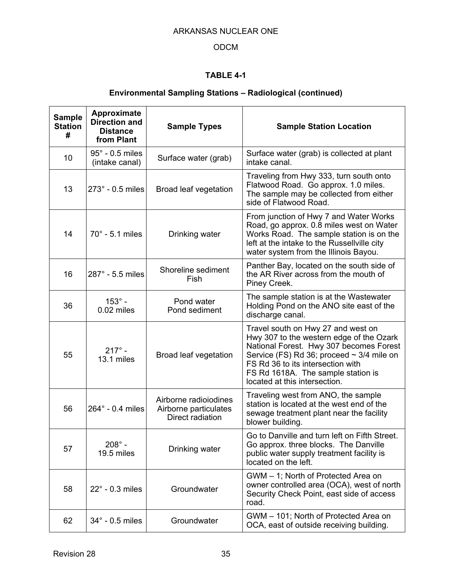## ODCM

## **TABLE 4-1**

# **Environmental Sampling Stations – Radiological (continued)**

| <b>Sample</b><br><b>Station</b><br># | Approximate<br><b>Direction and</b><br><b>Distance</b><br>from Plant | <b>Sample Types</b>                                                | <b>Sample Station Location</b>                                                                                                                                                                                                                                                          |
|--------------------------------------|----------------------------------------------------------------------|--------------------------------------------------------------------|-----------------------------------------------------------------------------------------------------------------------------------------------------------------------------------------------------------------------------------------------------------------------------------------|
| 10                                   | $95^\circ$ - 0.5 miles<br>(intake canal)                             | Surface water (grab)                                               | Surface water (grab) is collected at plant<br>intake canal.                                                                                                                                                                                                                             |
| 13                                   | $273^\circ$ - 0.5 miles                                              | Broad leaf vegetation                                              | Traveling from Hwy 333, turn south onto<br>Flatwood Road. Go approx. 1.0 miles.<br>The sample may be collected from either<br>side of Flatwood Road.                                                                                                                                    |
| 14                                   | $70^\circ$ - 5.1 miles                                               | Drinking water                                                     | From junction of Hwy 7 and Water Works<br>Road, go approx. 0.8 miles west on Water<br>Works Road. The sample station is on the<br>left at the intake to the Russellville city<br>water system from the Illinois Bayou.                                                                  |
| 16                                   | $287^\circ$ - 5.5 miles                                              | Shoreline sediment<br>Fish                                         | Panther Bay, located on the south side of<br>the AR River across from the mouth of<br>Piney Creek.                                                                                                                                                                                      |
| 36                                   | $153^\circ$ -<br>0.02 miles                                          | Pond water<br>Pond sediment                                        | The sample station is at the Wastewater<br>Holding Pond on the ANO site east of the<br>discharge canal.                                                                                                                                                                                 |
| 55                                   | $217^{\circ}$ -<br>13.1 miles                                        | Broad leaf vegetation                                              | Travel south on Hwy 27 and west on<br>Hwy 307 to the western edge of the Ozark<br>National Forest. Hwy 307 becomes Forest<br>Service (FS) Rd 36; proceed $\sim$ 3/4 mile on<br>FS Rd 36 to its intersection with<br>FS Rd 1618A. The sample station is<br>located at this intersection. |
| 56                                   | $264^\circ$ - 0.4 miles                                              | Airborne radioiodines<br>Airborne particulates<br>Direct radiation | Traveling west from ANO, the sample<br>station is located at the west end of the<br>sewage treatment plant near the facility<br>blower building.                                                                                                                                        |
| 57                                   | $208^\circ$ -<br>19.5 miles                                          | Drinking water                                                     | Go to Danville and turn left on Fifth Street.<br>Go approx. three blocks. The Danville<br>public water supply treatment facility is<br>located on the left.                                                                                                                             |
| 58                                   | $22^\circ$ - 0.3 miles                                               | Groundwater                                                        | GWM - 1; North of Protected Area on<br>owner controlled area (OCA), west of north<br>Security Check Point, east side of access<br>road.                                                                                                                                                 |
| 62                                   | $34^\circ$ - 0.5 miles                                               | Groundwater                                                        | GWM - 101; North of Protected Area on<br>OCA, east of outside receiving building.                                                                                                                                                                                                       |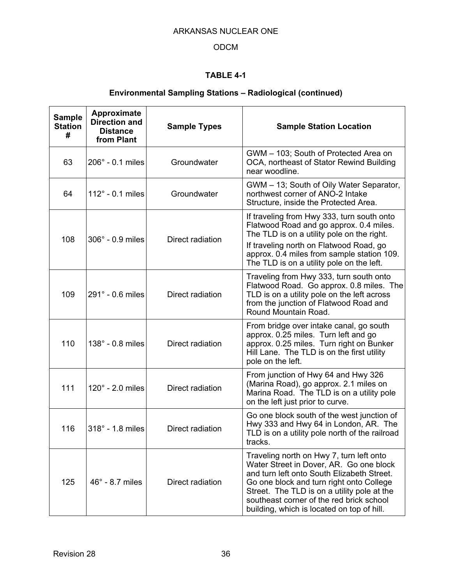## ODCM

## **TABLE 4-1**

## **Environmental Sampling Stations – Radiological (continued)**

| <b>Sample</b><br><b>Station</b><br># | Approximate<br><b>Direction and</b><br><b>Distance</b><br>from Plant | <b>Sample Types</b> | <b>Sample Station Location</b>                                                                                                                                                                                                                                                                                         |
|--------------------------------------|----------------------------------------------------------------------|---------------------|------------------------------------------------------------------------------------------------------------------------------------------------------------------------------------------------------------------------------------------------------------------------------------------------------------------------|
| 63                                   | $206^\circ$ - 0.1 miles                                              | Groundwater         | GWM - 103; South of Protected Area on<br>OCA, northeast of Stator Rewind Building<br>near woodline.                                                                                                                                                                                                                    |
| 64                                   | $112^\circ$ - 0.1 miles                                              | Groundwater         | GWM - 13; South of Oily Water Separator,<br>northwest corner of ANO-2 Intake<br>Structure, inside the Protected Area.                                                                                                                                                                                                  |
|                                      | 306° - 0.9 miles                                                     |                     | If traveling from Hwy 333, turn south onto<br>Flatwood Road and go approx. 0.4 miles.<br>The TLD is on a utility pole on the right.                                                                                                                                                                                    |
| 108<br>Direct radiation              |                                                                      |                     | If traveling north on Flatwood Road, go<br>approx. 0.4 miles from sample station 109.<br>The TLD is on a utility pole on the left.                                                                                                                                                                                     |
| 109                                  | 291° - 0.6 miles                                                     | Direct radiation    | Traveling from Hwy 333, turn south onto<br>Flatwood Road. Go approx. 0.8 miles. The<br>TLD is on a utility pole on the left across<br>from the junction of Flatwood Road and<br>Round Mountain Road.                                                                                                                   |
| 110                                  | 138° - 0.8 miles                                                     | Direct radiation    | From bridge over intake canal, go south<br>approx. 0.25 miles. Turn left and go<br>approx. 0.25 miles. Turn right on Bunker<br>Hill Lane. The TLD is on the first utility<br>pole on the left.                                                                                                                         |
| 111                                  | $120^\circ$ - 2.0 miles                                              | Direct radiation    | From junction of Hwy 64 and Hwy 326<br>(Marina Road), go approx. 2.1 miles on<br>Marina Road. The TLD is on a utility pole<br>on the left just prior to curve.                                                                                                                                                         |
| 116                                  | 318° - 1.8 miles                                                     | Direct radiation    | Go one block south of the west junction of<br>Hwy 333 and Hwy 64 in London, AR. The<br>TLD is on a utility pole north of the railroad<br>tracks.                                                                                                                                                                       |
| 125                                  | $46^\circ$ - 8.7 miles                                               | Direct radiation    | Traveling north on Hwy 7, turn left onto<br>Water Street in Dover, AR. Go one block<br>and turn left onto South Elizabeth Street.<br>Go one block and turn right onto College<br>Street. The TLD is on a utility pole at the<br>southeast corner of the red brick school<br>building, which is located on top of hill. |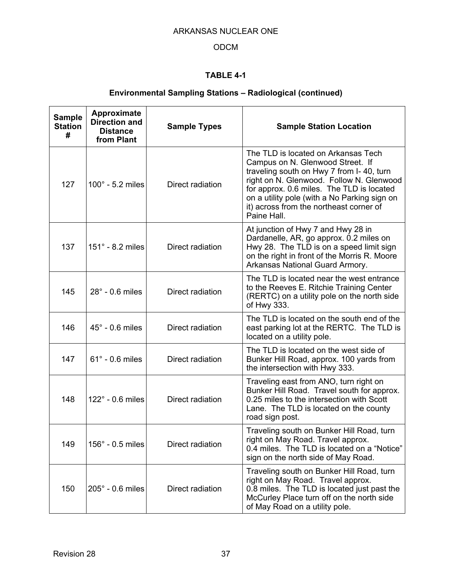## ODCM

## **TABLE 4-1**

## **Environmental Sampling Stations – Radiological (continued)**

| <b>Sample</b><br><b>Station</b><br># | Approximate<br><b>Direction and</b><br><b>Distance</b><br>from Plant | <b>Sample Types</b> | <b>Sample Station Location</b>                                                                                                                                                                                                                                                                                         |
|--------------------------------------|----------------------------------------------------------------------|---------------------|------------------------------------------------------------------------------------------------------------------------------------------------------------------------------------------------------------------------------------------------------------------------------------------------------------------------|
| 127                                  | $100^\circ$ - 5.2 miles                                              | Direct radiation    | The TLD is located on Arkansas Tech<br>Campus on N. Glenwood Street. If<br>traveling south on Hwy 7 from I-40, turn<br>right on N. Glenwood. Follow N. Glenwood<br>for approx. 0.6 miles. The TLD is located<br>on a utility pole (with a No Parking sign on<br>it) across from the northeast corner of<br>Paine Hall. |
| 137                                  | 151° - 8.2 miles                                                     | Direct radiation    | At junction of Hwy 7 and Hwy 28 in<br>Dardanelle, AR, go approx. 0.2 miles on<br>Hwy 28. The TLD is on a speed limit sign<br>on the right in front of the Morris R. Moore<br>Arkansas National Guard Armory.                                                                                                           |
| 145                                  | $28^\circ$ - 0.6 miles                                               | Direct radiation    | The TLD is located near the west entrance<br>to the Reeves E. Ritchie Training Center<br>(RERTC) on a utility pole on the north side<br>of Hwy 333.                                                                                                                                                                    |
| 146                                  | $45^\circ$ - 0.6 miles                                               | Direct radiation    | The TLD is located on the south end of the<br>east parking lot at the RERTC. The TLD is<br>located on a utility pole.                                                                                                                                                                                                  |
| 147                                  | $61^\circ$ - 0.6 miles                                               | Direct radiation    | The TLD is located on the west side of<br>Bunker Hill Road, approx. 100 yards from<br>the intersection with Hwy 333.                                                                                                                                                                                                   |
| 148                                  | $122^\circ$ - 0.6 miles                                              | Direct radiation    | Traveling east from ANO, turn right on<br>Bunker Hill Road. Travel south for approx.<br>0.25 miles to the intersection with Scott<br>Lane. The TLD is located on the county<br>road sign post.                                                                                                                         |
| 149                                  | $156^\circ$ - 0.5 miles                                              | Direct radiation    | Traveling south on Bunker Hill Road, turn<br>right on May Road. Travel approx.<br>0.4 miles. The TLD is located on a "Notice"<br>sign on the north side of May Road.                                                                                                                                                   |
| 150                                  | 205° - 0.6 miles                                                     | Direct radiation    | Traveling south on Bunker Hill Road, turn<br>right on May Road. Travel approx.<br>0.8 miles. The TLD is located just past the<br>McCurley Place turn off on the north side<br>of May Road on a utility pole.                                                                                                           |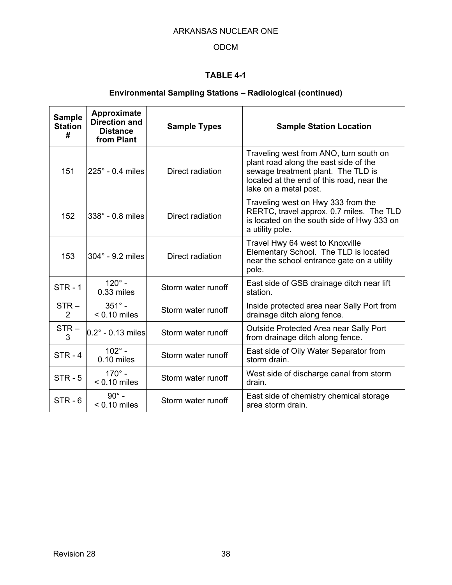## ODCM

## **TABLE 4-1**

## **Environmental Sampling Stations – Radiological (continued)**

| <b>Sample</b><br><b>Station</b><br># | Approximate<br><b>Direction and</b><br><b>Distance</b><br>from Plant | <b>Sample Types</b> | <b>Sample Station Location</b>                                                                                                                                                              |  |
|--------------------------------------|----------------------------------------------------------------------|---------------------|---------------------------------------------------------------------------------------------------------------------------------------------------------------------------------------------|--|
| 151                                  | $225^\circ$ - 0.4 miles                                              | Direct radiation    | Traveling west from ANO, turn south on<br>plant road along the east side of the<br>sewage treatment plant. The TLD is<br>located at the end of this road, near the<br>lake on a metal post. |  |
| 152                                  | $338^\circ$ - 0.8 miles                                              | Direct radiation    | Traveling west on Hwy 333 from the<br>RERTC, travel approx. 0.7 miles. The TLD<br>is located on the south side of Hwy 333 on<br>a utility pole.                                             |  |
| 153                                  | $304^\circ$ - 9.2 miles                                              | Direct radiation    | Travel Hwy 64 west to Knoxville<br>Elementary School. The TLD is located<br>near the school entrance gate on a utility<br>pole.                                                             |  |
| $STR - 1$                            | $120^\circ$ -<br>$0.33$ miles                                        | Storm water runoff  | East side of GSB drainage ditch near lift<br>station.                                                                                                                                       |  |
| $STR -$<br>$\overline{2}$            | $351^\circ$ -<br>$< 0.10$ miles                                      | Storm water runoff  | Inside protected area near Sally Port from<br>drainage ditch along fence.                                                                                                                   |  |
| $STR -$<br>3                         | $0.2^\circ$ - 0.13 miles                                             | Storm water runoff  | Outside Protected Area near Sally Port<br>from drainage ditch along fence.                                                                                                                  |  |
| $STR - 4$                            | $102^{\circ}$ -<br>0.10 miles                                        | Storm water runoff  | East side of Oily Water Separator from<br>storm drain.                                                                                                                                      |  |
| $STR - 5$                            | $170^{\circ}$ -<br>$< 0.10$ miles                                    | Storm water runoff  | West side of discharge canal from storm<br>drain.                                                                                                                                           |  |
| $STR - 6$                            | $90^\circ$ -<br>$< 0.10$ miles                                       | Storm water runoff  | East side of chemistry chemical storage<br>area storm drain.                                                                                                                                |  |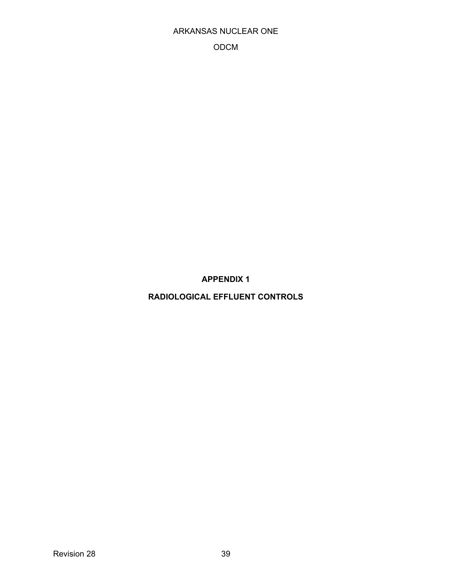ODCM

**APPENDIX 1** 

**RADIOLOGICAL EFFLUENT CONTROLS**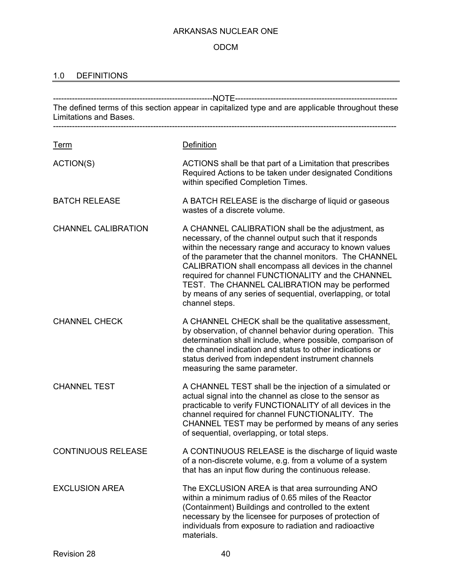## ODCM

## 1.0 DEFINITIONS

| Limitations and Bases.     | The defined terms of this section appear in capitalized type and are applicable throughout these                                                                                                                                                                                                                                                                                                                                                                                     |
|----------------------------|--------------------------------------------------------------------------------------------------------------------------------------------------------------------------------------------------------------------------------------------------------------------------------------------------------------------------------------------------------------------------------------------------------------------------------------------------------------------------------------|
| <u>Term</u>                | Definition                                                                                                                                                                                                                                                                                                                                                                                                                                                                           |
| ACTION(S)                  | ACTIONS shall be that part of a Limitation that prescribes<br>Required Actions to be taken under designated Conditions<br>within specified Completion Times.                                                                                                                                                                                                                                                                                                                         |
| <b>BATCH RELEASE</b>       | A BATCH RELEASE is the discharge of liquid or gaseous<br>wastes of a discrete volume.                                                                                                                                                                                                                                                                                                                                                                                                |
| <b>CHANNEL CALIBRATION</b> | A CHANNEL CALIBRATION shall be the adjustment, as<br>necessary, of the channel output such that it responds<br>within the necessary range and accuracy to known values<br>of the parameter that the channel monitors. The CHANNEL<br>CALIBRATION shall encompass all devices in the channel<br>required for channel FUNCTIONALITY and the CHANNEL<br>TEST. The CHANNEL CALIBRATION may be performed<br>by means of any series of sequential, overlapping, or total<br>channel steps. |
| <b>CHANNEL CHECK</b>       | A CHANNEL CHECK shall be the qualitative assessment,<br>by observation, of channel behavior during operation. This<br>determination shall include, where possible, comparison of<br>the channel indication and status to other indications or<br>status derived from independent instrument channels<br>measuring the same parameter.                                                                                                                                                |
| <b>CHANNEL TEST</b>        | A CHANNEL TEST shall be the injection of a simulated or<br>actual signal into the channel as close to the sensor as<br>practicable to verify FUNCTIONALITY of all devices in the<br>channel required for channel FUNCTIONALITY. The<br>CHANNEL TEST may be performed by means of any series<br>of sequential, overlapping, or total steps.                                                                                                                                           |
| <b>CONTINUOUS RELEASE</b>  | A CONTINUOUS RELEASE is the discharge of liquid waste<br>of a non-discrete volume, e.g. from a volume of a system<br>that has an input flow during the continuous release.                                                                                                                                                                                                                                                                                                           |
| <b>EXCLUSION AREA</b>      | The EXCLUSION AREA is that area surrounding ANO<br>within a minimum radius of 0.65 miles of the Reactor<br>(Containment) Buildings and controlled to the extent<br>necessary by the licensee for purposes of protection of<br>individuals from exposure to radiation and radioactive<br>materials.                                                                                                                                                                                   |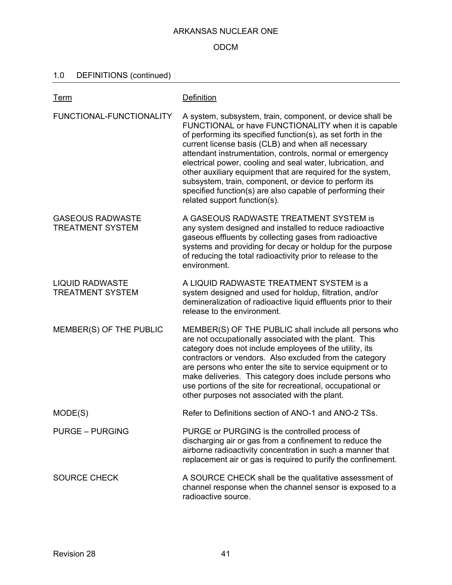### ODCM

## 1.0 DEFINITIONS (continued)

| <b>Term</b>                                        | Definition                                                                                                                                                                                                                                                                                                                                                                                                                                                                                                                                                                             |
|----------------------------------------------------|----------------------------------------------------------------------------------------------------------------------------------------------------------------------------------------------------------------------------------------------------------------------------------------------------------------------------------------------------------------------------------------------------------------------------------------------------------------------------------------------------------------------------------------------------------------------------------------|
| FUNCTIONAL-FUNCTIONALITY                           | A system, subsystem, train, component, or device shall be<br>FUNCTIONAL or have FUNCTIONALITY when it is capable<br>of performing its specified function(s), as set forth in the<br>current license basis (CLB) and when all necessary<br>attendant instrumentation, controls, normal or emergency<br>electrical power, cooling and seal water, lubrication, and<br>other auxiliary equipment that are required for the system,<br>subsystem, train, component, or device to perform its<br>specified function(s) are also capable of performing their<br>related support function(s). |
| <b>GASEOUS RADWASTE</b><br><b>TREATMENT SYSTEM</b> | A GASEOUS RADWASTE TREATMENT SYSTEM is<br>any system designed and installed to reduce radioactive<br>gaseous effluents by collecting gases from radioactive<br>systems and providing for decay or holdup for the purpose<br>of reducing the total radioactivity prior to release to the<br>environment.                                                                                                                                                                                                                                                                                |
| <b>LIQUID RADWASTE</b><br><b>TREATMENT SYSTEM</b>  | A LIQUID RADWASTE TREATMENT SYSTEM is a<br>system designed and used for holdup, filtration, and/or<br>demineralization of radioactive liquid effluents prior to their<br>release to the environment.                                                                                                                                                                                                                                                                                                                                                                                   |
| MEMBER(S) OF THE PUBLIC                            | MEMBER(S) OF THE PUBLIC shall include all persons who<br>are not occupationally associated with the plant. This<br>category does not include employees of the utility, its<br>contractors or vendors. Also excluded from the category<br>are persons who enter the site to service equipment or to<br>make deliveries. This category does include persons who<br>use portions of the site for recreational, occupational or<br>other purposes not associated with the plant.                                                                                                           |
| MODE(S)                                            | Refer to Definitions section of ANO-1 and ANO-2 TSs.                                                                                                                                                                                                                                                                                                                                                                                                                                                                                                                                   |
| <b>PURGE – PURGING</b>                             | PURGE or PURGING is the controlled process of<br>discharging air or gas from a confinement to reduce the<br>airborne radioactivity concentration in such a manner that<br>replacement air or gas is required to purify the confinement.                                                                                                                                                                                                                                                                                                                                                |
| <b>SOURCE CHECK</b>                                | A SOURCE CHECK shall be the qualitative assessment of<br>channel response when the channel sensor is exposed to a<br>radioactive source.                                                                                                                                                                                                                                                                                                                                                                                                                                               |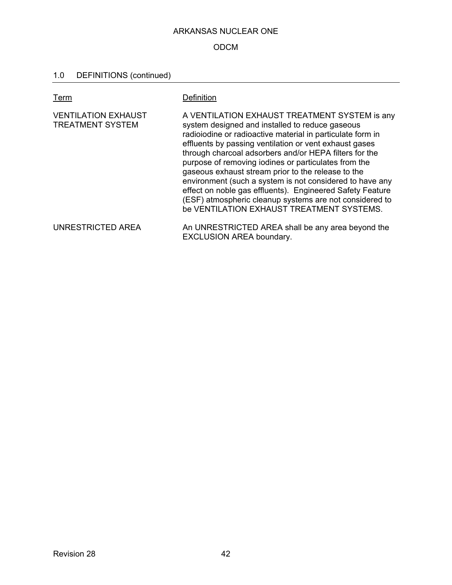## ODCM

## 1.0 DEFINITIONS (continued)

| Ter <u>m</u>                                          | Definition                                                                                                                                                                                                                                                                                                                                                                                                                                                                                                                                                                                                                        |
|-------------------------------------------------------|-----------------------------------------------------------------------------------------------------------------------------------------------------------------------------------------------------------------------------------------------------------------------------------------------------------------------------------------------------------------------------------------------------------------------------------------------------------------------------------------------------------------------------------------------------------------------------------------------------------------------------------|
| <b>VENTILATION EXHAUST</b><br><b>TREATMENT SYSTEM</b> | A VENTILATION EXHAUST TREATMENT SYSTEM is any<br>system designed and installed to reduce gaseous<br>radioiodine or radioactive material in particulate form in<br>effluents by passing ventilation or vent exhaust gases<br>through charcoal adsorbers and/or HEPA filters for the<br>purpose of removing iodines or particulates from the<br>gaseous exhaust stream prior to the release to the<br>environment (such a system is not considered to have any<br>effect on noble gas effluents). Engineered Safety Feature<br>(ESF) atmospheric cleanup systems are not considered to<br>be VENTILATION EXHAUST TREATMENT SYSTEMS. |
| UNRESTRICTED AREA                                     | An UNRESTRICTED AREA shall be any area beyond the<br><b>EXCLUSION AREA boundary.</b>                                                                                                                                                                                                                                                                                                                                                                                                                                                                                                                                              |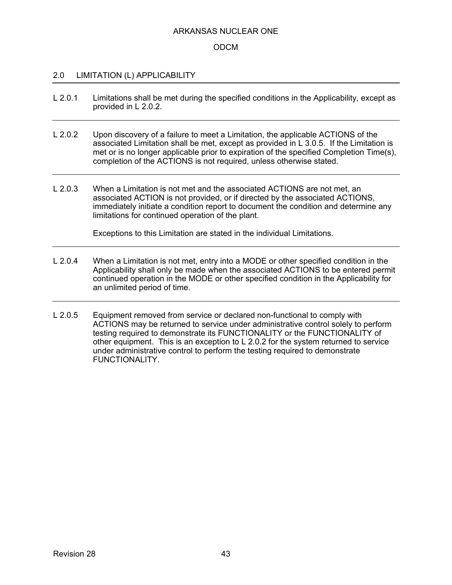### ODCM

### 2.0 LIMITATION (L) APPLICABILITY

- L 2.0.1 Limitations shall be met during the specified conditions in the Applicability, except as provided in L 2.0.2.
- L 2.0.2 Upon discovery of a failure to meet a Limitation, the applicable ACTIONS of the associated Limitation shall be met, except as provided in L 3.0.5. If the Limitation is met or is no longer applicable prior to expiration of the specified Completion Time(s), completion of the ACTIONS is not required, unless otherwise stated.
- L 2.0.3 When a Limitation is not met and the associated ACTIONS are not met, an associated ACTION is not provided, or if directed by the associated ACTIONS, immediately initiate a condition report to document the condition and determine any limitations for continued operation of the plant.

Exceptions to this Limitation are stated in the individual Limitations.

- L 2.0.4 When a Limitation is not met, entry into a MODE or other specified condition in the Applicability shall only be made when the associated ACTIONS to be entered permit continued operation in the MODE or other specified condition in the Applicability for an unlimited period of time.
- L 2.0.5 Equipment removed from service or declared non-functional to comply with ACTIONS may be returned to service under administrative control solely to perform testing required to demonstrate its FUNCTIONALITY or the FUNCTIONALITY of other equipment. This is an exception to L 2.0.2 for the system returned to service under administrative control to perform the testing required to demonstrate FUNCTIONALITY.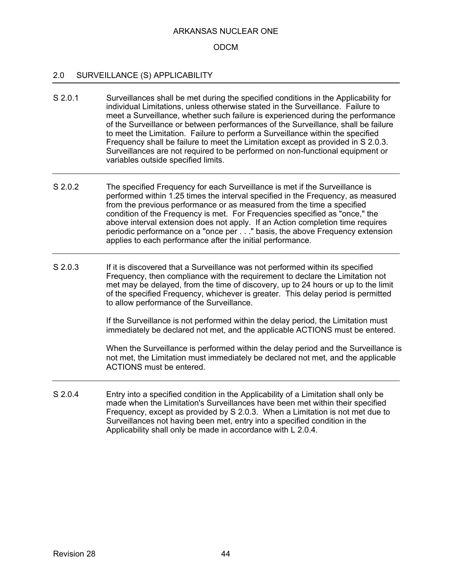### ODCM

### 2.0 SURVEILLANCE (S) APPLICABILITY

- S 2.0.1 Surveillances shall be met during the specified conditions in the Applicability for individual Limitations, unless otherwise stated in the Surveillance. Failure to meet a Surveillance, whether such failure is experienced during the performance of the Surveillance or between performances of the Surveillance, shall be failure to meet the Limitation. Failure to perform a Surveillance within the specified Frequency shall be failure to meet the Limitation except as provided in S 2.0.3. Surveillances are not required to be performed on non-functional equipment or variables outside specified limits.
- S 2.0.2 The specified Frequency for each Surveillance is met if the Surveillance is performed within 1.25 times the interval specified in the Frequency, as measured from the previous performance or as measured from the time a specified condition of the Frequency is met. For Frequencies specified as "once," the above interval extension does not apply. If an Action completion time requires periodic performance on a "once per . . ." basis, the above Frequency extension applies to each performance after the initial performance.
- S 2.0.3 If it is discovered that a Surveillance was not performed within its specified Frequency, then compliance with the requirement to declare the Limitation not met may be delayed, from the time of discovery, up to 24 hours or up to the limit of the specified Frequency, whichever is greater. This delay period is permitted to allow performance of the Surveillance.

If the Surveillance is not performed within the delay period, the Limitation must immediately be declared not met, and the applicable ACTIONS must be entered.

When the Surveillance is performed within the delay period and the Surveillance is not met, the Limitation must immediately be declared not met, and the applicable ACTIONS must be entered.

S 2.0.4 Entry into a specified condition in the Applicability of a Limitation shall only be made when the Limitation's Surveillances have been met within their specified Frequency, except as provided by S 2.0.3. When a Limitation is not met due to Surveillances not having been met, entry into a specified condition in the Applicability shall only be made in accordance with L 2.0.4.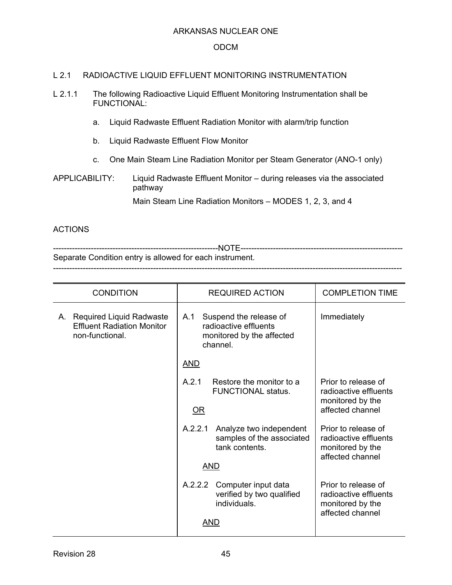### ODCM

### L 2.1 RADIOACTIVE LIQUID EFFLUENT MONITORING INSTRUMENTATION

- L 2.1.1 The following Radioactive Liquid Effluent Monitoring Instrumentation shall be FUNCTIONAL:
	- a. Liquid Radwaste Effluent Radiation Monitor with alarm/trip function
	- b. Liquid Radwaste Effluent Flow Monitor
	- c. One Main Steam Line Radiation Monitor per Steam Generator (ANO-1 only)

## APPLICABILITY: Liquid Radwaste Effluent Monitor – during releases via the associated pathway

Main Steam Line Radiation Monitors – MODES 1, 2, 3, and 4

 $-1\leq i\leq n-1$ 

### **ACTIONS**

-------------------------------------------------------------NOTE------------------------------------------------------------ Separate Condition entry is allowed for each instrument.

| <b>CONDITION</b>                                                                    | <b>REQUIRED ACTION</b>                                                                          | <b>COMPLETION TIME</b>                                                               |
|-------------------------------------------------------------------------------------|-------------------------------------------------------------------------------------------------|--------------------------------------------------------------------------------------|
| A. Required Liquid Radwaste<br><b>Effluent Radiation Monitor</b><br>non-functional. | Suspend the release of<br>A.1<br>radioactive effluents<br>monitored by the affected<br>channel. | Immediately                                                                          |
|                                                                                     | AND                                                                                             |                                                                                      |
|                                                                                     | A.2.1<br>Restore the monitor to a<br><b>FUNCTIONAL status.</b><br>$\overline{\mathsf{OR}}$      | Prior to release of<br>radioactive effluents<br>monitored by the<br>affected channel |
|                                                                                     | Analyze two independent<br>A.2.2.1<br>samples of the associated<br>tank contents.               | Prior to release of<br>radioactive effluents<br>monitored by the<br>affected channel |
|                                                                                     | AND                                                                                             |                                                                                      |
|                                                                                     | A.2.2.2 Computer input data<br>verified by two qualified<br>individuals.<br>AND                 | Prior to release of<br>radioactive effluents<br>monitored by the<br>affected channel |
|                                                                                     |                                                                                                 |                                                                                      |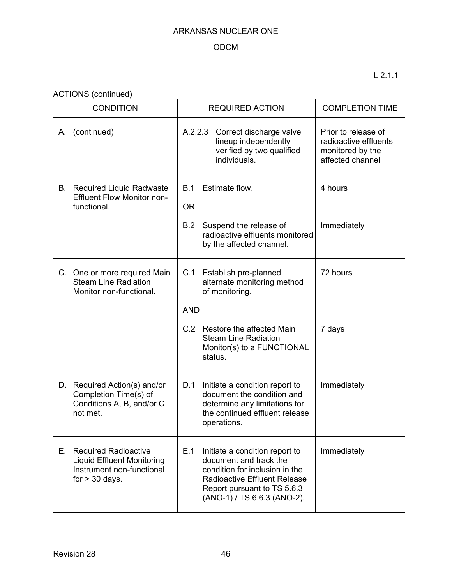## ODCM

L 2.1.1

ACTIONS (continued)

| <b>CONDITION</b>                                                                                                        | <b>REQUIRED ACTION</b>                                                                                                                                                                                 | <b>COMPLETION TIME</b>                                                               |
|-------------------------------------------------------------------------------------------------------------------------|--------------------------------------------------------------------------------------------------------------------------------------------------------------------------------------------------------|--------------------------------------------------------------------------------------|
| (continued)<br>А.                                                                                                       | A.2.2.3<br>Correct discharge valve<br>lineup independently<br>verified by two qualified<br>individuals.                                                                                                | Prior to release of<br>radioactive effluents<br>monitored by the<br>affected channel |
| <b>B.</b> Required Liquid Radwaste<br><b>Effluent Flow Monitor non-</b><br>functional.                                  | Estimate flow.<br>B.1<br>$OR$                                                                                                                                                                          | 4 hours                                                                              |
|                                                                                                                         | B.2<br>Suspend the release of<br>radioactive effluents monitored<br>by the affected channel.                                                                                                           | Immediately                                                                          |
| C. One or more required Main<br><b>Steam Line Radiation</b><br>Monitor non-functional.                                  | C.1<br>Establish pre-planned<br>alternate monitoring method<br>of monitoring.                                                                                                                          | 72 hours                                                                             |
|                                                                                                                         | <b>AND</b>                                                                                                                                                                                             |                                                                                      |
|                                                                                                                         | Restore the affected Main<br>C.2<br><b>Steam Line Radiation</b><br>Monitor(s) to a FUNCTIONAL<br>status.                                                                                               | 7 days                                                                               |
| D. Required Action(s) and/or<br>Completion Time(s) of<br>Conditions A, B, and/or C<br>not met.                          | D.1<br>Initiate a condition report to<br>document the condition and<br>determine any limitations for<br>the continued effluent release<br>operations.                                                  | Immediately                                                                          |
| Е.<br><b>Required Radioactive</b><br><b>Liquid Effluent Monitoring</b><br>Instrument non-functional<br>for $> 30$ days. | E.1<br>Initiate a condition report to<br>document and track the<br>condition for inclusion in the<br><b>Radioactive Effluent Release</b><br>Report pursuant to TS 5.6.3<br>(ANO-1) / TS 6.6.3 (ANO-2). | Immediately                                                                          |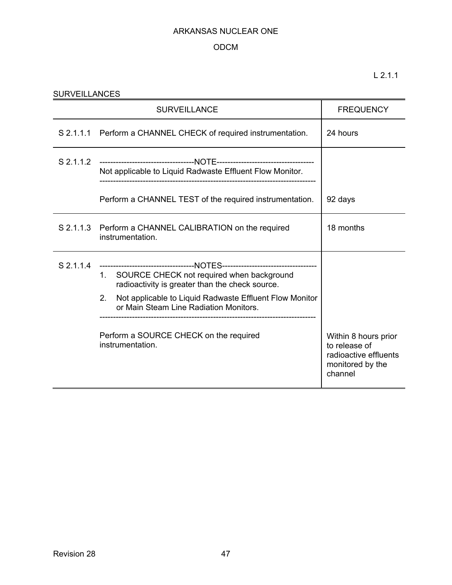## ODCM

| <b>SURVEILLANCES</b> |                                                                                                                                                                                                                                                                                                                                                                  |                                                                                               |  |  |  |
|----------------------|------------------------------------------------------------------------------------------------------------------------------------------------------------------------------------------------------------------------------------------------------------------------------------------------------------------------------------------------------------------|-----------------------------------------------------------------------------------------------|--|--|--|
|                      | <b>FREQUENCY</b>                                                                                                                                                                                                                                                                                                                                                 |                                                                                               |  |  |  |
|                      | S 2.1.1.1 Perform a CHANNEL CHECK of required instrumentation.                                                                                                                                                                                                                                                                                                   | 24 hours                                                                                      |  |  |  |
|                      | Not applicable to Liquid Radwaste Effluent Flow Monitor.                                                                                                                                                                                                                                                                                                         |                                                                                               |  |  |  |
|                      | Perform a CHANNEL TEST of the required instrumentation.                                                                                                                                                                                                                                                                                                          | 92 days                                                                                       |  |  |  |
|                      | S 2.1.1.3 Perform a CHANNEL CALIBRATION on the required<br>instrumentation.                                                                                                                                                                                                                                                                                      | 18 months                                                                                     |  |  |  |
| S 2.1.1.4            | -----------------------------------NOTES-----------------------------------<br>1. SOURCE CHECK not required when background<br>radioactivity is greater than the check source.<br>Not applicable to Liquid Radwaste Effluent Flow Monitor<br>$2_{\cdot}$<br>or Main Steam Line Radiation Monitors.<br>Perform a SOURCE CHECK on the required<br>instrumentation. | Within 8 hours prior<br>to release of<br>radioactive effluents<br>monitored by the<br>channel |  |  |  |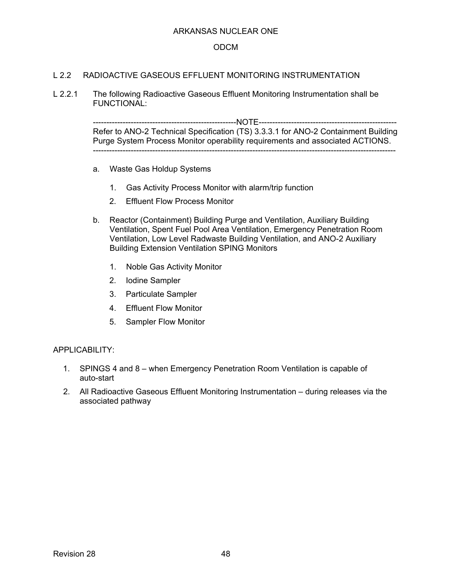### ODCM

### L 2.2 RADIOACTIVE GASEOUS EFFLUENT MONITORING INSTRUMENTATION

L 2.2.1 The following Radioactive Gaseous Effluent Monitoring Instrumentation shall be FUNCTIONAL:

> -----------------------------------------------------NOTE--------------------------------------------------- Refer to ANO-2 Technical Specification (TS) 3.3.3.1 for ANO-2 Containment Building Purge System Process Monitor operability requirements and associated ACTIONS. ----------------------------------------------------------------------------------------------------------------

- a. Waste Gas Holdup Systems
	- 1. Gas Activity Process Monitor with alarm/trip function
	- 2. Effluent Flow Process Monitor
- b. Reactor (Containment) Building Purge and Ventilation, Auxiliary Building Ventilation, Spent Fuel Pool Area Ventilation, Emergency Penetration Room Ventilation, Low Level Radwaste Building Ventilation, and ANO-2 Auxiliary Building Extension Ventilation SPING Monitors
	- 1. Noble Gas Activity Monitor
	- 2. Iodine Sampler
	- 3. Particulate Sampler
	- 4. Effluent Flow Monitor
	- 5. Sampler Flow Monitor

#### APPLICABILITY:

- 1. SPINGS 4 and 8 when Emergency Penetration Room Ventilation is capable of auto-start
- 2. All Radioactive Gaseous Effluent Monitoring Instrumentation during releases via the associated pathway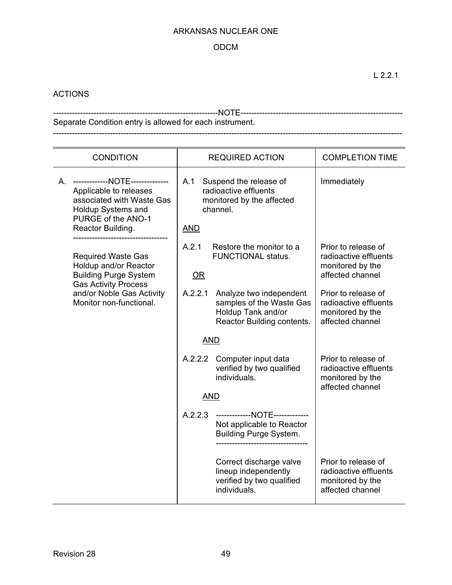### ODCM

## ACTIONS

-------------------------------------------------------------NOTE------------------------------------------------------------ Separate Condition entry is allowed for each instrument. ---------------------------------------------------------------------------------------------------------------------------------

| <b>CONDITION</b> |                                                                                                                                                            |                                                                                                               | <b>REQUIRED ACTION</b>                                                                                  | <b>COMPLETION TIME</b>                                                               |
|------------------|------------------------------------------------------------------------------------------------------------------------------------------------------------|---------------------------------------------------------------------------------------------------------------|---------------------------------------------------------------------------------------------------------|--------------------------------------------------------------------------------------|
|                  | A. -------------NOTE--------------<br>Applicable to releases<br>associated with Waste Gas<br>Holdup Systems and<br>PURGE of the ANO-1<br>Reactor Building. | A.1<br>Suspend the release of<br>radioactive effluents<br>monitored by the affected<br>channel.<br><b>AND</b> |                                                                                                         | Immediately                                                                          |
|                  | <b>Required Waste Gas</b><br>Holdup and/or Reactor<br><b>Building Purge System</b><br><b>Gas Activity Process</b>                                          | A.2.1<br>OR                                                                                                   | Restore the monitor to a<br><b>FUNCTIONAL status.</b>                                                   | Prior to release of<br>radioactive effluents<br>monitored by the<br>affected channel |
|                  | and/or Noble Gas Activity<br>Monitor non-functional.                                                                                                       | A.2.2.1                                                                                                       | Analyze two independent<br>samples of the Waste Gas<br>Holdup Tank and/or<br>Reactor Building contents. | Prior to release of<br>radioactive effluents<br>monitored by the<br>affected channel |
|                  |                                                                                                                                                            | <b>AND</b>                                                                                                    |                                                                                                         |                                                                                      |
|                  |                                                                                                                                                            |                                                                                                               | A.2.2.2 Computer input data<br>verified by two qualified<br>individuals.                                | Prior to release of<br>radioactive effluents<br>monitored by the<br>affected channel |
|                  |                                                                                                                                                            | <b>AND</b>                                                                                                    |                                                                                                         |                                                                                      |
|                  |                                                                                                                                                            |                                                                                                               | A.2.2.3 --------------NOTE--------------<br>Not applicable to Reactor<br><b>Building Purge System.</b>  |                                                                                      |
|                  |                                                                                                                                                            |                                                                                                               | Correct discharge valve<br>lineup independently<br>verified by two qualified<br>individuals.            | Prior to release of<br>radioactive effluents<br>monitored by the<br>affected channel |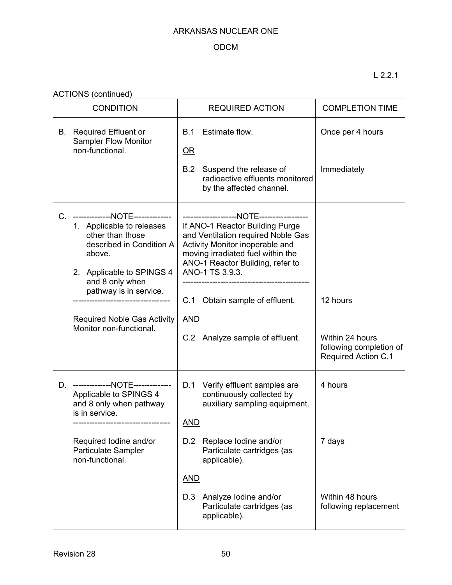## ODCM

L 2.2.1

ACTIONS (continued)

| <b>CONDITION</b>                                                                                                                                                                                                                                                   | <b>REQUIRED ACTION</b>                                                                                                                                                                                                                                                                     | <b>COMPLETION TIME</b>                                                               |
|--------------------------------------------------------------------------------------------------------------------------------------------------------------------------------------------------------------------------------------------------------------------|--------------------------------------------------------------------------------------------------------------------------------------------------------------------------------------------------------------------------------------------------------------------------------------------|--------------------------------------------------------------------------------------|
| <b>B.</b> Required Effluent or<br><b>Sampler Flow Monitor</b><br>non-functional.                                                                                                                                                                                   | Estimate flow.<br>B.1<br>$OR$<br>Suspend the release of<br>B.2<br>radioactive effluents monitored<br>by the affected channel.                                                                                                                                                              | Once per 4 hours<br>Immediately                                                      |
| --------------NOTE--------------<br>1. Applicable to releases<br>other than those<br>described in Condition A<br>above.<br>2. Applicable to SPINGS 4<br>and 8 only when<br>pathway is in service.<br><b>Required Noble Gas Activity</b><br>Monitor non-functional. | If ANO-1 Reactor Building Purge<br>and Ventilation required Noble Gas<br>Activity Monitor inoperable and<br>moving irradiated fuel within the<br>ANO-1 Reactor Building, refer to<br>ANO-1 TS 3.9.3.<br>Obtain sample of effluent.<br>C.1<br><b>AND</b><br>C.2 Analyze sample of effluent. | 12 hours<br>Within 24 hours<br>following completion of<br><b>Required Action C.1</b> |
| D. --------------NOTE--------------<br>Applicable to SPINGS 4<br>and 8 only when pathway<br>is in service.<br>Required Iodine and/or<br>Particulate Sampler<br>non-functional.                                                                                     | D.1 Verify effluent samples are<br>continuously collected by<br>auxiliary sampling equipment.<br><b>AND</b><br>Replace Iodine and/or<br>D.2<br>Particulate cartridges (as<br>applicable).<br><b>AND</b><br>Analyze lodine and/or<br>D.3<br>Particulate cartridges (as<br>applicable).      | 4 hours<br>7 days<br>Within 48 hours<br>following replacement                        |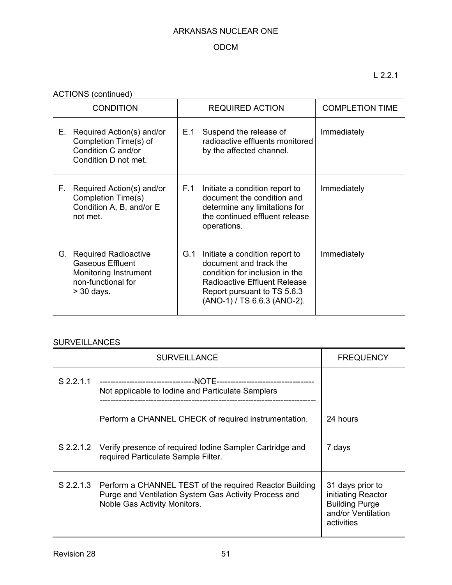## ODCM

L 2.2.1

ACTIONS (continued)

| <b>CONDITION</b>                                                                                                  | <b>REQUIRED ACTION</b>                                                                                                                                                                          | <b>COMPLETION TIME</b> |
|-------------------------------------------------------------------------------------------------------------------|-------------------------------------------------------------------------------------------------------------------------------------------------------------------------------------------------|------------------------|
| Required Action(s) and/or<br>Е.<br>Completion Time(s) of<br>Condition C and/or<br>Condition D not met.            | Suspend the release of<br>E.1<br>radioactive effluents monitored<br>by the affected channel.                                                                                                    | Immediately            |
| Required Action(s) and/or<br>F.<br>Completion Time(s)<br>Condition A, B, and/or E<br>not met.                     | F.1<br>Initiate a condition report to<br>document the condition and<br>determine any limitations for<br>the continued effluent release<br>operations.                                           | Immediately            |
| G. Required Radioactive<br><b>Gaseous Effluent</b><br>Monitoring Instrument<br>non-functional for<br>$>$ 30 days. | G.1<br>Initiate a condition report to<br>document and track the<br>condition for inclusion in the<br>Radioactive Effluent Release<br>Report pursuant to TS 5.6.3<br>(ANO-1) / TS 6.6.3 (ANO-2). | Immediately            |

## **SURVEILLANCES**

|             | <b>SURVEILLANCE</b>                                                                                                                              | <b>FREQUENCY</b>                                                                                    |
|-------------|--------------------------------------------------------------------------------------------------------------------------------------------------|-----------------------------------------------------------------------------------------------------|
| $S$ 2.2.1.1 | Not applicable to Iodine and Particulate Samplers                                                                                                |                                                                                                     |
|             | Perform a CHANNEL CHECK of required instrumentation.                                                                                             | 24 hours                                                                                            |
|             | S 2.2.1.2 Verify presence of required lodine Sampler Cartridge and<br>required Particulate Sample Filter.                                        | 7 days                                                                                              |
| S 2.2.1.3   | Perform a CHANNEL TEST of the required Reactor Building<br>Purge and Ventilation System Gas Activity Process and<br>Noble Gas Activity Monitors. | 31 days prior to<br>initiating Reactor<br><b>Building Purge</b><br>and/or Ventilation<br>activities |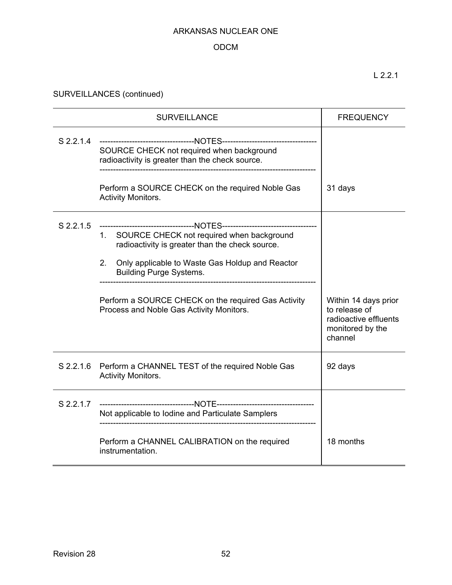## ODCM

L 2.2.1

SURVEILLANCES (continued)

| <b>SURVEILLANCE</b>                                                                                                                                                                                                                                                                           | <b>FREQUENCY</b>                                                                              |
|-----------------------------------------------------------------------------------------------------------------------------------------------------------------------------------------------------------------------------------------------------------------------------------------------|-----------------------------------------------------------------------------------------------|
| -----------------------------------NOTES-----------------------------<br>SOURCE CHECK not required when background<br>radioactivity is greater than the check source.                                                                                                                         |                                                                                               |
| Perform a SOURCE CHECK on the required Noble Gas<br><b>Activity Monitors.</b>                                                                                                                                                                                                                 | 31 days                                                                                       |
| 1. SOURCE CHECK not required when background<br>radioactivity is greater than the check source.<br>2.<br>Only applicable to Waste Gas Holdup and Reactor<br><b>Building Purge Systems.</b><br>Perform a SOURCE CHECK on the required Gas Activity<br>Process and Noble Gas Activity Monitors. | Within 14 days prior<br>to release of<br>radioactive effluents<br>monitored by the<br>channel |
| Perform a CHANNEL TEST of the required Noble Gas<br><b>Activity Monitors.</b>                                                                                                                                                                                                                 | 92 days                                                                                       |
| Not applicable to Iodine and Particulate Samplers<br>Perform a CHANNEL CALIBRATION on the required                                                                                                                                                                                            | 18 months                                                                                     |
|                                                                                                                                                                                                                                                                                               | S 2.2.1.4<br>instrumentation.                                                                 |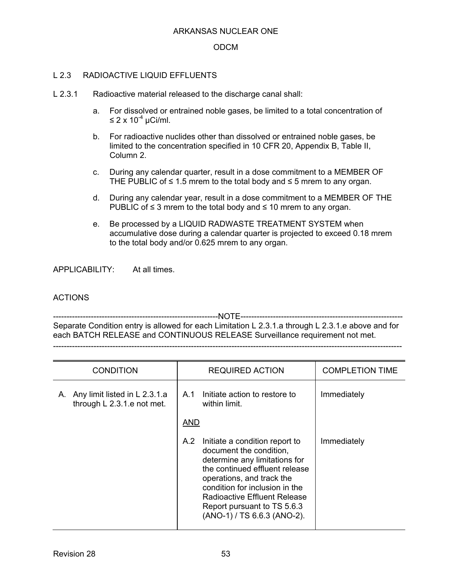### ODCM

### L 2.3 RADIOACTIVE LIQUID EFFLUENTS

- L 2.3.1 Radioactive material released to the discharge canal shall:
	- a. For dissolved or entrained noble gases, be limited to a total concentration of  $\leq$  2 x 10<sup>-4</sup> µCi/ml.
	- b. For radioactive nuclides other than dissolved or entrained noble gases, be limited to the concentration specified in 10 CFR 20, Appendix B, Table II, Column 2.
	- c. During any calendar quarter, result in a dose commitment to a MEMBER OF THE PUBLIC of  $\leq$  1.5 mrem to the total body and  $\leq$  5 mrem to any organ.
	- d. During any calendar year, result in a dose commitment to a MEMBER OF THE PUBLIC of ≤ 3 mrem to the total body and ≤ 10 mrem to any organ.
	- e. Be processed by a LIQUID RADWASTE TREATMENT SYSTEM when accumulative dose during a calendar quarter is projected to exceed 0.18 mrem to the total body and/or 0.625 mrem to any organ.

APPLICABILITY: At all times.

### ACTIONS

-------------------------------------------------------------NOTE------------------------------------------------------------ Separate Condition entry is allowed for each Limitation L 2.3.1.a through L 2.3.1.e above and for each BATCH RELEASE and CONTINUOUS RELEASE Surveillance requirement not met. ---------------------------------------------------------------------------------------------------------------------------------

| <b>CONDITION</b>                                                  | <b>REQUIRED ACTION</b>                                                                                                                                                                                                                                                                           | <b>COMPLETION TIME</b> |
|-------------------------------------------------------------------|--------------------------------------------------------------------------------------------------------------------------------------------------------------------------------------------------------------------------------------------------------------------------------------------------|------------------------|
| Any limit listed in L 2.3.1.a<br>Α.<br>through L 2.3.1.e not met. | Initiate action to restore to<br>A.1<br>within limit.                                                                                                                                                                                                                                            | Immediately            |
|                                                                   | <b>AND</b>                                                                                                                                                                                                                                                                                       |                        |
|                                                                   | A.2<br>Initiate a condition report to<br>document the condition,<br>determine any limitations for<br>the continued effluent release<br>operations, and track the<br>condition for inclusion in the<br>Radioactive Effluent Release<br>Report pursuant to TS 5.6.3<br>(ANO-1) / TS 6.6.3 (ANO-2). | Immediately            |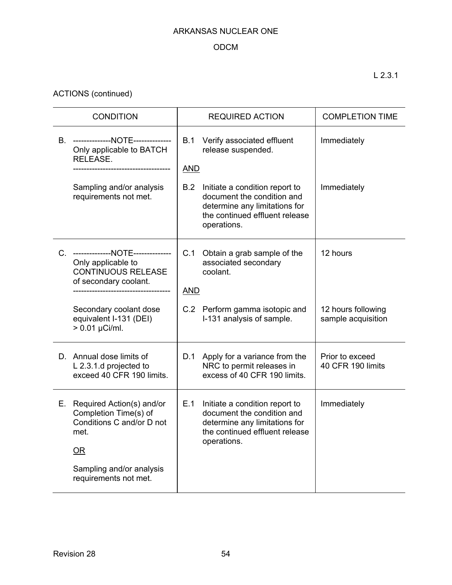## ODCM

ACTIONS (continued)

| <b>CONDITION</b> |                                                                                                                 |                   | <b>REQUIRED ACTION</b>                                                                                                                         | <b>COMPLETION TIME</b>                   |
|------------------|-----------------------------------------------------------------------------------------------------------------|-------------------|------------------------------------------------------------------------------------------------------------------------------------------------|------------------------------------------|
|                  | B. --------------NOTE--------------<br>Only applicable to BATCH<br>RELEASE.                                     |                   | B.1<br>Verify associated effluent<br>release suspended.<br><b>AND</b>                                                                          | Immediately                              |
|                  | Sampling and/or analysis<br>requirements not met.                                                               | B.2               | Initiate a condition report to<br>document the condition and<br>determine any limitations for<br>the continued effluent release<br>operations. | Immediately                              |
|                  | C. --------------NOTE--------------<br>Only applicable to<br><b>CONTINUOUS RELEASE</b><br>of secondary coolant. | C.1<br><b>AND</b> | Obtain a grab sample of the<br>associated secondary<br>coolant.                                                                                | 12 hours                                 |
|                  | Secondary coolant dose<br>equivalent I-131 (DEI)<br>$> 0.01 \mu$ Ci/ml.                                         |                   | C.2 Perform gamma isotopic and<br>I-131 analysis of sample.                                                                                    | 12 hours following<br>sample acquisition |
|                  | D. Annual dose limits of<br>L 2.3.1.d projected to<br>exceed 40 CFR 190 limits.                                 | D.1               | Apply for a variance from the<br>NRC to permit releases in<br>excess of 40 CFR 190 limits.                                                     | Prior to exceed<br>40 CFR 190 limits     |
|                  | E. Required Action(s) and/or<br>Completion Time(s) of<br>Conditions C and/or D not<br>met.<br>OR                | E.1               | Initiate a condition report to<br>document the condition and<br>determine any limitations for<br>the continued effluent release<br>operations. | Immediately                              |
|                  | Sampling and/or analysis<br>requirements not met.                                                               |                   |                                                                                                                                                |                                          |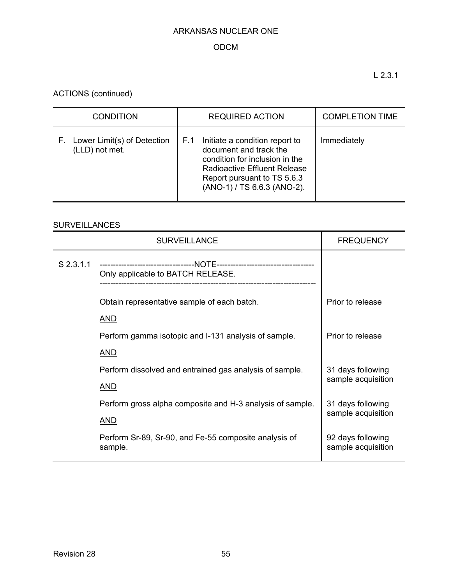## ODCM

L 2.3.1

ACTIONS (continued)

| <b>CONDITION</b>                                    | <b>REQUIRED ACTION</b>                                                                                                                                                                          | <b>COMPLETION TIME</b> |
|-----------------------------------------------------|-------------------------------------------------------------------------------------------------------------------------------------------------------------------------------------------------|------------------------|
| Lower Limit(s) of Detection<br>F.<br>(LLD) not met. | Initiate a condition report to<br>F.1<br>document and track the<br>condition for inclusion in the<br>Radioactive Effluent Release<br>Report pursuant to TS 5.6.3<br>(ANO-1) / TS 6.6.3 (ANO-2). | Immediately            |

## **SURVEILLANCES**

|             | <b>SURVEILLANCE</b>                                              | <b>FREQUENCY</b>                        |
|-------------|------------------------------------------------------------------|-----------------------------------------|
| $S$ 2.3.1.1 | Only applicable to BATCH RELEASE.                                |                                         |
|             | Obtain representative sample of each batch.                      | Prior to release                        |
|             | <b>AND</b>                                                       |                                         |
|             | Perform gamma isotopic and I-131 analysis of sample.             | Prior to release                        |
|             | <b>AND</b>                                                       |                                         |
|             | Perform dissolved and entrained gas analysis of sample.          | 31 days following                       |
|             | <u>AND</u>                                                       | sample acquisition                      |
|             | Perform gross alpha composite and H-3 analysis of sample.        | 31 days following                       |
|             | <b>AND</b>                                                       | sample acquisition                      |
|             | Perform Sr-89, Sr-90, and Fe-55 composite analysis of<br>sample. | 92 days following<br>sample acquisition |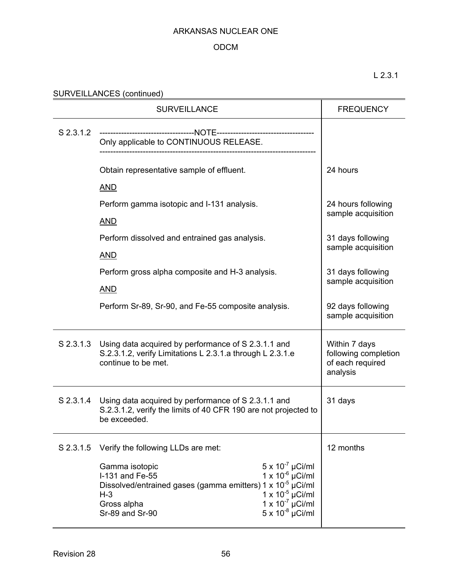### ODCM

L 2.3.1

| SURVEILLANCES (continued) |  |
|---------------------------|--|
|---------------------------|--|

|           | <b>SURVEILLANCE</b>                                                                                                                                                                                                                                                                                                                                          | <b>FREQUENCY</b>                                                      |
|-----------|--------------------------------------------------------------------------------------------------------------------------------------------------------------------------------------------------------------------------------------------------------------------------------------------------------------------------------------------------------------|-----------------------------------------------------------------------|
| S 2.3.1.2 | Only applicable to CONTINUOUS RELEASE.                                                                                                                                                                                                                                                                                                                       |                                                                       |
|           | Obtain representative sample of effluent.                                                                                                                                                                                                                                                                                                                    | 24 hours                                                              |
|           | <b>AND</b>                                                                                                                                                                                                                                                                                                                                                   |                                                                       |
|           | Perform gamma isotopic and I-131 analysis.                                                                                                                                                                                                                                                                                                                   | 24 hours following<br>sample acquisition                              |
|           | <b>AND</b>                                                                                                                                                                                                                                                                                                                                                   |                                                                       |
|           | Perform dissolved and entrained gas analysis.                                                                                                                                                                                                                                                                                                                | 31 days following                                                     |
|           | <b>AND</b>                                                                                                                                                                                                                                                                                                                                                   | sample acquisition                                                    |
|           | Perform gross alpha composite and H-3 analysis.                                                                                                                                                                                                                                                                                                              | 31 days following                                                     |
|           | <b>AND</b>                                                                                                                                                                                                                                                                                                                                                   | sample acquisition                                                    |
|           | Perform Sr-89, Sr-90, and Fe-55 composite analysis.                                                                                                                                                                                                                                                                                                          | 92 days following<br>sample acquisition                               |
|           | S 2.3.1.3 Using data acquired by performance of S 2.3.1.1 and<br>S.2.3.1.2, verify Limitations L 2.3.1.a through L 2.3.1.e<br>continue to be met.                                                                                                                                                                                                            | Within 7 days<br>following completion<br>of each required<br>analysis |
| S 2.3.1.4 | Using data acquired by performance of S 2.3.1.1 and<br>S.2.3.1.2, verify the limits of 40 CFR 190 are not projected to<br>be exceeded.                                                                                                                                                                                                                       | 31 days                                                               |
| S 2.3.1.5 | Verify the following LLDs are met:                                                                                                                                                                                                                                                                                                                           | 12 months                                                             |
|           | $5 \times 10^{-7}$ µCi/ml<br>Gamma isotopic<br>$1 \times 10^{-6}$ µCi/ml<br>I-131 and Fe-55<br>Dissolved/entrained gases (gamma emitters) $1 \times 10^{-5}$ µCi/ml<br>H-3<br>T x 10 <sup>-5</sup> µCi/ml<br>Gross alpha<br>Sr-89 and Sr-90<br>T x 10 <sup>-7</sup> µCi/ml<br>Sr-89 and Sr-90<br>T x 10 <sup>-7</sup> µCi/ml<br>Sr x 10 <sup>-8</sup> µCi/ml |                                                                       |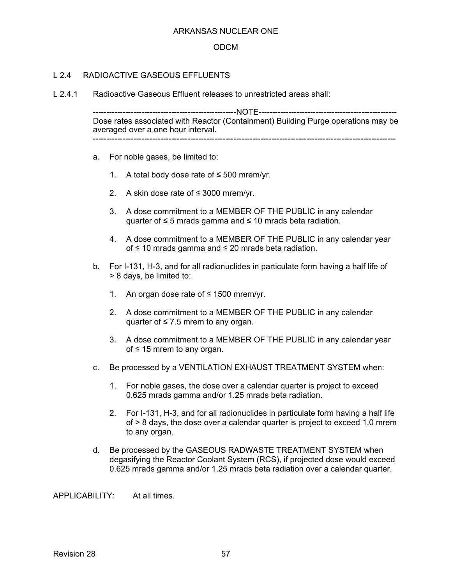#### ODCM

### L 2.4 RADIOACTIVE GASEOUS FEELUENTS

L 2.4.1 Radioactive Gaseous Effluent releases to unrestricted areas shall:

-----------------------------------------------------NOTE--------------------------------------------------- Dose rates associated with Reactor (Containment) Building Purge operations may be averaged over a one hour interval. ----------------------------------------------------------------------------------------------------------------

- a. For noble gases, be limited to:
	- 1. A total body dose rate of  $\leq$  500 mrem/yr.
	- 2. A skin dose rate of  $\leq$  3000 mrem/yr.
	- 3. A dose commitment to a MEMBER OF THE PUBLIC in any calendar quarter of  $\leq$  5 mrads gamma and  $\leq$  10 mrads beta radiation.
	- 4. A dose commitment to a MEMBER OF THE PUBLIC in any calendar year of ≤ 10 mrads gamma and ≤ 20 mrads beta radiation.
- b. For I-131, H-3, and for all radionuclides in particulate form having a half life of > 8 days, be limited to:
	- 1. An organ dose rate of ≤ 1500 mrem/yr.
	- 2. A dose commitment to a MEMBER OF THE PUBLIC in any calendar quarter of  $\leq 7.5$  mrem to any organ.
	- 3. A dose commitment to a MEMBER OF THE PUBLIC in any calendar year of  $\leq$  15 mrem to any organ.
- c. Be processed by a VENTILATION EXHAUST TREATMENT SYSTEM when:
	- 1. For noble gases, the dose over a calendar quarter is project to exceed 0.625 mrads gamma and/or 1.25 mrads beta radiation.
	- 2. For I-131, H-3, and for all radionuclides in particulate form having a half life of > 8 days, the dose over a calendar quarter is project to exceed 1.0 mrem to any organ.
- d. Be processed by the GASEOUS RADWASTE TREATMENT SYSTEM when degasifying the Reactor Coolant System (RCS), if projected dose would exceed 0.625 mrads gamma and/or 1.25 mrads beta radiation over a calendar quarter.

APPLICABILITY: At all times.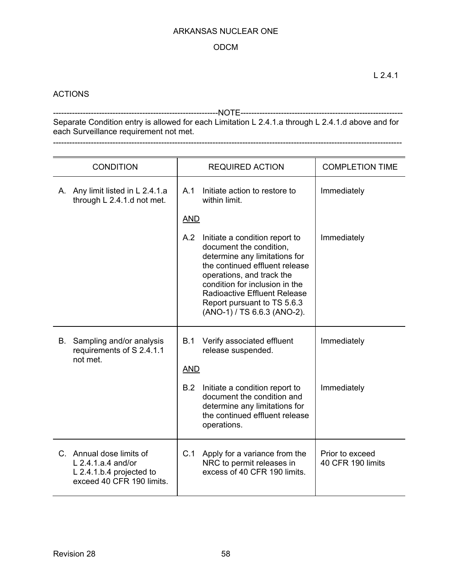### ODCM

### **ACTIONS**

-------------------------------------------------------------NOTE------------------------------------------------------------ Separate Condition entry is allowed for each Limitation L 2.4.1.a through L 2.4.1.d above and for each Surveillance requirement not met. ---------------------------------------------------------------------------------------------------------------------------------

|    | <b>CONDITION</b>                                                                                            |            | <b>REQUIRED ACTION</b>                                                                                                                                                                                                                                                                           | <b>COMPLETION TIME</b>               |
|----|-------------------------------------------------------------------------------------------------------------|------------|--------------------------------------------------------------------------------------------------------------------------------------------------------------------------------------------------------------------------------------------------------------------------------------------------|--------------------------------------|
|    | A. Any limit listed in L 2.4.1.a<br>through L 2.4.1.d not met.                                              | A.1        | Initiate action to restore to<br>within limit.                                                                                                                                                                                                                                                   | Immediately                          |
|    |                                                                                                             | <b>AND</b> |                                                                                                                                                                                                                                                                                                  |                                      |
|    |                                                                                                             | A.2        | Initiate a condition report to<br>document the condition,<br>determine any limitations for<br>the continued effluent release<br>operations, and track the<br>condition for inclusion in the<br><b>Radioactive Effluent Release</b><br>Report pursuant to TS 5.6.3<br>(ANO-1) / TS 6.6.3 (ANO-2). | Immediately                          |
| В. | Sampling and/or analysis<br>requirements of S 2.4.1.1<br>not met.                                           | B.1        | Verify associated effluent<br>release suspended.                                                                                                                                                                                                                                                 | Immediately                          |
|    |                                                                                                             | <b>AND</b> |                                                                                                                                                                                                                                                                                                  |                                      |
|    |                                                                                                             | B.2        | Initiate a condition report to<br>document the condition and<br>determine any limitations for<br>the continued effluent release<br>operations.                                                                                                                                                   | Immediately                          |
|    | C. Annual dose limits of<br>$L$ 2.4.1.a.4 and/or<br>$L$ 2.4.1.b.4 projected to<br>exceed 40 CFR 190 limits. | C.1        | Apply for a variance from the<br>NRC to permit releases in<br>excess of 40 CFR 190 limits.                                                                                                                                                                                                       | Prior to exceed<br>40 CFR 190 limits |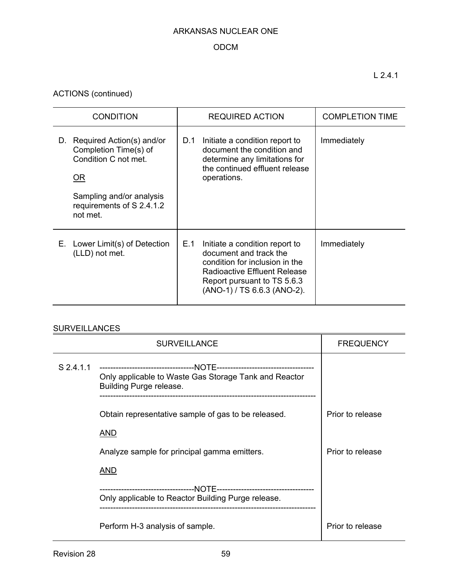## ODCM

ACTIONS (continued)

| <b>CONDITION</b>                                                                                                                                                   | <b>REQUIRED ACTION</b>                                                                                                                                                                          | <b>COMPLETION TIME</b> |
|--------------------------------------------------------------------------------------------------------------------------------------------------------------------|-------------------------------------------------------------------------------------------------------------------------------------------------------------------------------------------------|------------------------|
| Required Action(s) and/or<br>D.<br>Completion Time(s) of<br>Condition C not met.<br><u>OR</u><br>Sampling and/or analysis<br>requirements of S 2.4.1.2<br>not met. | D.1<br>Initiate a condition report to<br>document the condition and<br>determine any limitations for<br>the continued effluent release<br>operations.                                           | Immediately            |
| E. Lower Limit(s) of Detection<br>(LLD) not met.                                                                                                                   | E.1<br>Initiate a condition report to<br>document and track the<br>condition for inclusion in the<br>Radioactive Effluent Release<br>Report pursuant to TS 5.6.3<br>(ANO-1) / TS 6.6.3 (ANO-2). | Immediately            |

## **SURVEILLANCES**

|           | <b>SURVEILLANCE</b>                                                              | <b>FREQUENCY</b> |
|-----------|----------------------------------------------------------------------------------|------------------|
| S 2.4.1.1 | Only applicable to Waste Gas Storage Tank and Reactor<br>Building Purge release. |                  |
|           | Obtain representative sample of gas to be released.<br>AND                       | Prior to release |
|           | Analyze sample for principal gamma emitters.                                     |                  |
|           | AND<br>Only applicable to Reactor Building Purge release.                        |                  |
|           | Perform H-3 analysis of sample.                                                  | Prior to release |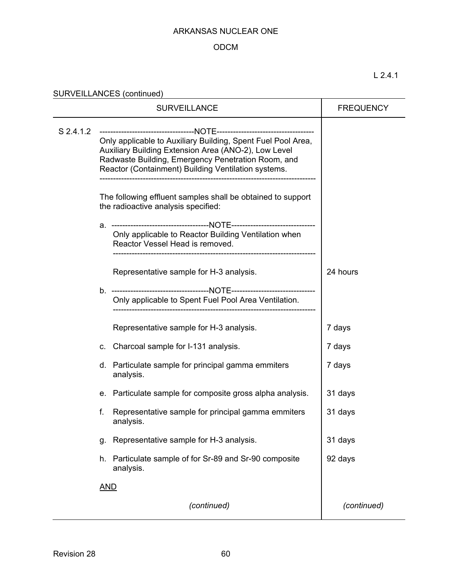## ODCM

SURVEILLANCES (continued)

|           | <b>FREQUENCY</b>                                     |                                                                                                                                                                                                                                   |             |
|-----------|------------------------------------------------------|-----------------------------------------------------------------------------------------------------------------------------------------------------------------------------------------------------------------------------------|-------------|
| S 2.4.1.2 |                                                      | Only applicable to Auxiliary Building, Spent Fuel Pool Area,<br>Auxiliary Building Extension Area (ANO-2), Low Level<br>Radwaste Building, Emergency Penetration Room, and<br>Reactor (Containment) Building Ventilation systems. |             |
|           |                                                      | The following effluent samples shall be obtained to support<br>the radioactive analysis specified:                                                                                                                                |             |
|           | а.                                                   | Only applicable to Reactor Building Ventilation when<br>Reactor Vessel Head is removed.                                                                                                                                           |             |
|           |                                                      | Representative sample for H-3 analysis.                                                                                                                                                                                           | 24 hours    |
|           | Only applicable to Spent Fuel Pool Area Ventilation. |                                                                                                                                                                                                                                   |             |
|           |                                                      | Representative sample for H-3 analysis.                                                                                                                                                                                           | 7 days      |
|           | C.                                                   | Charcoal sample for I-131 analysis.                                                                                                                                                                                               | 7 days      |
|           |                                                      | d. Particulate sample for principal gamma emmiters<br>analysis.                                                                                                                                                                   | 7 days      |
|           | е.                                                   | Particulate sample for composite gross alpha analysis.                                                                                                                                                                            | 31 days     |
|           | f.                                                   | Representative sample for principal gamma emmiters<br>analysis.                                                                                                                                                                   | 31 days     |
|           | g.                                                   | Representative sample for H-3 analysis.                                                                                                                                                                                           | 31 days     |
|           | h.                                                   | Particulate sample of for Sr-89 and Sr-90 composite<br>analysis.                                                                                                                                                                  | 92 days     |
|           | <u>AND</u>                                           |                                                                                                                                                                                                                                   |             |
|           |                                                      | (continued)                                                                                                                                                                                                                       | (continued) |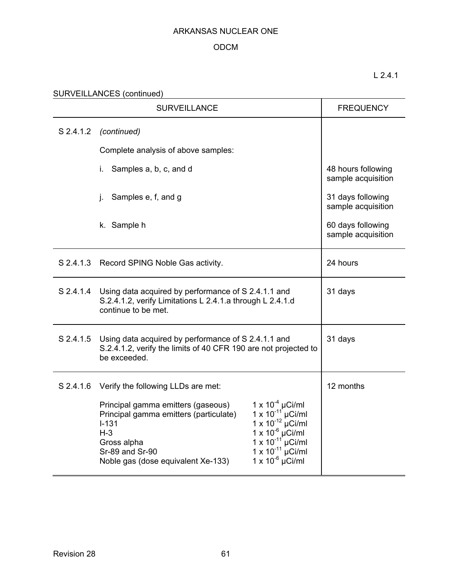## ODCM

## L 2.4.1

SURVEILLANCES (continued) **SURVEILLANCES** 

|           | <b>SURVEILLANCE</b>                                                                                                                                                                                                      | <b>FREQUENCY</b>                                                                                                                                                                                                      |                                          |
|-----------|--------------------------------------------------------------------------------------------------------------------------------------------------------------------------------------------------------------------------|-----------------------------------------------------------------------------------------------------------------------------------------------------------------------------------------------------------------------|------------------------------------------|
| S 2.4.1.2 | (continued)                                                                                                                                                                                                              |                                                                                                                                                                                                                       |                                          |
|           | Complete analysis of above samples:                                                                                                                                                                                      |                                                                                                                                                                                                                       |                                          |
|           | Samples a, b, c, and d<br>İ.                                                                                                                                                                                             |                                                                                                                                                                                                                       | 48 hours following<br>sample acquisition |
|           | Samples e, f, and g<br>j.                                                                                                                                                                                                |                                                                                                                                                                                                                       | 31 days following<br>sample acquisition  |
|           | k. Sample h                                                                                                                                                                                                              |                                                                                                                                                                                                                       | 60 days following<br>sample acquisition  |
|           | S 2.4.1.3 Record SPING Noble Gas activity.                                                                                                                                                                               | 24 hours                                                                                                                                                                                                              |                                          |
| S 2.4.1.4 | Using data acquired by performance of S 2.4.1.1 and<br>S.2.4.1.2, verify Limitations L 2.4.1.a through L 2.4.1.d<br>continue to be met.                                                                                  | 31 days                                                                                                                                                                                                               |                                          |
|           | S 2.4.1.5 Using data acquired by performance of S 2.4.1.1 and<br>S.2.4.1.2, verify the limits of 40 CFR 190 are not projected to<br>be exceeded.                                                                         | 31 days                                                                                                                                                                                                               |                                          |
|           | S 2.4.1.6 Verify the following LLDs are met:<br>Principal gamma emitters (gaseous)<br>Principal gamma emitters (particulate)<br>$I-131$<br>$H-3$<br>Gross alpha<br>Sr-89 and Sr-90<br>Noble gas (dose equivalent Xe-133) | 1 x 10 <sup>-4</sup> µCi/ml<br>1 x 10 <sup>-11</sup> µCi/ml<br>1 x 10 <sup>-12</sup> µCi/ml<br>1 x 10 <sup>-6</sup> µCi/ml<br>1 x 10 <sup>-11</sup> µCi/ml<br>$1 \times 10^{-11}$ µCi/ml<br>$1 \times 10^{-6}$ µCi/ml | 12 months                                |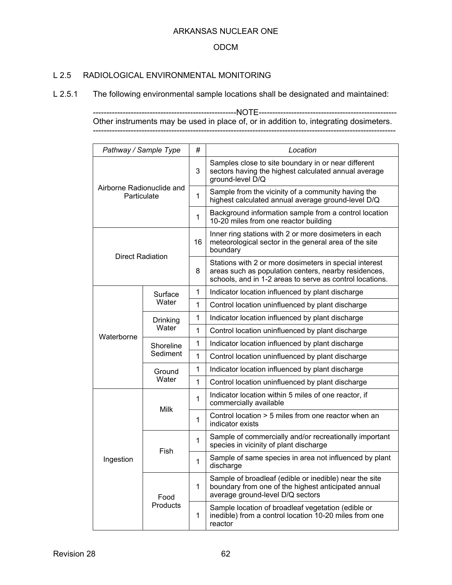### ODCM

### L 2.5 RADIOLOGICAL ENVIRONMENTAL MONITORING

L 2.5.1 The following environmental sample locations shall be designated and maintained:

-----------------------------------------------------NOTE--------------------------------------------------- Other instruments may be used in place of, or in addition to, integrating dosimeters. ----------------------------------------------------------------------------------------------------------------

| Pathway / Sample Type                    |                       | #            | Location                                                                                                                                                                   |
|------------------------------------------|-----------------------|--------------|----------------------------------------------------------------------------------------------------------------------------------------------------------------------------|
|                                          |                       | 3            | Samples close to site boundary in or near different<br>sectors having the highest calculated annual average<br>ground-level D/Q                                            |
| Airborne Radionuclide and<br>Particulate |                       | $\mathbf{1}$ | Sample from the vicinity of a community having the<br>highest calculated annual average ground-level D/Q                                                                   |
|                                          |                       | $\mathbf{1}$ | Background information sample from a control location<br>10-20 miles from one reactor building                                                                             |
|                                          |                       | 16           | Inner ring stations with 2 or more dosimeters in each<br>meteorological sector in the general area of the site<br>boundary                                                 |
| <b>Direct Radiation</b>                  |                       | 8            | Stations with 2 or more dosimeters in special interest<br>areas such as population centers, nearby residences,<br>schools, and in 1-2 areas to serve as control locations. |
|                                          | Surface               | $\mathbf{1}$ | Indicator location influenced by plant discharge                                                                                                                           |
|                                          | Water                 | $\mathbf{1}$ | Control location uninfluenced by plant discharge                                                                                                                           |
|                                          | Drinking<br>Water     | $\mathbf{1}$ | Indicator location influenced by plant discharge                                                                                                                           |
| Waterborne                               |                       | $\mathbf{1}$ | Control location uninfluenced by plant discharge                                                                                                                           |
|                                          | Shoreline<br>Sediment | $\mathbf{1}$ | Indicator location influenced by plant discharge                                                                                                                           |
|                                          |                       | $\mathbf{1}$ | Control location uninfluenced by plant discharge                                                                                                                           |
|                                          | Ground<br>Water       | 1            | Indicator location influenced by plant discharge                                                                                                                           |
|                                          |                       | $\mathbf 1$  | Control location uninfluenced by plant discharge                                                                                                                           |
|                                          | <b>Milk</b>           | $\mathbf{1}$ | Indicator location within 5 miles of one reactor, if<br>commercially available                                                                                             |
|                                          |                       | $\mathbf{1}$ | Control location > 5 miles from one reactor when an<br>indicator exists                                                                                                    |
|                                          |                       | $\mathbf{1}$ | Sample of commercially and/or recreationally important<br>species in vicinity of plant discharge                                                                           |
| Ingestion                                | Fish                  |              | Sample of same species in area not influenced by plant<br>discharge                                                                                                        |
|                                          | Food                  |              | Sample of broadleaf (edible or inedible) near the site<br>boundary from one of the highest anticipated annual<br>average ground-level D/Q sectors                          |
|                                          | Products              | $\mathbf 1$  | Sample location of broadleaf vegetation (edible or<br>inedible) from a control location 10-20 miles from one<br>reactor                                                    |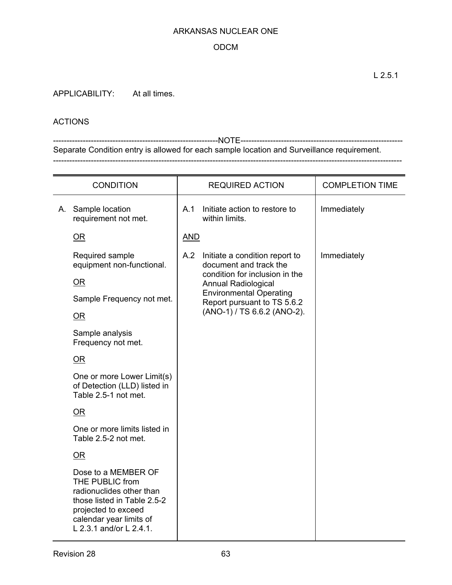### ODCM

APPLICABILITY: At all times.

### ACTIONS

-------------------------------------------------------------NOTE------------------------------------------------------------ Separate Condition entry is allowed for each sample location and Surveillance requirement. ---------------------------------------------------------------------------------------------------------------------------------

| <b>CONDITION</b> |                                                                                                                                                                                |            | <b>REQUIRED ACTION</b>                                        | <b>COMPLETION TIME</b> |
|------------------|--------------------------------------------------------------------------------------------------------------------------------------------------------------------------------|------------|---------------------------------------------------------------|------------------------|
|                  | A. Sample location<br>requirement not met.                                                                                                                                     | A.1        | Initiate action to restore to<br>within limits.               | Immediately            |
|                  | OR                                                                                                                                                                             | <b>AND</b> |                                                               |                        |
|                  | Required sample<br>equipment non-functional.                                                                                                                                   |            | A.2 Initiate a condition report to<br>document and track the  | Immediately            |
|                  | $\overline{\text{OR}}$                                                                                                                                                         |            | condition for inclusion in the<br><b>Annual Radiological</b>  |                        |
|                  | Sample Frequency not met.                                                                                                                                                      |            | <b>Environmental Operating</b><br>Report pursuant to TS 5.6.2 |                        |
|                  | $\overline{\text{OR}}$                                                                                                                                                         |            | (ANO-1) / TS 6.6.2 (ANO-2).                                   |                        |
|                  | Sample analysis<br>Frequency not met.                                                                                                                                          |            |                                                               |                        |
|                  | <u>OR</u>                                                                                                                                                                      |            |                                                               |                        |
|                  | One or more Lower Limit(s)<br>of Detection (LLD) listed in<br>Table 2.5-1 not met.                                                                                             |            |                                                               |                        |
|                  | OR                                                                                                                                                                             |            |                                                               |                        |
|                  | One or more limits listed in<br>Table 2.5-2 not met.                                                                                                                           |            |                                                               |                        |
|                  | OR                                                                                                                                                                             |            |                                                               |                        |
|                  | Dose to a MEMBER OF<br>THE PUBLIC from<br>radionuclides other than<br>those listed in Table 2.5-2<br>projected to exceed<br>calendar year limits of<br>L 2.3.1 and/or L 2.4.1. |            |                                                               |                        |

L 2.5.1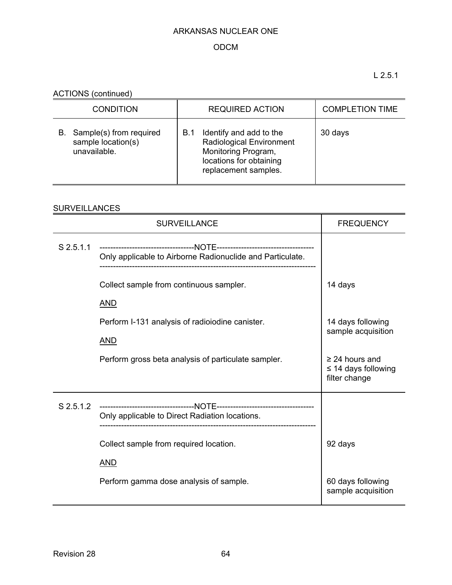## ODCM

L 2.5.1

ACTIONS (continued)

| <b>CONDITION</b>                                                    | <b>REQUIRED ACTION</b>                                                                                                               | <b>COMPLETION TIME</b> |
|---------------------------------------------------------------------|--------------------------------------------------------------------------------------------------------------------------------------|------------------------|
| Sample(s) from required<br>В.<br>sample location(s)<br>unavailable. | Identify and add to the<br>B.1<br>Radiological Environment<br>Monitoring Program,<br>locations for obtaining<br>replacement samples. | 30 days                |

## **SURVEILLANCES**

|           | <b>SURVEILLANCE</b>                                       | <b>FREQUENCY</b>                                                 |
|-----------|-----------------------------------------------------------|------------------------------------------------------------------|
| S 2.5.1.1 | Only applicable to Airborne Radionuclide and Particulate. |                                                                  |
|           | Collect sample from continuous sampler.                   | 14 days                                                          |
|           | <b>AND</b>                                                |                                                                  |
|           | Perform I-131 analysis of radiolodine canister.           | 14 days following<br>sample acquisition                          |
|           | <b>AND</b>                                                |                                                                  |
|           | Perform gross beta analysis of particulate sampler.       | $\geq$ 24 hours and<br>$\leq$ 14 days following<br>filter change |
| S 2.5.1.2 | Only applicable to Direct Radiation locations.            |                                                                  |
|           | Collect sample from required location.                    | 92 days                                                          |
|           | <b>AND</b>                                                |                                                                  |
|           | Perform gamma dose analysis of sample.                    | 60 days following<br>sample acquisition                          |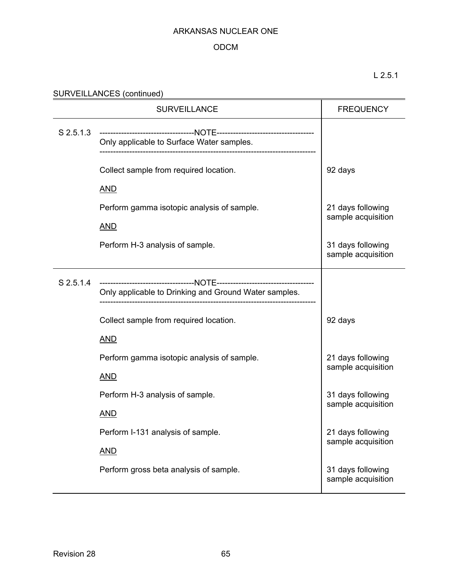## ODCM

L 2.5.1

| SURVEILLANCES (continued) |  |
|---------------------------|--|
|---------------------------|--|

|             | <b>SURVEILLANCE</b>                                   | <b>FREQUENCY</b>                        |
|-------------|-------------------------------------------------------|-----------------------------------------|
| $S$ 2.5.1.3 | Only applicable to Surface Water samples.             |                                         |
|             | Collect sample from required location.                | 92 days                                 |
|             | <b>AND</b>                                            |                                         |
|             | Perform gamma isotopic analysis of sample.            | 21 days following<br>sample acquisition |
|             | <b>AND</b>                                            |                                         |
|             | Perform H-3 analysis of sample.                       | 31 days following<br>sample acquisition |
| S 2.5.1.4   | Only applicable to Drinking and Ground Water samples. |                                         |
|             | Collect sample from required location.                | 92 days                                 |
|             | <b>AND</b>                                            |                                         |
|             | Perform gamma isotopic analysis of sample.            | 21 days following                       |
|             | <b>AND</b>                                            | sample acquisition                      |
|             | Perform H-3 analysis of sample.                       | 31 days following                       |
|             | <u>AND</u>                                            | sample acquisition                      |
|             | Perform I-131 analysis of sample.                     | 21 days following                       |
|             | <b>AND</b>                                            | sample acquisition                      |
|             | Perform gross beta analysis of sample.                | 31 days following<br>sample acquisition |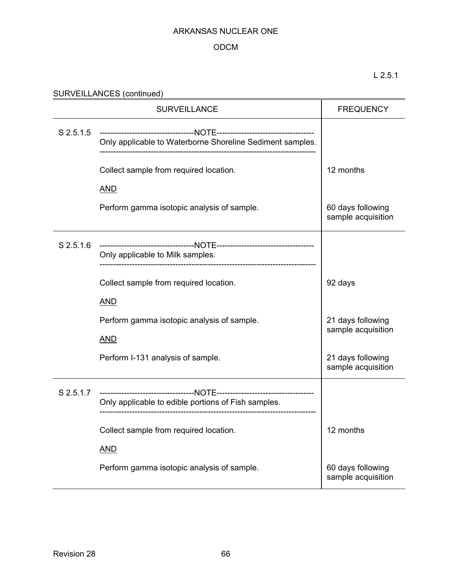## ODCM

## L 2.5.1

## SURVEILLANCES (continued)<br>
SURVEILLANCES (continued)

|           | <b>SURVEILLANCE</b>                                       | <b>FREQUENCY</b>                        |
|-----------|-----------------------------------------------------------|-----------------------------------------|
| S 2.5.1.5 | Only applicable to Waterborne Shoreline Sediment samples. |                                         |
|           | Collect sample from required location.                    | 12 months                               |
|           | <b>AND</b>                                                |                                         |
|           | Perform gamma isotopic analysis of sample.                | 60 days following<br>sample acquisition |
| S 2.5.1.6 | Only applicable to Milk samples.                          |                                         |
|           | Collect sample from required location.                    | 92 days                                 |
|           | <b>AND</b>                                                |                                         |
|           | Perform gamma isotopic analysis of sample.                | 21 days following<br>sample acquisition |
|           | <b>AND</b>                                                |                                         |
|           | Perform I-131 analysis of sample.                         | 21 days following<br>sample acquisition |
| S 2.5.1.7 |                                                           |                                         |
|           | Only applicable to edible portions of Fish samples.       |                                         |
|           | Collect sample from required location.                    | 12 months                               |
|           | <b>AND</b>                                                |                                         |
|           | Perform gamma isotopic analysis of sample.                | 60 days following<br>sample acquisition |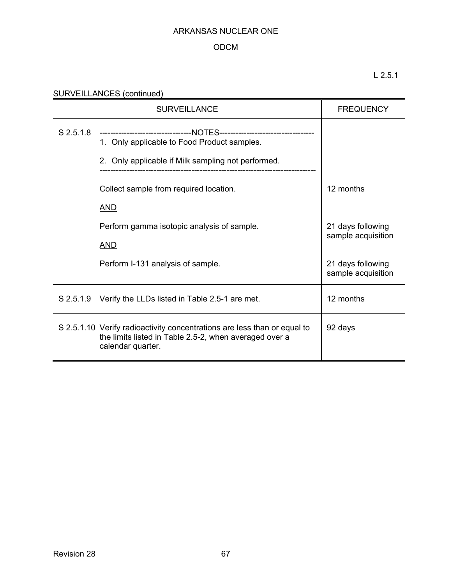## ODCM

L 2.5.1

| SURVEILLANCES (continued) |  |
|---------------------------|--|
|                           |  |

|             | <b>SURVEILLANCE</b>                                                                                                                                                            | <b>FREQUENCY</b>                        |
|-------------|--------------------------------------------------------------------------------------------------------------------------------------------------------------------------------|-----------------------------------------|
| $S$ 2.5.1.8 | ---------------------------------NOTES-----------------------------------<br>1. Only applicable to Food Product samples.<br>2. Only applicable if Milk sampling not performed. |                                         |
|             | Collect sample from required location.                                                                                                                                         | 12 months                               |
|             | <b>AND</b>                                                                                                                                                                     |                                         |
|             | Perform gamma isotopic analysis of sample.                                                                                                                                     | 21 days following<br>sample acquisition |
|             | <b>AND</b>                                                                                                                                                                     |                                         |
|             | Perform I-131 analysis of sample.                                                                                                                                              | 21 days following<br>sample acquisition |
|             | S 2.5.1.9 Verify the LLDs listed in Table 2.5-1 are met.                                                                                                                       | 12 months                               |
|             | S 2.5.1.10 Verify radioactivity concentrations are less than or equal to<br>the limits listed in Table 2.5-2, when averaged over a<br>calendar quarter.                        | 92 days                                 |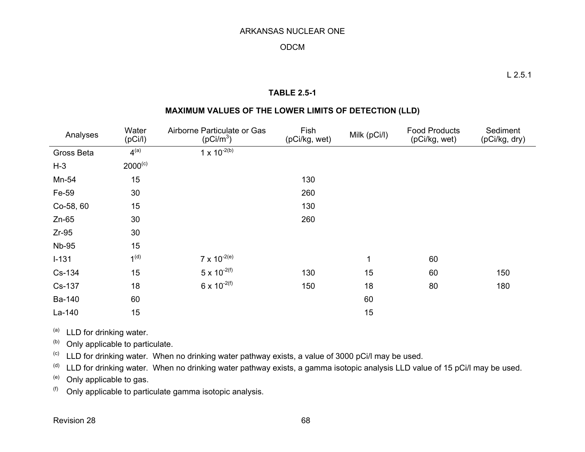### ODCM

### **TABLE 2.5-1**

### **MAXIMUM VALUES OF THE LOWER LIMITS OF DETECTION (LLD)**

| Analyses     | Water<br>(pCi/l) | Airborne Particulate or Gas<br>(pCi/m <sup>3</sup> ) | Fish<br>(pCi/kg, wet) | Milk (pCi/l) | <b>Food Products</b><br>(pCi/kg, wet) | Sediment<br>(pCi/kg, dry) |
|--------------|------------------|------------------------------------------------------|-----------------------|--------------|---------------------------------------|---------------------------|
| Gross Beta   | 4 <sup>(a)</sup> | $1 \times 10^{-2(b)}$                                |                       |              |                                       |                           |
| $H-3$        | $2000^{(c)}$     |                                                      |                       |              |                                       |                           |
| Mn-54        | 15               |                                                      | 130                   |              |                                       |                           |
| Fe-59        | 30               |                                                      | 260                   |              |                                       |                           |
| Co-58, 60    | 15               |                                                      | 130                   |              |                                       |                           |
| $Zn-65$      | 30               |                                                      | 260                   |              |                                       |                           |
| $Zr-95$      | 30               |                                                      |                       |              |                                       |                           |
| <b>Nb-95</b> | 15               |                                                      |                       |              |                                       |                           |
| $I-131$      | 1 <sup>(d)</sup> | $7 \times 10^{-2(e)}$                                |                       | 1            | 60                                    |                           |
| Cs-134       | 15               | $5 \times 10^{-2(f)}$                                | 130                   | 15           | 60                                    | 150                       |
| Cs-137       | 18               | $6 \times 10^{-2(f)}$                                | 150                   | 18           | 80                                    | 180                       |
| Ba-140       | 60               |                                                      |                       | 60           |                                       |                           |
| La-140       | 15               |                                                      |                       | 15           |                                       |                           |

 $(a)$  LLD for drinking water.

 $(b)$  Only applicable to particulate.

 $\degree$  LLD for drinking water. When no drinking water pathway exists, a value of 3000 pCi/l may be used.

(d) LLD for drinking water. When no drinking water pathway exists, a gamma isotopic analysis LLD value of 15 pCi/l may be used.

(e) Only applicable to gas.

 $(6)$  Only applicable to particulate gamma isotopic analysis.

Revision 28

68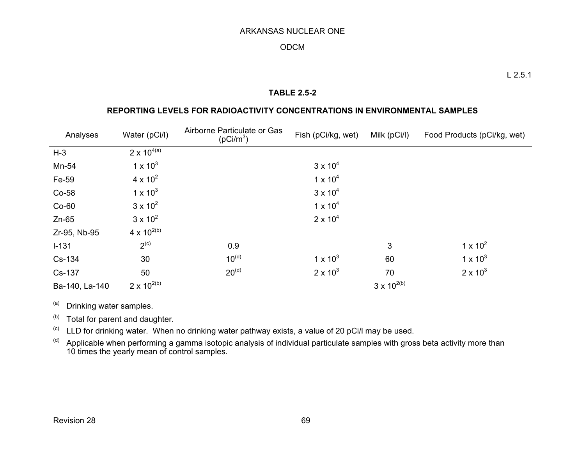### ODCM

### **TABLE 2.5-2**

### **REPORTING LEVELS FOR RADIOACTIVITY CONCENTRATIONS IN ENVIRONMENTAL SAMPLES**

| Analyses       | Water (pCi/l)        | Airborne Particulate or Gas<br>$(pCi/m^3)$ | Fish (pCi/kg, wet) | Milk (pCi/l)         | Food Products (pCi/kg, wet) |
|----------------|----------------------|--------------------------------------------|--------------------|----------------------|-----------------------------|
| $H-3$          | $2 \times 10^{4(a)}$ |                                            |                    |                      |                             |
| Mn-54          | $1 \times 10^{3}$    |                                            | $3 \times 10^4$    |                      |                             |
| Fe-59          | $4 \times 10^{2}$    |                                            | $1 \times 10^{4}$  |                      |                             |
| Co-58          | $1 \times 10^3$      |                                            | $3 \times 10^4$    |                      |                             |
| $Co-60$        | $3 \times 10^{2}$    |                                            | $1 \times 10^{4}$  |                      |                             |
| $Zn-65$        | $3 \times 10^{2}$    |                                            | $2 \times 10^{4}$  |                      |                             |
| Zr-95, Nb-95   | $4 \times 10^{2(b)}$ |                                            |                    |                      |                             |
| $I - 131$      | 2 <sup>(c)</sup>     | 0.9                                        |                    | 3                    | $1 \times 10^2$             |
| Cs-134         | 30                   | $10^{(d)}$                                 | $1 \times 10^{3}$  | 60                   | $1 \times 10^{3}$           |
| Cs-137         | 50                   | $20^{(d)}$                                 | $2 \times 10^3$    | 70                   | $2 \times 10^3$             |
| Ba-140, La-140 | $2 \times 10^{2(b)}$ |                                            |                    | $3 \times 10^{2(b)}$ |                             |

(a) Drinking water samples.

(b) Total for parent and daughter.

 $\lvert$ <sup>(c)</sup> LLD for drinking water. When no drinking water pathway exists, a value of 20 pCi/l may be used.

 $\alpha$ ) Applicable when performing a gamma isotopic analysis of individual particulate samples with gross beta activity more than 10 times the yearly mean of control samples.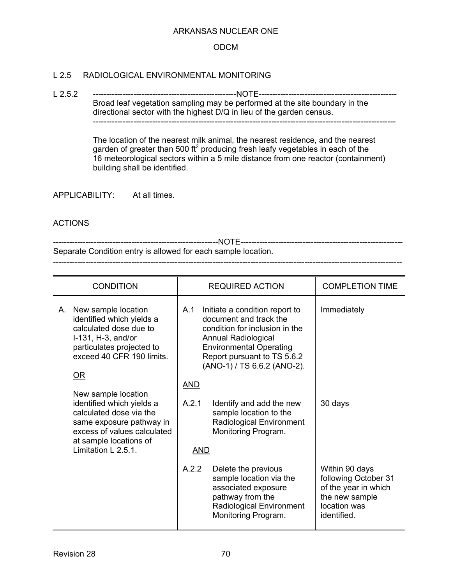### ODCM

### L 2.5 RADIOLOGICAL ENVIRONMENTAL MONITORING

L 2.5.2 -----------------------------------------------------NOTE--------------------------------------------------- Broad leaf vegetation sampling may be performed at the site boundary in the directional sector with the highest D/Q in lieu of the garden census. ----------------------------------------------------------------------------------------------------------------

> The location of the nearest milk animal, the nearest residence, and the nearest garden of greater than 500 ft<sup>2</sup> producing fresh leafy vegetables in each of the 16 meteorological sectors within a 5 mile distance from one reactor (containment) building shall be identified.

APPLICABILITY: At all times.

### ACTIONS

-------------------------------------------------------------NOTE------------------------------------------------------------ Separate Condition entry is allowed for each sample location. ---------------------------------------------------------------------------------------------------------------------------------

| <b>CONDITION</b>                                                                                                                                                                                                  | <b>REQUIRED ACTION</b>                                                                                                                                                                                                                 | <b>COMPLETION TIME</b>                                                                                          |
|-------------------------------------------------------------------------------------------------------------------------------------------------------------------------------------------------------------------|----------------------------------------------------------------------------------------------------------------------------------------------------------------------------------------------------------------------------------------|-----------------------------------------------------------------------------------------------------------------|
| New sample location<br>А.<br>identified which yields a<br>calculated dose due to<br>I-131, H-3, and/or<br>particulates projected to<br>exceed 40 CFR 190 limits.<br>$\overline{\text{OR}}$<br>New sample location | A.1<br>Initiate a condition report to<br>document and track the<br>condition for inclusion in the<br>Annual Radiological<br><b>Environmental Operating</b><br>Report pursuant to TS 5.6.2<br>(ANO-1) / TS 6.6.2 (ANO-2).<br><b>AND</b> | Immediately                                                                                                     |
| identified which yields a<br>calculated dose via the<br>same exposure pathway in<br>excess of values calculated<br>at sample locations of<br>Limitation $L$ 2.5.1.                                                | A.2.1<br>Identify and add the new<br>sample location to the<br>Radiological Environment<br>Monitoring Program.<br><b>AND</b>                                                                                                           | 30 days                                                                                                         |
|                                                                                                                                                                                                                   | A.2.2<br>Delete the previous<br>sample location via the<br>associated exposure<br>pathway from the<br>Radiological Environment<br>Monitoring Program.                                                                                  | Within 90 days<br>following October 31<br>of the year in which<br>the new sample<br>location was<br>identified. |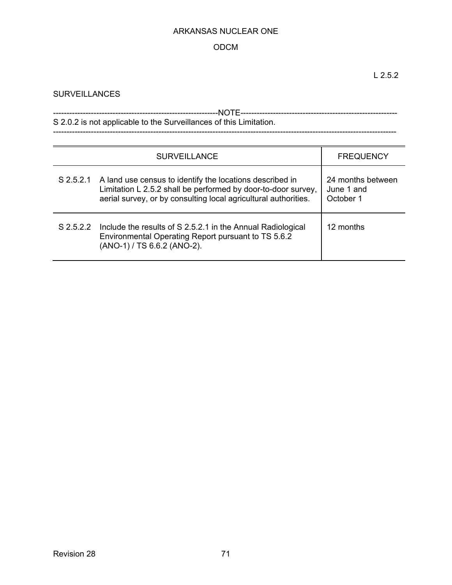## ODCM

## **SURVEILLANCES**

| S 2.0.2 is not applicable to the Surveillances of this Limitation. |  |  |  |
|--------------------------------------------------------------------|--|--|--|
|                                                                    |  |  |  |

| <b>SURVEILLANCE</b> |                                                                                                                                                                                              | <b>FREQUENCY</b>                             |
|---------------------|----------------------------------------------------------------------------------------------------------------------------------------------------------------------------------------------|----------------------------------------------|
| $S$ 2.5.2.1         | A land use census to identify the locations described in<br>Limitation L 2.5.2 shall be performed by door-to-door survey,<br>aerial survey, or by consulting local agricultural authorities. | 24 months between<br>June 1 and<br>October 1 |
| S 2.5.2.2           | Include the results of S 2.5.2.1 in the Annual Radiological<br>Environmental Operating Report pursuant to TS 5.6.2<br>(ANO-1) / TS 6.6.2 (ANO-2).                                            | 12 months                                    |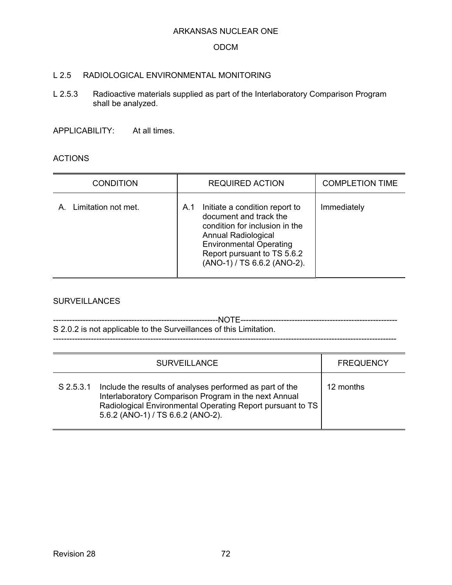#### ODCM

#### L 2.5 RADIOLOGICAL ENVIRONMENTAL MONITORING

L 2.5.3 Radioactive materials supplied as part of the Interlaboratory Comparison Program shall be analyzed.

APPLICABILITY: At all times.

#### ACTIONS

| <b>CONDITION</b>          | <b>REQUIRED ACTION</b>                                                                                                                                                                                                   | <b>COMPLETION TIME</b> |
|---------------------------|--------------------------------------------------------------------------------------------------------------------------------------------------------------------------------------------------------------------------|------------------------|
| Limitation not met.<br>Α. | Initiate a condition report to<br>A.1<br>document and track the<br>condition for inclusion in the<br>Annual Radiological<br><b>Environmental Operating</b><br>Report pursuant to TS 5.6.2<br>(ANO-1) / TS 6.6.2 (ANO-2). | Immediately            |

#### **SURVEILLANCES**

-------------------------------------------------------------NOTE---------------------------------------------------------- S 2.0.2 is not applicable to the Surveillances of this Limitation. -------------------------------------------------------------------------------------------------------------------------------

|             | <b>SURVEILLANCE</b>                                                                                                                                                                                                  | <b>FREQUENCY</b> |
|-------------|----------------------------------------------------------------------------------------------------------------------------------------------------------------------------------------------------------------------|------------------|
| $S$ 2.5.3.1 | Include the results of analyses performed as part of the<br>Interlaboratory Comparison Program in the next Annual<br>Radiological Environmental Operating Report pursuant to TS<br>5.6.2 (ANO-1) / TS 6.6.2 (ANO-2). | 12 months        |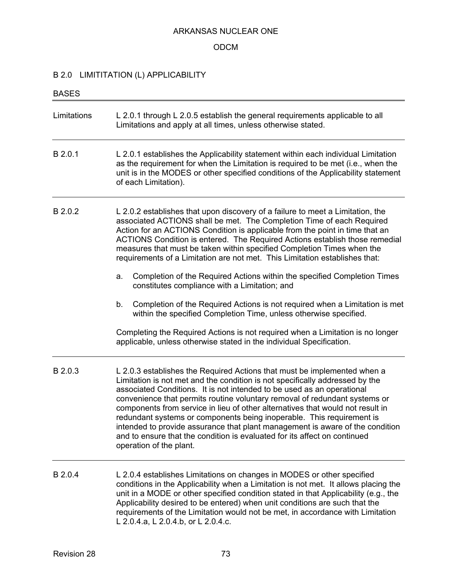## ODCM

# B 2.0 LIMITITATION (L) APPLICABILITY

| <b>BASES</b> |                                                                                                                                                                                                                                                                                                                                                                                                                                                                                                                                                                                                                                                                      |  |
|--------------|----------------------------------------------------------------------------------------------------------------------------------------------------------------------------------------------------------------------------------------------------------------------------------------------------------------------------------------------------------------------------------------------------------------------------------------------------------------------------------------------------------------------------------------------------------------------------------------------------------------------------------------------------------------------|--|
| Limitations  | L 2.0.1 through L 2.0.5 establish the general requirements applicable to all<br>Limitations and apply at all times, unless otherwise stated.                                                                                                                                                                                                                                                                                                                                                                                                                                                                                                                         |  |
| B 2.0.1      | L 2.0.1 establishes the Applicability statement within each individual Limitation<br>as the requirement for when the Limitation is required to be met (i.e., when the<br>unit is in the MODES or other specified conditions of the Applicability statement<br>of each Limitation).                                                                                                                                                                                                                                                                                                                                                                                   |  |
| B 2.0.2      | L 2.0.2 establishes that upon discovery of a failure to meet a Limitation, the<br>associated ACTIONS shall be met. The Completion Time of each Required<br>Action for an ACTIONS Condition is applicable from the point in time that an<br>ACTIONS Condition is entered. The Required Actions establish those remedial<br>measures that must be taken within specified Completion Times when the<br>requirements of a Limitation are not met. This Limitation establishes that:                                                                                                                                                                                      |  |
|              | Completion of the Required Actions within the specified Completion Times<br>a.<br>constitutes compliance with a Limitation; and                                                                                                                                                                                                                                                                                                                                                                                                                                                                                                                                      |  |
|              | Completion of the Required Actions is not required when a Limitation is met<br>b.<br>within the specified Completion Time, unless otherwise specified.                                                                                                                                                                                                                                                                                                                                                                                                                                                                                                               |  |
|              | Completing the Required Actions is not required when a Limitation is no longer<br>applicable, unless otherwise stated in the individual Specification.                                                                                                                                                                                                                                                                                                                                                                                                                                                                                                               |  |
| B 2.0.3      | L 2.0.3 establishes the Required Actions that must be implemented when a<br>Limitation is not met and the condition is not specifically addressed by the<br>associated Conditions. It is not intended to be used as an operational<br>convenience that permits routine voluntary removal of redundant systems or<br>components from service in lieu of other alternatives that would not result in<br>redundant systems or components being inoperable. This requirement is<br>intended to provide assurance that plant management is aware of the condition<br>and to ensure that the condition is evaluated for its affect on continued<br>operation of the plant. |  |
| B 2.0.4      | L 2.0.4 establishes Limitations on changes in MODES or other specified<br>conditions in the Applicability when a Limitation is not met. It allows placing the<br>unit in a MODE or other specified condition stated in that Applicability (e.g., the<br>Applicability desired to be entered) when unit conditions are such that the<br>requirements of the Limitation would not be met, in accordance with Limitation<br>L 2.0.4.a, L 2.0.4.b, or L 2.0.4.c.                                                                                                                                                                                                         |  |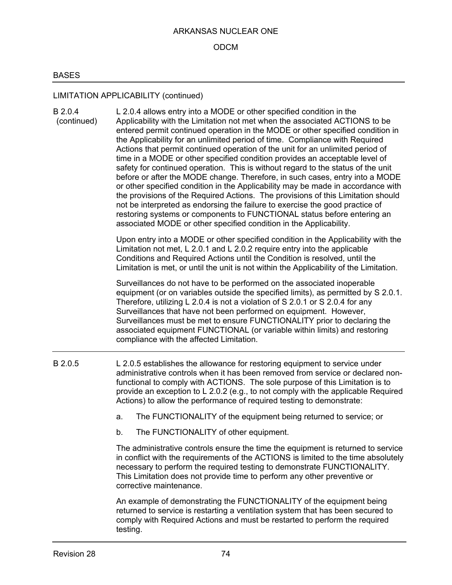#### ODCM

## BASES

# LIMITATION APPLICABILITY (continued)

| B 2.0.4<br>(continued) | L 2.0.4 allows entry into a MODE or other specified condition in the<br>Applicability with the Limitation not met when the associated ACTIONS to be<br>entered permit continued operation in the MODE or other specified condition in<br>the Applicability for an unlimited period of time. Compliance with Required<br>Actions that permit continued operation of the unit for an unlimited period of<br>time in a MODE or other specified condition provides an acceptable level of<br>safety for continued operation. This is without regard to the status of the unit<br>before or after the MODE change. Therefore, in such cases, entry into a MODE<br>or other specified condition in the Applicability may be made in accordance with<br>the provisions of the Required Actions. The provisions of this Limitation should<br>not be interpreted as endorsing the failure to exercise the good practice of<br>restoring systems or components to FUNCTIONAL status before entering an<br>associated MODE or other specified condition in the Applicability. |
|------------------------|--------------------------------------------------------------------------------------------------------------------------------------------------------------------------------------------------------------------------------------------------------------------------------------------------------------------------------------------------------------------------------------------------------------------------------------------------------------------------------------------------------------------------------------------------------------------------------------------------------------------------------------------------------------------------------------------------------------------------------------------------------------------------------------------------------------------------------------------------------------------------------------------------------------------------------------------------------------------------------------------------------------------------------------------------------------------|
|                        | Upon entry into a MODE or other specified condition in the Applicability with the<br>Limitation not met, L 2.0.1 and L 2.0.2 require entry into the applicable<br>Conditions and Required Actions until the Condition is resolved, until the<br>Limitation is met, or until the unit is not within the Applicability of the Limitation.                                                                                                                                                                                                                                                                                                                                                                                                                                                                                                                                                                                                                                                                                                                            |
|                        | Surveillances do not have to be performed on the associated inoperable<br>equipment (or on variables outside the specified limits), as permitted by S 2.0.1.<br>Therefore, utilizing L 2.0.4 is not a violation of S 2.0.1 or S 2.0.4 for any<br>Surveillances that have not been performed on equipment. However,<br>Surveillances must be met to ensure FUNCTIONALITY prior to declaring the<br>associated equipment FUNCTIONAL (or variable within limits) and restoring<br>compliance with the affected Limitation.                                                                                                                                                                                                                                                                                                                                                                                                                                                                                                                                            |
| B 2.0.5                | L 2.0.5 establishes the allowance for restoring equipment to service under<br>administrative controls when it has been removed from service or declared non-<br>functional to comply with ACTIONS. The sole purpose of this Limitation is to<br>provide an exception to L 2.0.2 (e.g., to not comply with the applicable Required<br>Actions) to allow the performance of required testing to demonstrate:                                                                                                                                                                                                                                                                                                                                                                                                                                                                                                                                                                                                                                                         |
|                        | The FUNCTIONALITY of the equipment being returned to service; or<br>a.                                                                                                                                                                                                                                                                                                                                                                                                                                                                                                                                                                                                                                                                                                                                                                                                                                                                                                                                                                                             |
|                        | The FUNCTIONALITY of other equipment.<br>b.                                                                                                                                                                                                                                                                                                                                                                                                                                                                                                                                                                                                                                                                                                                                                                                                                                                                                                                                                                                                                        |
|                        | The administrative controls ensure the time the equipment is returned to service<br>in conflict with the requirements of the ACTIONS is limited to the time absolutely<br>necessary to perform the required testing to demonstrate FUNCTIONALITY.<br>This Limitation does not provide time to perform any other preventive or<br>corrective maintenance.                                                                                                                                                                                                                                                                                                                                                                                                                                                                                                                                                                                                                                                                                                           |
|                        | An example of demonstrating the FUNCTIONALITY of the equipment being<br>returned to service is restarting a ventilation system that has been secured to                                                                                                                                                                                                                                                                                                                                                                                                                                                                                                                                                                                                                                                                                                                                                                                                                                                                                                            |

returned to service is restarting a ventilation system that has been secured to comply with Required Actions and must be restarted to perform the required testing.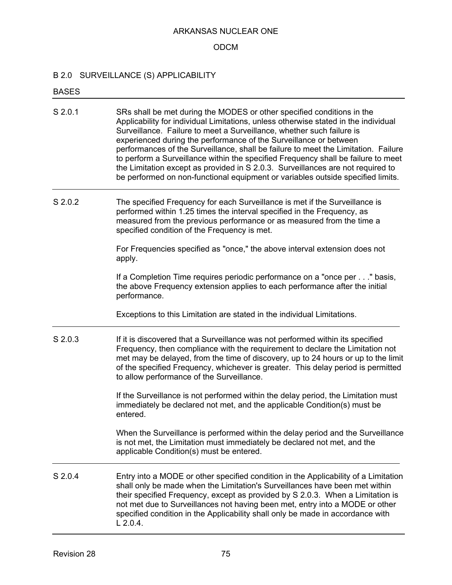#### ODCM

#### B 2.0 SURVEILLANCE (S) APPLICABILITY

#### BASES

- S 2.0.1 SRs shall be met during the MODES or other specified conditions in the Applicability for individual Limitations, unless otherwise stated in the individual Surveillance. Failure to meet a Surveillance, whether such failure is experienced during the performance of the Surveillance or between performances of the Surveillance, shall be failure to meet the Limitation. Failure to perform a Surveillance within the specified Frequency shall be failure to meet the Limitation except as provided in S 2.0.3. Surveillances are not required to be performed on non-functional equipment or variables outside specified limits.
- S 2.0.2 The specified Frequency for each Surveillance is met if the Surveillance is performed within 1.25 times the interval specified in the Frequency, as measured from the previous performance or as measured from the time a specified condition of the Frequency is met.

For Frequencies specified as "once," the above interval extension does not apply.

If a Completion Time requires periodic performance on a "once per . . ." basis, the above Frequency extension applies to each performance after the initial performance.

Exceptions to this Limitation are stated in the individual Limitations.

S 2.0.3 If it is discovered that a Surveillance was not performed within its specified Frequency, then compliance with the requirement to declare the Limitation not met may be delayed, from the time of discovery, up to 24 hours or up to the limit of the specified Frequency, whichever is greater. This delay period is permitted to allow performance of the Surveillance.

> If the Surveillance is not performed within the delay period, the Limitation must immediately be declared not met, and the applicable Condition(s) must be entered.

When the Surveillance is performed within the delay period and the Surveillance is not met, the Limitation must immediately be declared not met, and the applicable Condition(s) must be entered.

S 2.0.4 Entry into a MODE or other specified condition in the Applicability of a Limitation shall only be made when the Limitation's Surveillances have been met within their specified Frequency, except as provided by S 2.0.3. When a Limitation is not met due to Surveillances not having been met, entry into a MODE or other specified condition in the Applicability shall only be made in accordance with L 2.0.4.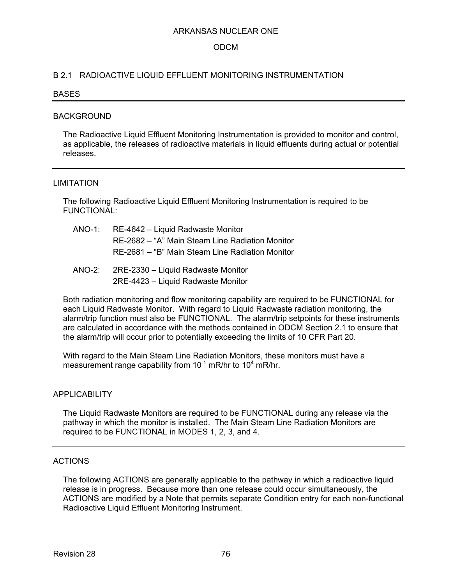### ODCM

### B 2.1 RADIOACTIVE LIQUID EFFLUENT MONITORING INSTRUMENTATION

#### BASES

#### BACKGROUND

The Radioactive Liquid Effluent Monitoring Instrumentation is provided to monitor and control, as applicable, the releases of radioactive materials in liquid effluents during actual or potential releases.

#### LIMITATION

The following Radioactive Liquid Effluent Monitoring Instrumentation is required to be FUNCTIONAL:

- ANO-1: RE-4642 Liquid Radwaste Monitor RE-2682 – "A" Main Steam Line Radiation Monitor RE-2681 – "B" Main Steam Line Radiation Monitor
- ANO-2: 2RE-2330 Liquid Radwaste Monitor 2RE-4423 – Liquid Radwaste Monitor

Both radiation monitoring and flow monitoring capability are required to be FUNCTIONAL for each Liquid Radwaste Monitor. With regard to Liquid Radwaste radiation monitoring, the alarm/trip function must also be FUNCTIONAL. The alarm/trip setpoints for these instruments are calculated in accordance with the methods contained in ODCM Section 2.1 to ensure that the alarm/trip will occur prior to potentially exceeding the limits of 10 CFR Part 20.

With regard to the Main Steam Line Radiation Monitors, these monitors must have a measurement range capability from  $10^{-1}$  mR/hr to  $10^4$  mR/hr.

### **APPLICABILITY**

The Liquid Radwaste Monitors are required to be FUNCTIONAL during any release via the pathway in which the monitor is installed. The Main Steam Line Radiation Monitors are required to be FUNCTIONAL in MODES 1, 2, 3, and 4.

### ACTIONS

The following ACTIONS are generally applicable to the pathway in which a radioactive liquid release is in progress. Because more than one release could occur simultaneously, the ACTIONS are modified by a Note that permits separate Condition entry for each non-functional Radioactive Liquid Effluent Monitoring Instrument.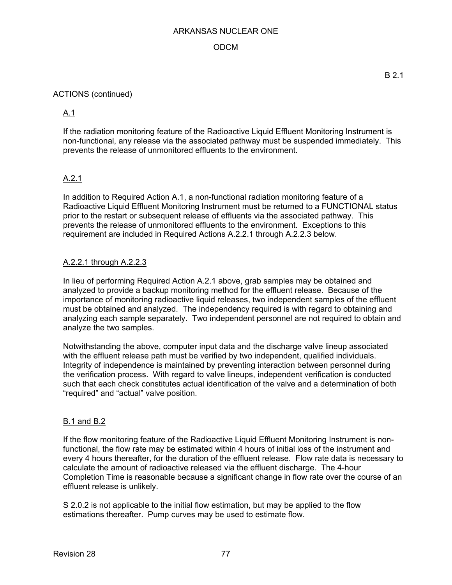## ODCM

## ACTIONS (continued)

# A.1

If the radiation monitoring feature of the Radioactive Liquid Effluent Monitoring Instrument is non-functional, any release via the associated pathway must be suspended immediately. This prevents the release of unmonitored effluents to the environment.

## A.2.1

In addition to Required Action A.1, a non-functional radiation monitoring feature of a Radioactive Liquid Effluent Monitoring Instrument must be returned to a FUNCTIONAL status prior to the restart or subsequent release of effluents via the associated pathway. This prevents the release of unmonitored effluents to the environment. Exceptions to this requirement are included in Required Actions A.2.2.1 through A.2.2.3 below.

## A.2.2.1 through A.2.2.3

In lieu of performing Required Action A.2.1 above, grab samples may be obtained and analyzed to provide a backup monitoring method for the effluent release. Because of the importance of monitoring radioactive liquid releases, two independent samples of the effluent must be obtained and analyzed. The independency required is with regard to obtaining and analyzing each sample separately. Two independent personnel are not required to obtain and analyze the two samples.

Notwithstanding the above, computer input data and the discharge valve lineup associated with the effluent release path must be verified by two independent, qualified individuals. Integrity of independence is maintained by preventing interaction between personnel during the verification process. With regard to valve lineups, independent verification is conducted such that each check constitutes actual identification of the valve and a determination of both "required" and "actual" valve position.

### B.1 and B.2

If the flow monitoring feature of the Radioactive Liquid Effluent Monitoring Instrument is nonfunctional, the flow rate may be estimated within 4 hours of initial loss of the instrument and every 4 hours thereafter, for the duration of the effluent release. Flow rate data is necessary to calculate the amount of radioactive released via the effluent discharge. The 4-hour Completion Time is reasonable because a significant change in flow rate over the course of an effluent release is unlikely.

S 2.0.2 is not applicable to the initial flow estimation, but may be applied to the flow estimations thereafter. Pump curves may be used to estimate flow.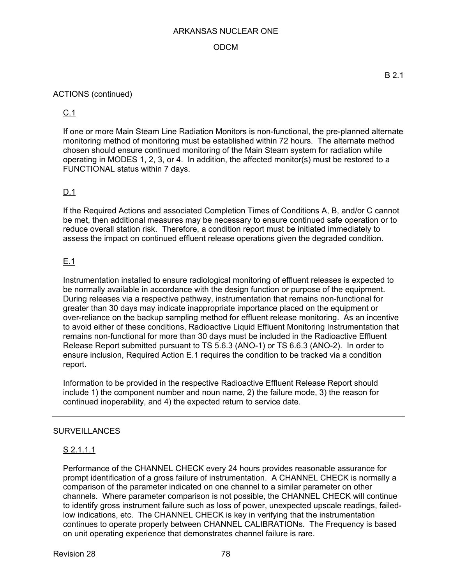## ODCM

## ACTIONS (continued)

C.1

If one or more Main Steam Line Radiation Monitors is non-functional, the pre-planned alternate monitoring method of monitoring must be established within 72 hours. The alternate method chosen should ensure continued monitoring of the Main Steam system for radiation while operating in MODES 1, 2, 3, or 4. In addition, the affected monitor(s) must be restored to a FUNCTIONAL status within 7 days.

## D.1

If the Required Actions and associated Completion Times of Conditions A, B, and/or C cannot be met, then additional measures may be necessary to ensure continued safe operation or to reduce overall station risk. Therefore, a condition report must be initiated immediately to assess the impact on continued effluent release operations given the degraded condition.

## E.1

Instrumentation installed to ensure radiological monitoring of effluent releases is expected to be normally available in accordance with the design function or purpose of the equipment. During releases via a respective pathway, instrumentation that remains non-functional for greater than 30 days may indicate inappropriate importance placed on the equipment or over-reliance on the backup sampling method for effluent release monitoring. As an incentive to avoid either of these conditions, Radioactive Liquid Effluent Monitoring Instrumentation that remains non-functional for more than 30 days must be included in the Radioactive Effluent Release Report submitted pursuant to TS 5.6.3 (ANO-1) or TS 6.6.3 (ANO-2). In order to ensure inclusion, Required Action E.1 requires the condition to be tracked via a condition report.

Information to be provided in the respective Radioactive Effluent Release Report should include 1) the component number and noun name, 2) the failure mode, 3) the reason for continued inoperability, and 4) the expected return to service date.

### **SURVEILLANCES**

### S 2.1.1.1

Performance of the CHANNEL CHECK every 24 hours provides reasonable assurance for prompt identification of a gross failure of instrumentation. A CHANNEL CHECK is normally a comparison of the parameter indicated on one channel to a similar parameter on other channels. Where parameter comparison is not possible, the CHANNEL CHECK will continue to identify gross instrument failure such as loss of power, unexpected upscale readings, failedlow indications, etc. The CHANNEL CHECK is key in verifying that the instrumentation continues to operate properly between CHANNEL CALIBRATIONs. The Frequency is based on unit operating experience that demonstrates channel failure is rare.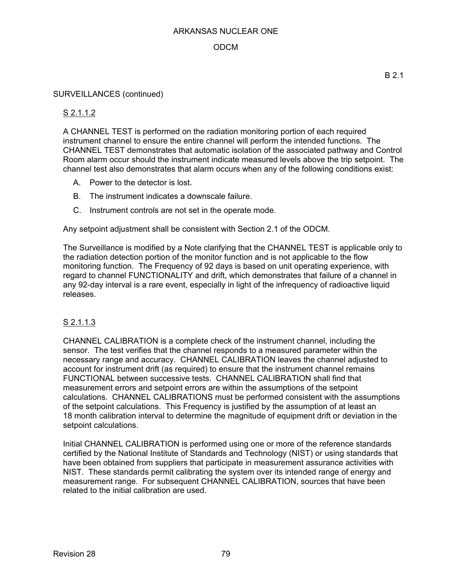## ODCM

### SURVEILLANCES (continued)

## S 2.1.1.2

A CHANNEL TEST is performed on the radiation monitoring portion of each required instrument channel to ensure the entire channel will perform the intended functions. The CHANNEL TEST demonstrates that automatic isolation of the associated pathway and Control Room alarm occur should the instrument indicate measured levels above the trip setpoint. The channel test also demonstrates that alarm occurs when any of the following conditions exist:

- A. Power to the detector is lost.
- B. The instrument indicates a downscale failure.
- C. Instrument controls are not set in the operate mode.

Any setpoint adjustment shall be consistent with Section 2.1 of the ODCM.

The Surveillance is modified by a Note clarifying that the CHANNEL TEST is applicable only to the radiation detection portion of the monitor function and is not applicable to the flow monitoring function. The Frequency of 92 days is based on unit operating experience, with regard to channel FUNCTIONALITY and drift, which demonstrates that failure of a channel in any 92-day interval is a rare event, especially in light of the infrequency of radioactive liquid releases.

### S 2.1.1.3

CHANNEL CALIBRATION is a complete check of the instrument channel, including the sensor. The test verifies that the channel responds to a measured parameter within the necessary range and accuracy. CHANNEL CALIBRATION leaves the channel adjusted to account for instrument drift (as required) to ensure that the instrument channel remains FUNCTIONAL between successive tests. CHANNEL CALIBRATION shall find that measurement errors and setpoint errors are within the assumptions of the setpoint calculations. CHANNEL CALIBRATIONS must be performed consistent with the assumptions of the setpoint calculations. This Frequency is justified by the assumption of at least an 18 month calibration interval to determine the magnitude of equipment drift or deviation in the setpoint calculations.

Initial CHANNEL CALIBRATION is performed using one or more of the reference standards certified by the National Institute of Standards and Technology (NIST) or using standards that have been obtained from suppliers that participate in measurement assurance activities with NIST. These standards permit calibrating the system over its intended range of energy and measurement range. For subsequent CHANNEL CALIBRATION, sources that have been related to the initial calibration are used.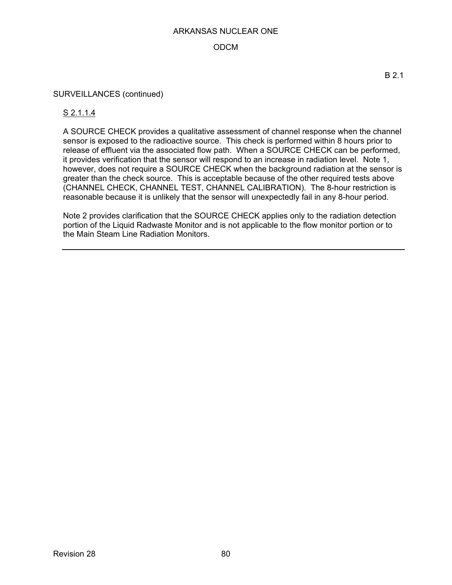## ODCM

#### SURVEILLANCES (continued)

### S 2.1.1.4

A SOURCE CHECK provides a qualitative assessment of channel response when the channel sensor is exposed to the radioactive source. This check is performed within 8 hours prior to release of effluent via the associated flow path. When a SOURCE CHECK can be performed, it provides verification that the sensor will respond to an increase in radiation level. Note 1, however, does not require a SOURCE CHECK when the background radiation at the sensor is greater than the check source. This is acceptable because of the other required tests above (CHANNEL CHECK, CHANNEL TEST, CHANNEL CALIBRATION). The 8-hour restriction is reasonable because it is unlikely that the sensor will unexpectedly fail in any 8-hour period.

Note 2 provides clarification that the SOURCE CHECK applies only to the radiation detection portion of the Liquid Radwaste Monitor and is not applicable to the flow monitor portion or to the Main Steam Line Radiation Monitors.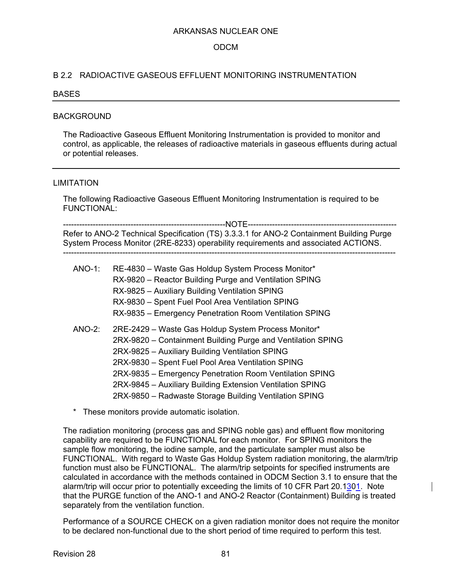### ODCM

#### B 2.2 RADIOACTIVE GASEOUS EFFLUENT MONITORING INSTRUMENTATION

#### BASES

#### BACKGROUND

The Radioactive Gaseous Effluent Monitoring Instrumentation is provided to monitor and control, as applicable, the releases of radioactive materials in gaseous effluents during actual or potential releases.

#### LIMITATION

The following Radioactive Gaseous Effluent Monitoring Instrumentation is required to be FUNCTIONAL:

------------------------------------------------------------NOTE------------------------------------------------------- Refer to ANO-2 Technical Specification (TS) 3.3.3.1 for ANO-2 Containment Building Purge System Process Monitor (2RE-8233) operability requirements and associated ACTIONS. ---------------------------------------------------------------------------------------------------------------------------

| ANO-1:    | RE-4830 - Waste Gas Holdup System Process Monitor*<br>RX-9820 - Reactor Building Purge and Ventilation SPING<br>RX-9825 - Auxiliary Building Ventilation SPING<br>RX-9830 - Spent Fuel Pool Area Ventilation SPING<br>RX-9835 - Emergency Penetration Room Ventilation SPING                                                                                                                                 |
|-----------|--------------------------------------------------------------------------------------------------------------------------------------------------------------------------------------------------------------------------------------------------------------------------------------------------------------------------------------------------------------------------------------------------------------|
| $ANO-2$ : | 2RE-2429 - Waste Gas Holdup System Process Monitor*<br>2RX-9820 - Containment Building Purge and Ventilation SPING<br>2RX-9825 - Auxiliary Building Ventilation SPING<br>2RX-9830 - Spent Fuel Pool Area Ventilation SPING<br>2RX-9835 - Emergency Penetration Room Ventilation SPING<br>2RX-9845 - Auxiliary Building Extension Ventilation SPING<br>2RX-9850 - Radwaste Storage Building Ventilation SPING |

\* These monitors provide automatic isolation.

The radiation monitoring (process gas and SPING noble gas) and effluent flow monitoring capability are required to be FUNCTIONAL for each monitor. For SPING monitors the sample flow monitoring, the iodine sample, and the particulate sampler must also be FUNCTIONAL. With regard to Waste Gas Holdup System radiation monitoring, the alarm/trip function must also be FUNCTIONAL. The alarm/trip setpoints for specified instruments are calculated in accordance with the methods contained in ODCM Section 3.1 to ensure that the alarm/trip will occur prior to potentially exceeding the limits of 10 CFR Part 20.1301. Note that the PURGE function of the ANO-1 and ANO-2 Reactor (Containment) Building is treated separately from the ventilation function.

Performance of a SOURCE CHECK on a given radiation monitor does not require the monitor to be declared non-functional due to the short period of time required to perform this test.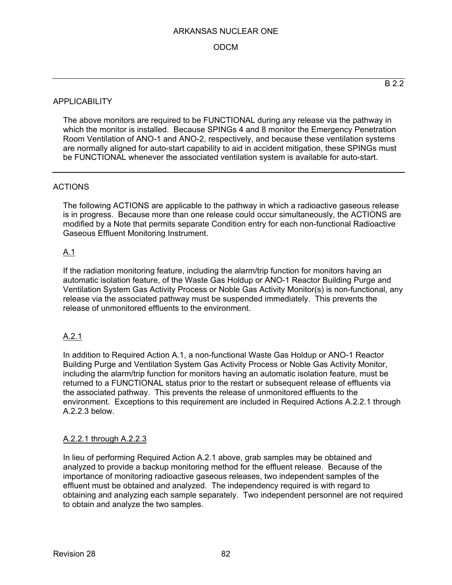## ODCM

The above monitors are required to be FUNCTIONAL during any release via the pathway in which the monitor is installed. Because SPINGs 4 and 8 monitor the Emergency Penetration Room Ventilation of ANO-1 and ANO-2, respectively, and because these ventilation systems are normally aligned for auto-start capability to aid in accident mitigation, these SPINGs must be FUNCTIONAL whenever the associated ventilation system is available for auto-start.

## ACTIONS

The following ACTIONS are applicable to the pathway in which a radioactive gaseous release is in progress. Because more than one release could occur simultaneously, the ACTIONS are modified by a Note that permits separate Condition entry for each non-functional Radioactive Gaseous Effluent Monitoring Instrument.

## A.1

If the radiation monitoring feature, including the alarm/trip function for monitors having an automatic isolation feature, of the Waste Gas Holdup or ANO-1 Reactor Building Purge and Ventilation System Gas Activity Process or Noble Gas Activity Monitor(s) is non-functional, any release via the associated pathway must be suspended immediately. This prevents the release of unmonitored effluents to the environment.

## A.2.1

In addition to Required Action A.1, a non-functional Waste Gas Holdup or ANO-1 Reactor Building Purge and Ventilation System Gas Activity Process or Noble Gas Activity Monitor, including the alarm/trip function for monitors having an automatic isolation feature, must be returned to a FUNCTIONAL status prior to the restart or subsequent release of effluents via the associated pathway. This prevents the release of unmonitored effluents to the environment. Exceptions to this requirement are included in Required Actions A.2.2.1 through A.2.2.3 below.

### A.2.2.1 through A.2.2.3

In lieu of performing Required Action A.2.1 above, grab samples may be obtained and analyzed to provide a backup monitoring method for the effluent release. Because of the importance of monitoring radioactive gaseous releases, two independent samples of the effluent must be obtained and analyzed. The independency required is with regard to obtaining and analyzing each sample separately. Two independent personnel are not required to obtain and analyze the two samples.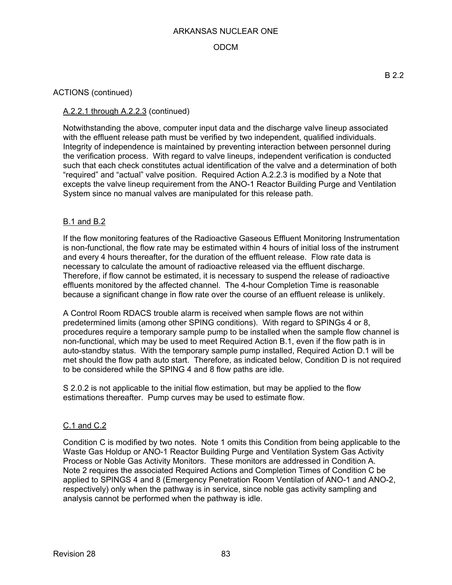## ODCM

### ACTIONS (continued)

## A.2.2.1 through A.2.2.3 (continued)

Notwithstanding the above, computer input data and the discharge valve lineup associated with the effluent release path must be verified by two independent, qualified individuals. Integrity of independence is maintained by preventing interaction between personnel during the verification process. With regard to valve lineups, independent verification is conducted such that each check constitutes actual identification of the valve and a determination of both "required" and "actual" valve position. Required Action A.2.2.3 is modified by a Note that excepts the valve lineup requirement from the ANO-1 Reactor Building Purge and Ventilation System since no manual valves are manipulated for this release path.

#### B.1 and B.2

If the flow monitoring features of the Radioactive Gaseous Effluent Monitoring Instrumentation is non-functional, the flow rate may be estimated within 4 hours of initial loss of the instrument and every 4 hours thereafter, for the duration of the effluent release. Flow rate data is necessary to calculate the amount of radioactive released via the effluent discharge. Therefore, if flow cannot be estimated, it is necessary to suspend the release of radioactive effluents monitored by the affected channel. The 4-hour Completion Time is reasonable because a significant change in flow rate over the course of an effluent release is unlikely.

A Control Room RDACS trouble alarm is received when sample flows are not within predetermined limits (among other SPING conditions). With regard to SPINGs 4 or 8, procedures require a temporary sample pump to be installed when the sample flow channel is non-functional, which may be used to meet Required Action B.1, even if the flow path is in auto-standby status. With the temporary sample pump installed, Required Action D.1 will be met should the flow path auto start. Therefore, as indicated below, Condition D is not required to be considered while the SPING 4 and 8 flow paths are idle.

S 2.0.2 is not applicable to the initial flow estimation, but may be applied to the flow estimations thereafter. Pump curves may be used to estimate flow.

#### C.1 and C.2

Condition C is modified by two notes. Note 1 omits this Condition from being applicable to the Waste Gas Holdup or ANO-1 Reactor Building Purge and Ventilation System Gas Activity Process or Noble Gas Activity Monitors. These monitors are addressed in Condition A. Note 2 requires the associated Required Actions and Completion Times of Condition C be applied to SPINGS 4 and 8 (Emergency Penetration Room Ventilation of ANO-1 and ANO-2, respectively) only when the pathway is in service, since noble gas activity sampling and analysis cannot be performed when the pathway is idle.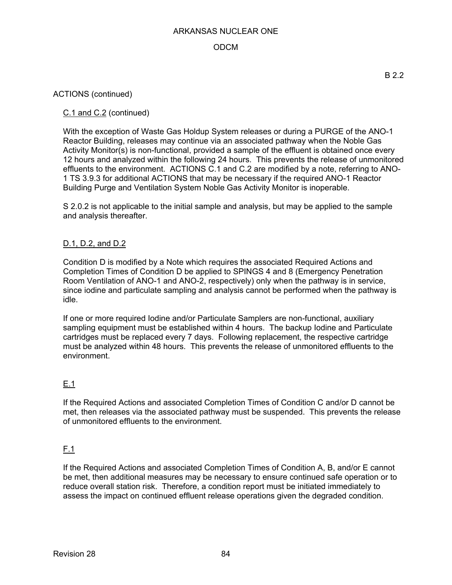## ODCM

### ACTIONS (continued)

## C.1 and C.2 (continued)

With the exception of Waste Gas Holdup System releases or during a PURGE of the ANO-1 Reactor Building, releases may continue via an associated pathway when the Noble Gas Activity Monitor(s) is non-functional, provided a sample of the effluent is obtained once every 12 hours and analyzed within the following 24 hours. This prevents the release of unmonitored effluents to the environment. ACTIONS C.1 and C.2 are modified by a note, referring to ANO-1 TS 3.9.3 for additional ACTIONS that may be necessary if the required ANO-1 Reactor Building Purge and Ventilation System Noble Gas Activity Monitor is inoperable.

S 2.0.2 is not applicable to the initial sample and analysis, but may be applied to the sample and analysis thereafter.

### D.1, D.2, and D.2

Condition D is modified by a Note which requires the associated Required Actions and Completion Times of Condition D be applied to SPINGS 4 and 8 (Emergency Penetration Room Ventilation of ANO-1 and ANO-2, respectively) only when the pathway is in service, since iodine and particulate sampling and analysis cannot be performed when the pathway is idle.

If one or more required Iodine and/or Particulate Samplers are non-functional, auxiliary sampling equipment must be established within 4 hours. The backup Iodine and Particulate cartridges must be replaced every 7 days. Following replacement, the respective cartridge must be analyzed within 48 hours. This prevents the release of unmonitored effluents to the environment.

## E.1

If the Required Actions and associated Completion Times of Condition C and/or D cannot be met, then releases via the associated pathway must be suspended. This prevents the release of unmonitored effluents to the environment.

## F.1

If the Required Actions and associated Completion Times of Condition A, B, and/or E cannot be met, then additional measures may be necessary to ensure continued safe operation or to reduce overall station risk. Therefore, a condition report must be initiated immediately to assess the impact on continued effluent release operations given the degraded condition.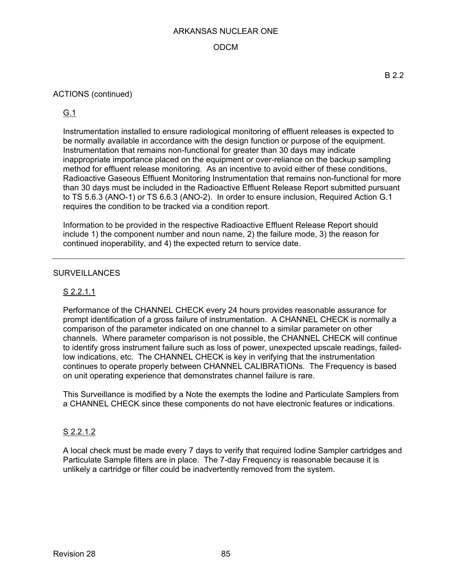## ODCM

### ACTIONS (continued)

G.1

Instrumentation installed to ensure radiological monitoring of effluent releases is expected to be normally available in accordance with the design function or purpose of the equipment. Instrumentation that remains non-functional for greater than 30 days may indicate inappropriate importance placed on the equipment or over-reliance on the backup sampling method for effluent release monitoring. As an incentive to avoid either of these conditions, Radioactive Gaseous Effluent Monitoring Instrumentation that remains non-functional for more than 30 days must be included in the Radioactive Effluent Release Report submitted pursuant to TS 5.6.3 (ANO-1) or TS 6.6.3 (ANO-2). In order to ensure inclusion, Required Action G.1 requires the condition to be tracked via a condition report.

Information to be provided in the respective Radioactive Effluent Release Report should include 1) the component number and noun name, 2) the failure mode, 3) the reason for continued inoperability, and 4) the expected return to service date.

### **SURVEILLANCES**

## S 2.2.1.1

Performance of the CHANNEL CHECK every 24 hours provides reasonable assurance for prompt identification of a gross failure of instrumentation. A CHANNEL CHECK is normally a comparison of the parameter indicated on one channel to a similar parameter on other channels. Where parameter comparison is not possible, the CHANNEL CHECK will continue to identify gross instrument failure such as loss of power, unexpected upscale readings, failedlow indications, etc. The CHANNEL CHECK is key in verifying that the instrumentation continues to operate properly between CHANNEL CALIBRATIONs. The Frequency is based on unit operating experience that demonstrates channel failure is rare.

This Surveillance is modified by a Note the exempts the Iodine and Particulate Samplers from a CHANNEL CHECK since these components do not have electronic features or indications.

### S 2.2.1.2

A local check must be made every 7 days to verify that required Iodine Sampler cartridges and Particulate Sample filters are in place. The 7-day Frequency is reasonable because it is unlikely a cartridge or filter could be inadvertently removed from the system.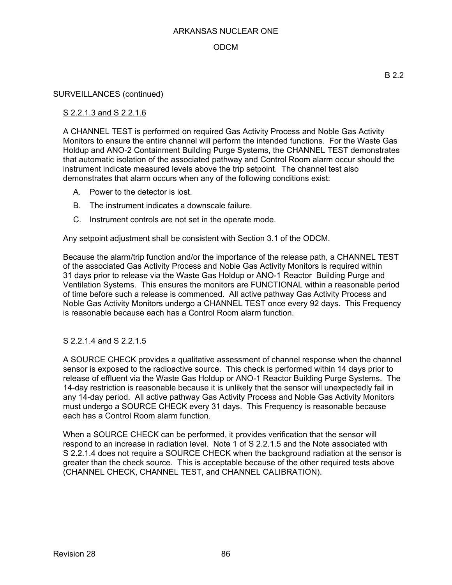### ODCM

#### SURVEILLANCES (continued)

### S 2.2.1.3 and S 2.2.1.6

A CHANNEL TEST is performed on required Gas Activity Process and Noble Gas Activity Monitors to ensure the entire channel will perform the intended functions. For the Waste Gas Holdup and ANO-2 Containment Building Purge Systems, the CHANNEL TEST demonstrates that automatic isolation of the associated pathway and Control Room alarm occur should the instrument indicate measured levels above the trip setpoint. The channel test also demonstrates that alarm occurs when any of the following conditions exist:

- A. Power to the detector is lost.
- B. The instrument indicates a downscale failure.
- C. Instrument controls are not set in the operate mode.

Any setpoint adjustment shall be consistent with Section 3.1 of the ODCM.

Because the alarm/trip function and/or the importance of the release path, a CHANNEL TEST of the associated Gas Activity Process and Noble Gas Activity Monitors is required within 31 days prior to release via the Waste Gas Holdup or ANO-1 Reactor Building Purge and Ventilation Systems. This ensures the monitors are FUNCTIONAL within a reasonable period of time before such a release is commenced. All active pathway Gas Activity Process and Noble Gas Activity Monitors undergo a CHANNEL TEST once every 92 days. This Frequency is reasonable because each has a Control Room alarm function.

### S 2.2.1.4 and S 2.2.1.5

A SOURCE CHECK provides a qualitative assessment of channel response when the channel sensor is exposed to the radioactive source. This check is performed within 14 days prior to release of effluent via the Waste Gas Holdup or ANO-1 Reactor Building Purge Systems. The 14-day restriction is reasonable because it is unlikely that the sensor will unexpectedly fail in any 14-day period. All active pathway Gas Activity Process and Noble Gas Activity Monitors must undergo a SOURCE CHECK every 31 days. This Frequency is reasonable because each has a Control Room alarm function.

When a SOURCE CHECK can be performed, it provides verification that the sensor will respond to an increase in radiation level. Note 1 of S 2.2.1.5 and the Note associated with S 2.2.1.4 does not require a SOURCE CHECK when the background radiation at the sensor is greater than the check source. This is acceptable because of the other required tests above (CHANNEL CHECK, CHANNEL TEST, and CHANNEL CALIBRATION).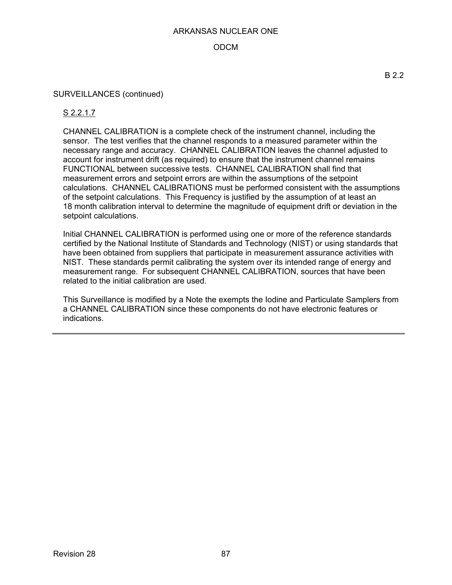## ODCM

#### SURVEILLANCES (continued)

### S 2.2.1.7

CHANNEL CALIBRATION is a complete check of the instrument channel, including the sensor. The test verifies that the channel responds to a measured parameter within the necessary range and accuracy. CHANNEL CALIBRATION leaves the channel adjusted to account for instrument drift (as required) to ensure that the instrument channel remains FUNCTIONAL between successive tests. CHANNEL CALIBRATION shall find that measurement errors and setpoint errors are within the assumptions of the setpoint calculations. CHANNEL CALIBRATIONS must be performed consistent with the assumptions of the setpoint calculations. This Frequency is justified by the assumption of at least an 18 month calibration interval to determine the magnitude of equipment drift or deviation in the setpoint calculations.

Initial CHANNEL CALIBRATION is performed using one or more of the reference standards certified by the National Institute of Standards and Technology (NIST) or using standards that have been obtained from suppliers that participate in measurement assurance activities with NIST. These standards permit calibrating the system over its intended range of energy and measurement range. For subsequent CHANNEL CALIBRATION, sources that have been related to the initial calibration are used.

This Surveillance is modified by a Note the exempts the Iodine and Particulate Samplers from a CHANNEL CALIBRATION since these components do not have electronic features or indications.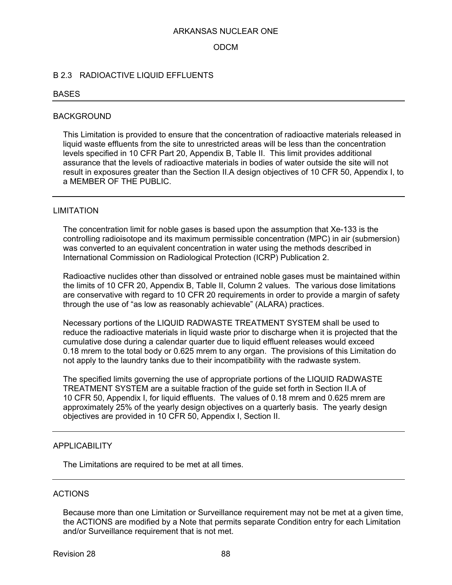### ODCM

### B 2.3 RADIOACTIVE LIQUID EFFLUENTS

#### BASES

#### BACKGROUND

This Limitation is provided to ensure that the concentration of radioactive materials released in liquid waste effluents from the site to unrestricted areas will be less than the concentration levels specified in 10 CFR Part 20, Appendix B, Table II. This limit provides additional assurance that the levels of radioactive materials in bodies of water outside the site will not result in exposures greater than the Section II.A design objectives of 10 CFR 50, Appendix I, to a MEMBER OF THE PUBLIC.

#### LIMITATION

The concentration limit for noble gases is based upon the assumption that Xe-133 is the controlling radioisotope and its maximum permissible concentration (MPC) in air (submersion) was converted to an equivalent concentration in water using the methods described in International Commission on Radiological Protection (ICRP) Publication 2.

Radioactive nuclides other than dissolved or entrained noble gases must be maintained within the limits of 10 CFR 20, Appendix B, Table II, Column 2 values. The various dose limitations are conservative with regard to 10 CFR 20 requirements in order to provide a margin of safety through the use of "as low as reasonably achievable" (ALARA) practices.

Necessary portions of the LIQUID RADWASTE TREATMENT SYSTEM shall be used to reduce the radioactive materials in liquid waste prior to discharge when it is projected that the cumulative dose during a calendar quarter due to liquid effluent releases would exceed 0.18 mrem to the total body or 0.625 mrem to any organ. The provisions of this Limitation do not apply to the laundry tanks due to their incompatibility with the radwaste system.

The specified limits governing the use of appropriate portions of the LIQUID RADWASTE TREATMENT SYSTEM are a suitable fraction of the guide set forth in Section II.A of 10 CFR 50, Appendix I, for liquid effluents. The values of 0.18 mrem and 0.625 mrem are approximately 25% of the yearly design objectives on a quarterly basis. The yearly design objectives are provided in 10 CFR 50, Appendix I, Section II.

#### APPLICABILITY

The Limitations are required to be met at all times.

### ACTIONS

Because more than one Limitation or Surveillance requirement may not be met at a given time, the ACTIONS are modified by a Note that permits separate Condition entry for each Limitation and/or Surveillance requirement that is not met.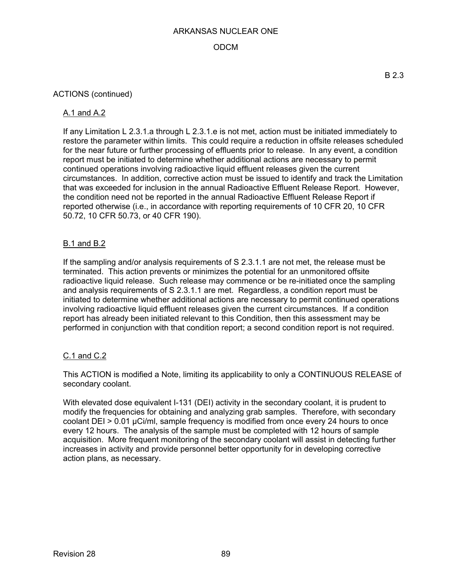## ODCM

### ACTIONS (continued)

### A.1 and A.2

If any Limitation L 2.3.1.a through L 2.3.1.e is not met, action must be initiated immediately to restore the parameter within limits. This could require a reduction in offsite releases scheduled for the near future or further processing of effluents prior to release. In any event, a condition report must be initiated to determine whether additional actions are necessary to permit continued operations involving radioactive liquid effluent releases given the current circumstances. In addition, corrective action must be issued to identify and track the Limitation that was exceeded for inclusion in the annual Radioactive Effluent Release Report. However, the condition need not be reported in the annual Radioactive Effluent Release Report if reported otherwise (i.e., in accordance with reporting requirements of 10 CFR 20, 10 CFR 50.72, 10 CFR 50.73, or 40 CFR 190).

## B.1 and B.2

If the sampling and/or analysis requirements of S 2.3.1.1 are not met, the release must be terminated. This action prevents or minimizes the potential for an unmonitored offsite radioactive liquid release. Such release may commence or be re-initiated once the sampling and analysis requirements of S 2.3.1.1 are met. Regardless, a condition report must be initiated to determine whether additional actions are necessary to permit continued operations involving radioactive liquid effluent releases given the current circumstances. If a condition report has already been initiated relevant to this Condition, then this assessment may be performed in conjunction with that condition report; a second condition report is not required.

### C.1 and C.2

This ACTION is modified a Note, limiting its applicability to only a CONTINUOUS RELEASE of secondary coolant.

With elevated dose equivalent I-131 (DEI) activity in the secondary coolant, it is prudent to modify the frequencies for obtaining and analyzing grab samples. Therefore, with secondary coolant DEI > 0.01 µCi/ml, sample frequency is modified from once every 24 hours to once every 12 hours. The analysis of the sample must be completed with 12 hours of sample acquisition. More frequent monitoring of the secondary coolant will assist in detecting further increases in activity and provide personnel better opportunity for in developing corrective action plans, as necessary.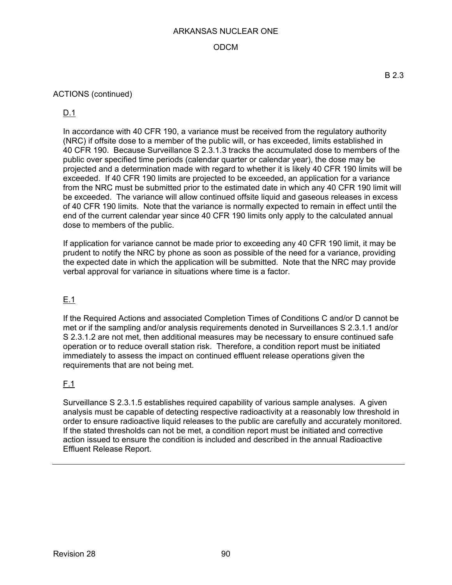## ODCM

## ACTIONS (continued)

## D.1

In accordance with 40 CFR 190, a variance must be received from the regulatory authority (NRC) if offsite dose to a member of the public will, or has exceeded, limits established in 40 CFR 190. Because Surveillance S 2.3.1.3 tracks the accumulated dose to members of the public over specified time periods (calendar quarter or calendar year), the dose may be projected and a determination made with regard to whether it is likely 40 CFR 190 limits will be exceeded. If 40 CFR 190 limits are projected to be exceeded, an application for a variance from the NRC must be submitted prior to the estimated date in which any 40 CFR 190 limit will be exceeded. The variance will allow continued offsite liquid and gaseous releases in excess of 40 CFR 190 limits. Note that the variance is normally expected to remain in effect until the end of the current calendar year since 40 CFR 190 limits only apply to the calculated annual dose to members of the public.

If application for variance cannot be made prior to exceeding any 40 CFR 190 limit, it may be prudent to notify the NRC by phone as soon as possible of the need for a variance, providing the expected date in which the application will be submitted. Note that the NRC may provide verbal approval for variance in situations where time is a factor.

## E.1

If the Required Actions and associated Completion Times of Conditions C and/or D cannot be met or if the sampling and/or analysis requirements denoted in Surveillances S 2.3.1.1 and/or S 2.3.1.2 are not met, then additional measures may be necessary to ensure continued safe operation or to reduce overall station risk. Therefore, a condition report must be initiated immediately to assess the impact on continued effluent release operations given the requirements that are not being met.

## F.1

Surveillance S 2.3.1.5 establishes required capability of various sample analyses. A given analysis must be capable of detecting respective radioactivity at a reasonably low threshold in order to ensure radioactive liquid releases to the public are carefully and accurately monitored. If the stated thresholds can not be met, a condition report must be initiated and corrective action issued to ensure the condition is included and described in the annual Radioactive Effluent Release Report.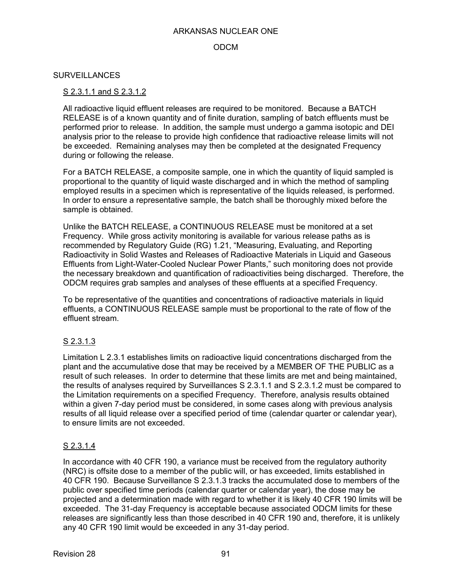### ODCM

#### **SURVEILLANCES**

#### S 2.3.1.1 and S 2.3.1.2

All radioactive liquid effluent releases are required to be monitored. Because a BATCH RELEASE is of a known quantity and of finite duration, sampling of batch effluents must be performed prior to release. In addition, the sample must undergo a gamma isotopic and DEI analysis prior to the release to provide high confidence that radioactive release limits will not be exceeded. Remaining analyses may then be completed at the designated Frequency during or following the release.

For a BATCH RELEASE, a composite sample, one in which the quantity of liquid sampled is proportional to the quantity of liquid waste discharged and in which the method of sampling employed results in a specimen which is representative of the liquids released, is performed. In order to ensure a representative sample, the batch shall be thoroughly mixed before the sample is obtained.

Unlike the BATCH RELEASE, a CONTINUOUS RELEASE must be monitored at a set Frequency. While gross activity monitoring is available for various release paths as is recommended by Regulatory Guide (RG) 1.21, "Measuring, Evaluating, and Reporting Radioactivity in Solid Wastes and Releases of Radioactive Materials in Liquid and Gaseous Effluents from Light-Water-Cooled Nuclear Power Plants," such monitoring does not provide the necessary breakdown and quantification of radioactivities being discharged. Therefore, the ODCM requires grab samples and analyses of these effluents at a specified Frequency.

To be representative of the quantities and concentrations of radioactive materials in liquid effluents, a CONTINUOUS RELEASE sample must be proportional to the rate of flow of the effluent stream.

### S 2.3.1.3

Limitation L 2.3.1 establishes limits on radioactive liquid concentrations discharged from the plant and the accumulative dose that may be received by a MEMBER OF THE PUBLIC as a result of such releases. In order to determine that these limits are met and being maintained, the results of analyses required by Surveillances S 2.3.1.1 and S 2.3.1.2 must be compared to the Limitation requirements on a specified Frequency. Therefore, analysis results obtained within a given 7-day period must be considered, in some cases along with previous analysis results of all liquid release over a specified period of time (calendar quarter or calendar year), to ensure limits are not exceeded.

### S 2.3.1.4

In accordance with 40 CFR 190, a variance must be received from the regulatory authority (NRC) is offsite dose to a member of the public will, or has exceeded, limits established in 40 CFR 190. Because Surveillance S 2.3.1.3 tracks the accumulated dose to members of the public over specified time periods (calendar quarter or calendar year), the dose may be projected and a determination made with regard to whether it is likely 40 CFR 190 limits will be exceeded. The 31-day Frequency is acceptable because associated ODCM limits for these releases are significantly less than those described in 40 CFR 190 and, therefore, it is unlikely any 40 CFR 190 limit would be exceeded in any 31-day period.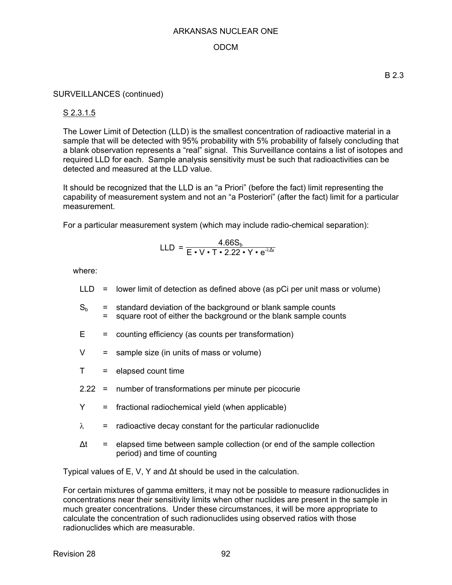### ODCM

#### SURVEILLANCES (continued)

### S 2.3.1.5

The Lower Limit of Detection (LLD) is the smallest concentration of radioactive material in a sample that will be detected with 95% probability with 5% probability of falsely concluding that a blank observation represents a "real" signal. This Surveillance contains a list of isotopes and required LLD for each. Sample analysis sensitivity must be such that radioactivities can be detected and measured at the LLD value.

It should be recognized that the LLD is an "a Priori" (before the fact) limit representing the capability of measurement system and not an "a Posteriori" (after the fact) limit for a particular measurement.

For a particular measurement system (which may include radio-chemical separation):

$$
LLD = \frac{4.66S_b}{E \cdot V \cdot T \cdot 2.22 \cdot Y \cdot e^{-\lambda \Delta t}}
$$

where:

- $LLD =$  lower limit of detection as defined above (as pCi per unit mass or volume)
- $S_b$  = standard deviation of the background or blank sample counts = square root of either the background or the blank sample counts
- $E =$  counting efficiency (as counts per transformation)
- $V =$  sample size (in units of mass or volume)
- $T =$  elapsed count time
- 2.22 = number of transformations per minute per picocurie
- Y = fractional radiochemical yield (when applicable)
- $\lambda$  = radioactive decay constant for the particular radionuclide
- $\Delta t$  = elapsed time between sample collection (or end of the sample collection period) and time of counting

Typical values of E, V, Y and ∆t should be used in the calculation.

For certain mixtures of gamma emitters, it may not be possible to measure radionuclides in concentrations near their sensitivity limits when other nuclides are present in the sample in much greater concentrations. Under these circumstances, it will be more appropriate to calculate the concentration of such radionuclides using observed ratios with those radionuclides which are measurable.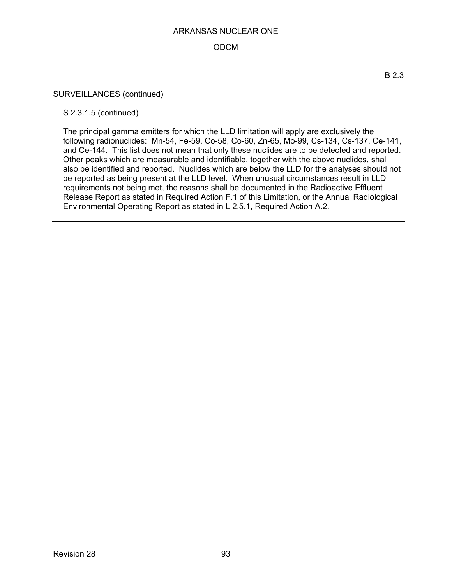## ODCM

#### SURVEILLANCES (continued)

#### S 2.3.1.5 (continued)

The principal gamma emitters for which the LLD limitation will apply are exclusively the following radionuclides: Mn-54, Fe-59, Co-58, Co-60, Zn-65, Mo-99, Cs-134, Cs-137, Ce-141, and Ce-144. This list does not mean that only these nuclides are to be detected and reported. Other peaks which are measurable and identifiable, together with the above nuclides, shall also be identified and reported. Nuclides which are below the LLD for the analyses should not be reported as being present at the LLD level. When unusual circumstances result in LLD requirements not being met, the reasons shall be documented in the Radioactive Effluent Release Report as stated in Required Action F.1 of this Limitation, or the Annual Radiological Environmental Operating Report as stated in L 2.5.1, Required Action A.2.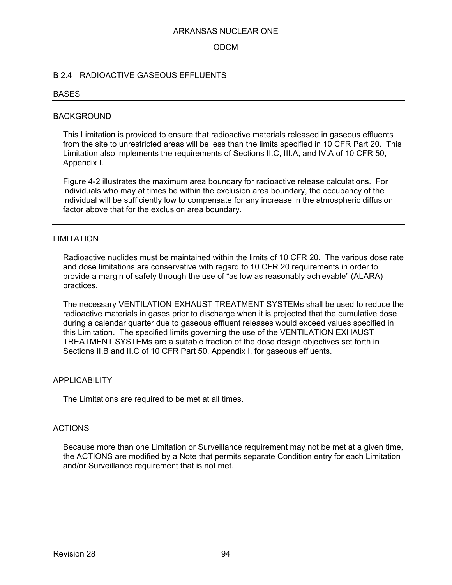### ODCM

## B 2.4 RADIOACTIVE GASEOUS EFFLUENTS

#### **BASES**

#### BACKGROUND

This Limitation is provided to ensure that radioactive materials released in gaseous effluents from the site to unrestricted areas will be less than the limits specified in 10 CFR Part 20. This Limitation also implements the requirements of Sections II.C, III.A, and IV.A of 10 CFR 50, Appendix I.

Figure 4-2 illustrates the maximum area boundary for radioactive release calculations. For individuals who may at times be within the exclusion area boundary, the occupancy of the individual will be sufficiently low to compensate for any increase in the atmospheric diffusion factor above that for the exclusion area boundary.

#### LIMITATION

Radioactive nuclides must be maintained within the limits of 10 CFR 20. The various dose rate and dose limitations are conservative with regard to 10 CFR 20 requirements in order to provide a margin of safety through the use of "as low as reasonably achievable" (ALARA) practices.

The necessary VENTILATION EXHAUST TREATMENT SYSTEMs shall be used to reduce the radioactive materials in gases prior to discharge when it is projected that the cumulative dose during a calendar quarter due to gaseous effluent releases would exceed values specified in this Limitation. The specified limits governing the use of the VENTILATION EXHAUST TREATMENT SYSTEMs are a suitable fraction of the dose design objectives set forth in Sections II.B and II.C of 10 CFR Part 50, Appendix I, for gaseous effluents.

#### APPLICABILITY

The Limitations are required to be met at all times.

#### ACTIONS

Because more than one Limitation or Surveillance requirement may not be met at a given time, the ACTIONS are modified by a Note that permits separate Condition entry for each Limitation and/or Surveillance requirement that is not met.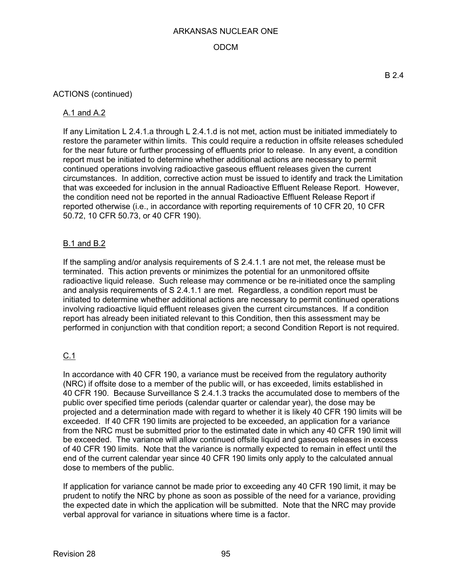## ODCM

### ACTIONS (continued)

### A.1 and A.2

If any Limitation L 2.4.1.a through L 2.4.1.d is not met, action must be initiated immediately to restore the parameter within limits. This could require a reduction in offsite releases scheduled for the near future or further processing of effluents prior to release. In any event, a condition report must be initiated to determine whether additional actions are necessary to permit continued operations involving radioactive gaseous effluent releases given the current circumstances. In addition, corrective action must be issued to identify and track the Limitation that was exceeded for inclusion in the annual Radioactive Effluent Release Report. However, the condition need not be reported in the annual Radioactive Effluent Release Report if reported otherwise (i.e., in accordance with reporting requirements of 10 CFR 20, 10 CFR 50.72, 10 CFR 50.73, or 40 CFR 190).

## B.1 and B.2

If the sampling and/or analysis requirements of S 2.4.1.1 are not met, the release must be terminated. This action prevents or minimizes the potential for an unmonitored offsite radioactive liquid release. Such release may commence or be re-initiated once the sampling and analysis requirements of S 2.4.1.1 are met. Regardless, a condition report must be initiated to determine whether additional actions are necessary to permit continued operations involving radioactive liquid effluent releases given the current circumstances. If a condition report has already been initiated relevant to this Condition, then this assessment may be performed in conjunction with that condition report; a second Condition Report is not required.

# C.1

In accordance with 40 CFR 190, a variance must be received from the regulatory authority (NRC) if offsite dose to a member of the public will, or has exceeded, limits established in 40 CFR 190. Because Surveillance S 2.4.1.3 tracks the accumulated dose to members of the public over specified time periods (calendar quarter or calendar year), the dose may be projected and a determination made with regard to whether it is likely 40 CFR 190 limits will be exceeded. If 40 CFR 190 limits are projected to be exceeded, an application for a variance from the NRC must be submitted prior to the estimated date in which any 40 CFR 190 limit will be exceeded. The variance will allow continued offsite liquid and gaseous releases in excess of 40 CFR 190 limits. Note that the variance is normally expected to remain in effect until the end of the current calendar year since 40 CFR 190 limits only apply to the calculated annual dose to members of the public.

If application for variance cannot be made prior to exceeding any 40 CFR 190 limit, it may be prudent to notify the NRC by phone as soon as possible of the need for a variance, providing the expected date in which the application will be submitted. Note that the NRC may provide verbal approval for variance in situations where time is a factor.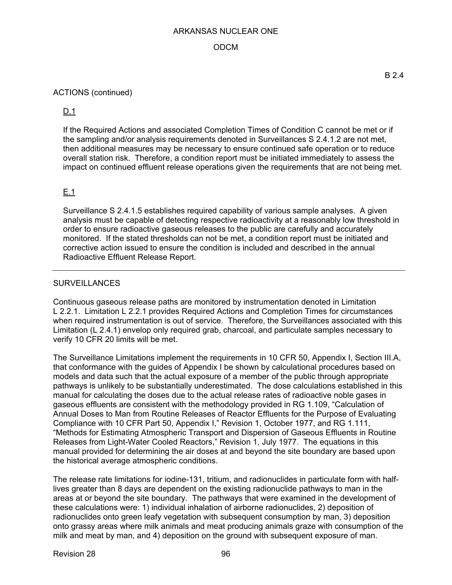### ODCM

#### ACTIONS (continued)

D.1

If the Required Actions and associated Completion Times of Condition C cannot be met or if the sampling and/or analysis requirements denoted in Surveillances S 2.4.1.2 are not met, then additional measures may be necessary to ensure continued safe operation or to reduce overall station risk. Therefore, a condition report must be initiated immediately to assess the impact on continued effluent release operations given the requirements that are not being met.

## E.1

Surveillance S 2.4.1.5 establishes required capability of various sample analyses. A given analysis must be capable of detecting respective radioactivity at a reasonably low threshold in order to ensure radioactive gaseous releases to the public are carefully and accurately monitored. If the stated thresholds can not be met, a condition report must be initiated and corrective action issued to ensure the condition is included and described in the annual Radioactive Effluent Release Report.

### **SURVEILLANCES**

Continuous gaseous release paths are monitored by instrumentation denoted in Limitation L 2.2.1. Limitation L 2.2.1 provides Required Actions and Completion Times for circumstances when required instrumentation is out of service. Therefore, the Surveillances associated with this Limitation (L 2.4.1) envelop only required grab, charcoal, and particulate samples necessary to verify 10 CFR 20 limits will be met.

The Surveillance Limitations implement the requirements in 10 CFR 50, Appendix I, Section III.A, that conformance with the guides of Appendix I be shown by calculational procedures based on models and data such that the actual exposure of a member of the public through appropriate pathways is unlikely to be substantially underestimated. The dose calculations established in this manual for calculating the doses due to the actual release rates of radioactive noble gases in gaseous effluents are consistent with the methodology provided in RG 1.109, "Calculation of Annual Doses to Man from Routine Releases of Reactor Effluents for the Purpose of Evaluating Compliance with 10 CFR Part 50, Appendix I," Revision 1, October 1977, and RG 1.111, "Methods for Estimating Atmospheric Transport and Dispersion of Gaseous Effluents in Routine Releases from Light-Water Cooled Reactors," Revision 1, July 1977. The equations in this manual provided for determining the air doses at and beyond the site boundary are based upon the historical average atmospheric conditions.

The release rate limitations for iodine-131, tritium, and radionuclides in particulate form with halflives greater than 8 days are dependent on the existing radionuclide pathways to man in the areas at or beyond the site boundary. The pathways that were examined in the development of these calculations were: 1) individual inhalation of airborne radionuclides, 2) deposition of radionuclides onto green leafy vegetation with subsequent consumption by man, 3) deposition onto grassy areas where milk animals and meat producing animals graze with consumption of the milk and meat by man, and 4) deposition on the ground with subsequent exposure of man.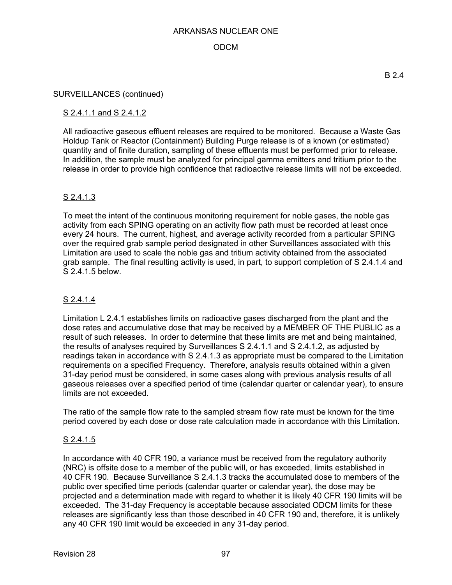## ODCM

#### SURVEILLANCES (continued)

### S 2.4.1.1 and S 2.4.1.2

All radioactive gaseous effluent releases are required to be monitored. Because a Waste Gas Holdup Tank or Reactor (Containment) Building Purge release is of a known (or estimated) quantity and of finite duration, sampling of these effluents must be performed prior to release. In addition, the sample must be analyzed for principal gamma emitters and tritium prior to the release in order to provide high confidence that radioactive release limits will not be exceeded.

## S 2.4.1.3

To meet the intent of the continuous monitoring requirement for noble gases, the noble gas activity from each SPING operating on an activity flow path must be recorded at least once every 24 hours. The current, highest, and average activity recorded from a particular SPING over the required grab sample period designated in other Surveillances associated with this Limitation are used to scale the noble gas and tritium activity obtained from the associated grab sample. The final resulting activity is used, in part, to support completion of S 2.4.1.4 and S 2.4.1.5 below.

## S 2.4.1.4

Limitation L 2.4.1 establishes limits on radioactive gases discharged from the plant and the dose rates and accumulative dose that may be received by a MEMBER OF THE PUBLIC as a result of such releases. In order to determine that these limits are met and being maintained, the results of analyses required by Surveillances S 2.4.1.1 and S 2.4.1.2, as adjusted by readings taken in accordance with S 2.4.1.3 as appropriate must be compared to the Limitation requirements on a specified Frequency. Therefore, analysis results obtained within a given 31-day period must be considered, in some cases along with previous analysis results of all gaseous releases over a specified period of time (calendar quarter or calendar year), to ensure limits are not exceeded.

The ratio of the sample flow rate to the sampled stream flow rate must be known for the time period covered by each dose or dose rate calculation made in accordance with this Limitation.

## S 2.4.1.5

In accordance with 40 CFR 190, a variance must be received from the regulatory authority (NRC) is offsite dose to a member of the public will, or has exceeded, limits established in 40 CFR 190. Because Surveillance S 2.4.1.3 tracks the accumulated dose to members of the public over specified time periods (calendar quarter or calendar year), the dose may be projected and a determination made with regard to whether it is likely 40 CFR 190 limits will be exceeded. The 31-day Frequency is acceptable because associated ODCM limits for these releases are significantly less than those described in 40 CFR 190 and, therefore, it is unlikely any 40 CFR 190 limit would be exceeded in any 31-day period.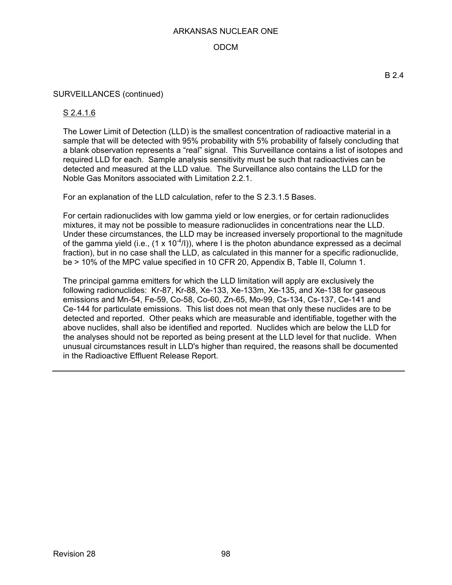## ODCM

### SURVEILLANCES (continued)

### S 2.4.1.6

The Lower Limit of Detection (LLD) is the smallest concentration of radioactive material in a sample that will be detected with 95% probability with 5% probability of falsely concluding that a blank observation represents a "real" signal. This Surveillance contains a list of isotopes and required LLD for each. Sample analysis sensitivity must be such that radioactivies can be detected and measured at the LLD value. The Surveillance also contains the LLD for the Noble Gas Monitors associated with Limitation 2.2.1.

For an explanation of the LLD calculation, refer to the S 2.3.1.5 Bases.

For certain radionuclides with low gamma yield or low energies, or for certain radionuclides mixtures, it may not be possible to measure radionuclides in concentrations near the LLD. Under these circumstances, the LLD may be increased inversely proportional to the magnitude of the gamma yield (i.e.,  $(1 \times 10^{-4}$ /I)), where I is the photon abundance expressed as a decimal fraction), but in no case shall the LLD, as calculated in this manner for a specific radionuclide, be > 10% of the MPC value specified in 10 CFR 20, Appendix B, Table II, Column 1.

The principal gamma emitters for which the LLD limitation will apply are exclusively the following radionuclides: Kr-87, Kr-88, Xe-133, Xe-133m, Xe-135, and Xe-138 for gaseous emissions and Mn-54, Fe-59, Co-58, Co-60, Zn-65, Mo-99, Cs-134, Cs-137, Ce-141 and Ce-144 for particulate emissions. This list does not mean that only these nuclides are to be detected and reported. Other peaks which are measurable and identifiable, together with the above nuclides, shall also be identified and reported. Nuclides which are below the LLD for the analyses should not be reported as being present at the LLD level for that nuclide. When unusual circumstances result in LLD's higher than required, the reasons shall be documented in the Radioactive Effluent Release Report.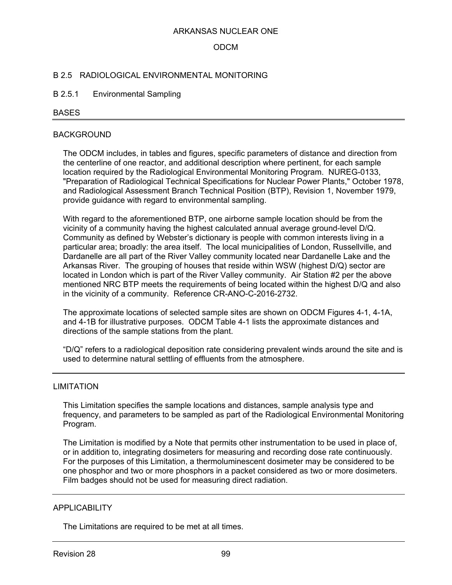### ODCM

#### B 2.5 RADIOLOGICAL ENVIRONMENTAL MONITORING

#### B 2.5.1 Environmental Sampling

#### BASES

#### BACKGROUND

The ODCM includes, in tables and figures, specific parameters of distance and direction from the centerline of one reactor, and additional description where pertinent, for each sample location required by the Radiological Environmental Monitoring Program. NUREG-0133, "Preparation of Radiological Technical Specifications for Nuclear Power Plants," October 1978, and Radiological Assessment Branch Technical Position (BTP), Revision 1, November 1979, provide guidance with regard to environmental sampling.

With regard to the aforementioned BTP, one airborne sample location should be from the vicinity of a community having the highest calculated annual average ground-level D/Q. Community as defined by Webster's dictionary is people with common interests living in a particular area; broadly: the area itself. The local municipalities of London, Russellville, and Dardanelle are all part of the River Valley community located near Dardanelle Lake and the Arkansas River. The grouping of houses that reside within WSW (highest D/Q) sector are located in London which is part of the River Valley community. Air Station #2 per the above mentioned NRC BTP meets the requirements of being located within the highest D/Q and also in the vicinity of a community. Reference CR-ANO-C-2016-2732.

The approximate locations of selected sample sites are shown on ODCM Figures 4-1, 4-1A, and 4-1B for illustrative purposes. ODCM Table 4-1 lists the approximate distances and directions of the sample stations from the plant.

"D/Q" refers to a radiological deposition rate considering prevalent winds around the site and is used to determine natural settling of effluents from the atmosphere.

#### LIMITATION

This Limitation specifies the sample locations and distances, sample analysis type and frequency, and parameters to be sampled as part of the Radiological Environmental Monitoring Program.

The Limitation is modified by a Note that permits other instrumentation to be used in place of, or in addition to, integrating dosimeters for measuring and recording dose rate continuously. For the purposes of this Limitation, a thermoluminescent dosimeter may be considered to be one phosphor and two or more phosphors in a packet considered as two or more dosimeters. Film badges should not be used for measuring direct radiation.

### **APPLICABILITY**

The Limitations are required to be met at all times.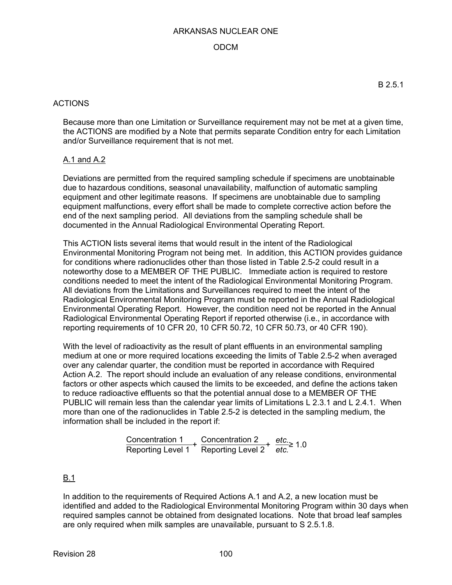### ODCM

### ACTIONS

Because more than one Limitation or Surveillance requirement may not be met at a given time, the ACTIONS are modified by a Note that permits separate Condition entry for each Limitation and/or Surveillance requirement that is not met.

### A.1 and A.2

Deviations are permitted from the required sampling schedule if specimens are unobtainable due to hazardous conditions, seasonal unavailability, malfunction of automatic sampling equipment and other legitimate reasons. If specimens are unobtainable due to sampling equipment malfunctions, every effort shall be made to complete corrective action before the end of the next sampling period. All deviations from the sampling schedule shall be documented in the Annual Radiological Environmental Operating Report.

This ACTION lists several items that would result in the intent of the Radiological Environmental Monitoring Program not being met. In addition, this ACTION provides guidance for conditions where radionuclides other than those listed in Table 2.5-2 could result in a noteworthy dose to a MEMBER OF THE PUBLIC. Immediate action is required to restore conditions needed to meet the intent of the Radiological Environmental Monitoring Program. All deviations from the Limitations and Surveillances required to meet the intent of the Radiological Environmental Monitoring Program must be reported in the Annual Radiological Environmental Operating Report. However, the condition need not be reported in the Annual Radiological Environmental Operating Report if reported otherwise (i.e., in accordance with reporting requirements of 10 CFR 20, 10 CFR 50.72, 10 CFR 50.73, or 40 CFR 190).

With the level of radioactivity as the result of plant effluents in an environmental sampling medium at one or more required locations exceeding the limits of Table 2.5-2 when averaged over any calendar quarter, the condition must be reported in accordance with Required Action A.2. The report should include an evaluation of any release conditions, environmental factors or other aspects which caused the limits to be exceeded, and define the actions taken to reduce radioactive effluents so that the potential annual dose to a MEMBER OF THE PUBLIC will remain less than the calendar year limits of Limitations L 2.3.1 and L 2.4.1. When more than one of the radionuclides in Table 2.5-2 is detected in the sampling medium, the information shall be included in the report if:

$$
\frac{Concentration 1}{Reporting Level 1} + \frac{Concentration 2}{Reporting Level 2} + \frac{etc.}{etc.} \ge 1.0
$$

## B.1

In addition to the requirements of Required Actions A.1 and A.2, a new location must be identified and added to the Radiological Environmental Monitoring Program within 30 days when required samples cannot be obtained from designated locations. Note that broad leaf samples are only required when milk samples are unavailable, pursuant to S 2.5.1.8.

B 2.5.1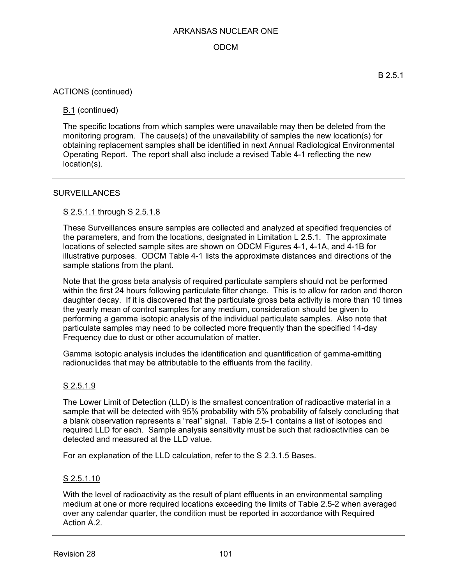## ODCM

### ACTIONS (continued)

## B.1 (continued)

The specific locations from which samples were unavailable may then be deleted from the monitoring program. The cause(s) of the unavailability of samples the new location(s) for obtaining replacement samples shall be identified in next Annual Radiological Environmental Operating Report. The report shall also include a revised Table 4-1 reflecting the new location(s).

### **SURVEILLANCES**

### S 2.5.1.1 through S 2.5.1.8

These Surveillances ensure samples are collected and analyzed at specified frequencies of the parameters, and from the locations, designated in Limitation L 2.5.1. The approximate locations of selected sample sites are shown on ODCM Figures 4-1, 4-1A, and 4-1B for illustrative purposes. ODCM Table 4-1 lists the approximate distances and directions of the sample stations from the plant.

Note that the gross beta analysis of required particulate samplers should not be performed within the first 24 hours following particulate filter change. This is to allow for radon and thoron daughter decay. If it is discovered that the particulate gross beta activity is more than 10 times the yearly mean of control samples for any medium, consideration should be given to performing a gamma isotopic analysis of the individual particulate samples. Also note that particulate samples may need to be collected more frequently than the specified 14-day Frequency due to dust or other accumulation of matter.

Gamma isotopic analysis includes the identification and quantification of gamma-emitting radionuclides that may be attributable to the effluents from the facility.

## S 2.5.1.9

The Lower Limit of Detection (LLD) is the smallest concentration of radioactive material in a sample that will be detected with 95% probability with 5% probability of falsely concluding that a blank observation represents a "real" signal. Table 2.5-1 contains a list of isotopes and required LLD for each. Sample analysis sensitivity must be such that radioactivities can be detected and measured at the LLD value.

For an explanation of the LLD calculation, refer to the S 2.3.1.5 Bases.

### S 2.5.1.10

With the level of radioactivity as the result of plant effluents in an environmental sampling medium at one or more required locations exceeding the limits of Table 2.5-2 when averaged over any calendar quarter, the condition must be reported in accordance with Required Action A.2.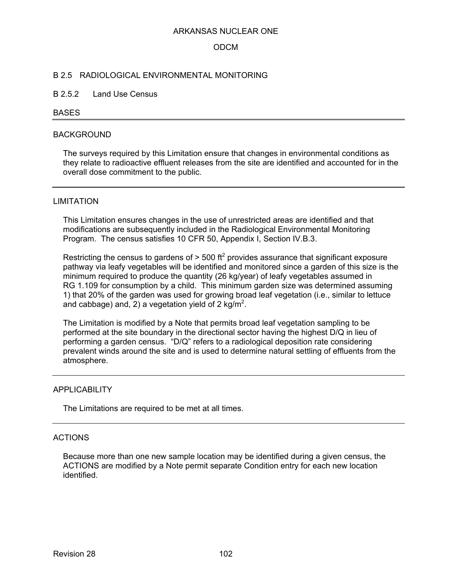### ODCM

#### B 2.5 RADIOLOGICAL ENVIRONMENTAL MONITORING

#### B 2.5.2 Land Use Census

#### BASES

#### BACKGROUND

The surveys required by this Limitation ensure that changes in environmental conditions as they relate to radioactive effluent releases from the site are identified and accounted for in the overall dose commitment to the public.

#### LIMITATION

This Limitation ensures changes in the use of unrestricted areas are identified and that modifications are subsequently included in the Radiological Environmental Monitoring Program. The census satisfies 10 CFR 50, Appendix I, Section IV.B.3.

Restricting the census to gardens of  $>$  500 ft<sup>2</sup> provides assurance that significant exposure pathway via leafy vegetables will be identified and monitored since a garden of this size is the minimum required to produce the quantity (26 kg/year) of leafy vegetables assumed in RG 1.109 for consumption by a child. This minimum garden size was determined assuming 1) that 20% of the garden was used for growing broad leaf vegetation (i.e., similar to lettuce and cabbage) and, 2) a vegetation yield of 2 kg/m<sup>2</sup>.

The Limitation is modified by a Note that permits broad leaf vegetation sampling to be performed at the site boundary in the directional sector having the highest D/Q in lieu of performing a garden census. "D/Q" refers to a radiological deposition rate considering prevalent winds around the site and is used to determine natural settling of effluents from the atmosphere.

#### APPLICABILITY

The Limitations are required to be met at all times.

#### ACTIONS

Because more than one new sample location may be identified during a given census, the ACTIONS are modified by a Note permit separate Condition entry for each new location identified.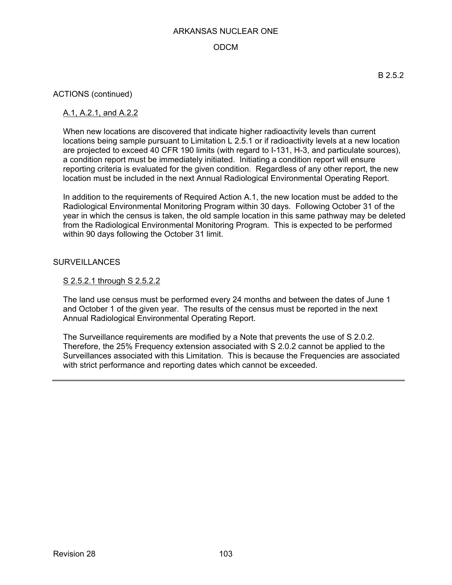## ODCM

ACTIONS (continued)

## A.1, A.2.1, and A.2.2

When new locations are discovered that indicate higher radioactivity levels than current locations being sample pursuant to Limitation L 2.5.1 or if radioactivity levels at a new location are projected to exceed 40 CFR 190 limits (with regard to I-131, H-3, and particulate sources), a condition report must be immediately initiated. Initiating a condition report will ensure reporting criteria is evaluated for the given condition. Regardless of any other report, the new location must be included in the next Annual Radiological Environmental Operating Report.

In addition to the requirements of Required Action A.1, the new location must be added to the Radiological Environmental Monitoring Program within 30 days. Following October 31 of the year in which the census is taken, the old sample location in this same pathway may be deleted from the Radiological Environmental Monitoring Program. This is expected to be performed within 90 days following the October 31 limit.

### **SURVEILLANCES**

## S 2.5.2.1 through S 2.5.2.2

The land use census must be performed every 24 months and between the dates of June 1 and October 1 of the given year. The results of the census must be reported in the next Annual Radiological Environmental Operating Report.

The Surveillance requirements are modified by a Note that prevents the use of S 2.0.2. Therefore, the 25% Frequency extension associated with S 2.0.2 cannot be applied to the Surveillances associated with this Limitation. This is because the Frequencies are associated with strict performance and reporting dates which cannot be exceeded.